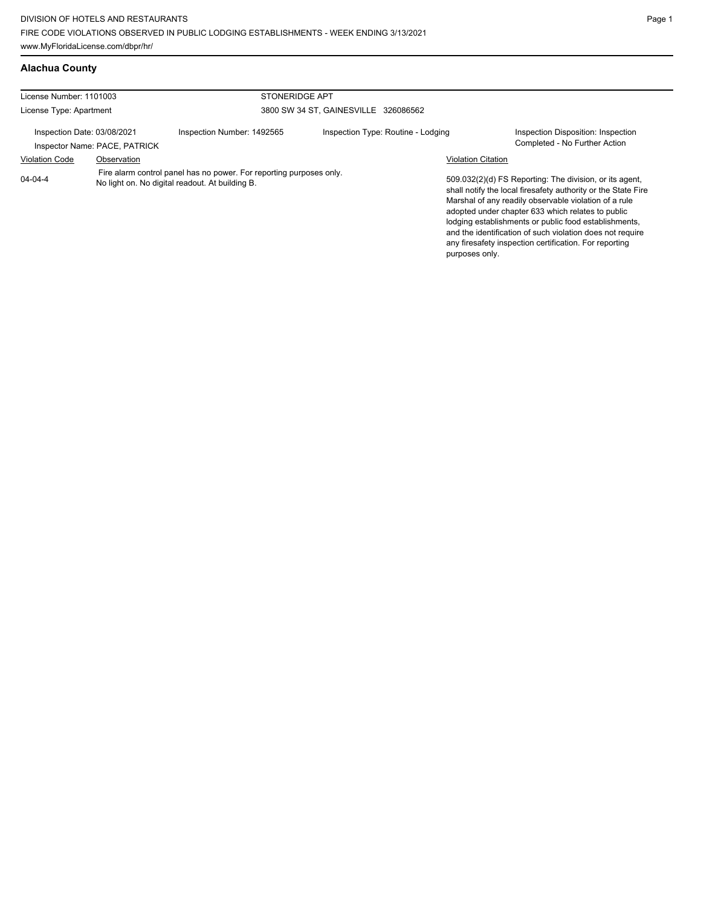| License Number: 1101003     |                               | <b>STONERIDGE APT</b>                                                                                                  |                                      |                           |                                                                                                                                                                                                                                                                                                                                                                                                                        |
|-----------------------------|-------------------------------|------------------------------------------------------------------------------------------------------------------------|--------------------------------------|---------------------------|------------------------------------------------------------------------------------------------------------------------------------------------------------------------------------------------------------------------------------------------------------------------------------------------------------------------------------------------------------------------------------------------------------------------|
| License Type: Apartment     |                               |                                                                                                                        | 3800 SW 34 ST, GAINESVILLE 326086562 |                           |                                                                                                                                                                                                                                                                                                                                                                                                                        |
| Inspection Date: 03/08/2021 | Inspector Name: PACE, PATRICK | Inspection Number: 1492565                                                                                             | Inspection Type: Routine - Lodging   |                           | Inspection Disposition: Inspection<br>Completed - No Further Action                                                                                                                                                                                                                                                                                                                                                    |
| <b>Violation Code</b>       | Observation                   |                                                                                                                        |                                      | <b>Violation Citation</b> |                                                                                                                                                                                                                                                                                                                                                                                                                        |
| $04 - 04 - 4$               |                               | Fire alarm control panel has no power. For reporting purposes only.<br>No light on. No digital readout. At building B. |                                      | purposes only.            | 509.032(2)(d) FS Reporting: The division, or its agent,<br>shall notify the local firesafety authority or the State Fire<br>Marshal of any readily observable violation of a rule<br>adopted under chapter 633 which relates to public<br>lodging establishments or public food establishments,<br>and the identification of such violation does not require<br>any firesafety inspection certification. For reporting |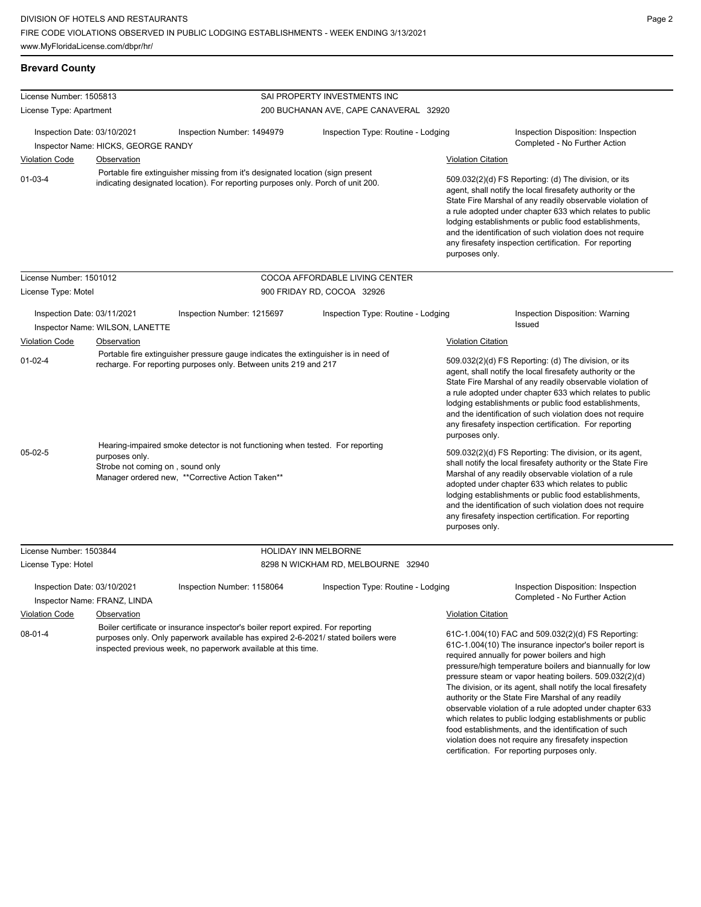**Brevard County**

License Number: 1505813

food establishments, and the identification of such violation does not require any firesafety inspection certification. For reporting purposes only.

| License Type: Apartment                                            |                                                                | 200 BUCHANAN AVE, CAPE CANAVERAL 32920                                                                                                                                                                                                 |                                    |                                                                                                                                                                                                                                                                                                                                                                                                                                              |                                                                                                                                                                                                                                                                                                                                                                                                                                                                                                                                   |  |
|--------------------------------------------------------------------|----------------------------------------------------------------|----------------------------------------------------------------------------------------------------------------------------------------------------------------------------------------------------------------------------------------|------------------------------------|----------------------------------------------------------------------------------------------------------------------------------------------------------------------------------------------------------------------------------------------------------------------------------------------------------------------------------------------------------------------------------------------------------------------------------------------|-----------------------------------------------------------------------------------------------------------------------------------------------------------------------------------------------------------------------------------------------------------------------------------------------------------------------------------------------------------------------------------------------------------------------------------------------------------------------------------------------------------------------------------|--|
| Inspection Date: 03/10/2021<br>Inspector Name: HICKS, GEORGE RANDY |                                                                | Inspection Number: 1494979                                                                                                                                                                                                             | Inspection Type: Routine - Lodging |                                                                                                                                                                                                                                                                                                                                                                                                                                              | Inspection Disposition: Inspection<br>Completed - No Further Action                                                                                                                                                                                                                                                                                                                                                                                                                                                               |  |
| <b>Violation Code</b>                                              | Observation                                                    |                                                                                                                                                                                                                                        |                                    | <b>Violation Citation</b>                                                                                                                                                                                                                                                                                                                                                                                                                    |                                                                                                                                                                                                                                                                                                                                                                                                                                                                                                                                   |  |
| $01 - 03 - 4$                                                      |                                                                | Portable fire extinguisher missing from it's designated location (sign present<br>indicating designated location). For reporting purposes only. Porch of unit 200.                                                                     |                                    | purposes only.                                                                                                                                                                                                                                                                                                                                                                                                                               | 509.032(2)(d) FS Reporting: (d) The division, or its<br>agent, shall notify the local firesafety authority or the<br>State Fire Marshal of any readily observable violation of<br>a rule adopted under chapter 633 which relates to public<br>lodging establishments or public food establishments,<br>and the identification of such violation does not require<br>any firesafety inspection certification. For reporting                                                                                                        |  |
| License Number: 1501012                                            |                                                                |                                                                                                                                                                                                                                        | COCOA AFFORDABLE LIVING CENTER     |                                                                                                                                                                                                                                                                                                                                                                                                                                              |                                                                                                                                                                                                                                                                                                                                                                                                                                                                                                                                   |  |
| License Type: Motel                                                |                                                                |                                                                                                                                                                                                                                        | 900 FRIDAY RD, COCOA 32926         |                                                                                                                                                                                                                                                                                                                                                                                                                                              |                                                                                                                                                                                                                                                                                                                                                                                                                                                                                                                                   |  |
|                                                                    | Inspection Date: 03/11/2021<br>Inspector Name: WILSON, LANETTE | Inspection Number: 1215697                                                                                                                                                                                                             | Inspection Type: Routine - Lodging |                                                                                                                                                                                                                                                                                                                                                                                                                                              | Inspection Disposition: Warning<br>Issued                                                                                                                                                                                                                                                                                                                                                                                                                                                                                         |  |
| <b>Violation Code</b>                                              | Observation                                                    |                                                                                                                                                                                                                                        |                                    | <b>Violation Citation</b>                                                                                                                                                                                                                                                                                                                                                                                                                    |                                                                                                                                                                                                                                                                                                                                                                                                                                                                                                                                   |  |
| $01-02-4$                                                          |                                                                | Portable fire extinguisher pressure gauge indicates the extinguisher is in need of<br>recharge. For reporting purposes only. Between units 219 and 217                                                                                 |                                    | 509.032(2)(d) FS Reporting: (d) The division, or its<br>agent, shall notify the local firesafety authority or the<br>State Fire Marshal of any readily observable violation of<br>a rule adopted under chapter 633 which relates to public<br>lodging establishments or public food establishments,<br>and the identification of such violation does not require<br>any firesafety inspection certification. For reporting<br>purposes only. |                                                                                                                                                                                                                                                                                                                                                                                                                                                                                                                                   |  |
| $05-02-5$                                                          | purposes only.                                                 | Hearing-impaired smoke detector is not functioning when tested. For reporting<br>Strobe not coming on, sound only<br>Manager ordered new, **Corrective Action Taken**                                                                  |                                    | purposes only.                                                                                                                                                                                                                                                                                                                                                                                                                               | 509.032(2)(d) FS Reporting: The division, or its agent,<br>shall notify the local firesafety authority or the State Fire<br>Marshal of any readily observable violation of a rule<br>adopted under chapter 633 which relates to public<br>lodging establishments or public food establishments,<br>and the identification of such violation does not require<br>any firesafety inspection certification. For reporting                                                                                                            |  |
| License Number: 1503844                                            |                                                                |                                                                                                                                                                                                                                        | <b>HOLIDAY INN MELBORNE</b>        |                                                                                                                                                                                                                                                                                                                                                                                                                                              |                                                                                                                                                                                                                                                                                                                                                                                                                                                                                                                                   |  |
| License Type: Hotel                                                |                                                                |                                                                                                                                                                                                                                        | 8298 N WICKHAM RD, MELBOURNE 32940 |                                                                                                                                                                                                                                                                                                                                                                                                                                              |                                                                                                                                                                                                                                                                                                                                                                                                                                                                                                                                   |  |
|                                                                    | Inspection Date: 03/10/2021<br>Inspector Name: FRANZ, LINDA    | Inspection Number: 1158064                                                                                                                                                                                                             | Inspection Type: Routine - Lodging |                                                                                                                                                                                                                                                                                                                                                                                                                                              | Inspection Disposition: Inspection<br>Completed - No Further Action                                                                                                                                                                                                                                                                                                                                                                                                                                                               |  |
| Violation Code Observation                                         |                                                                |                                                                                                                                                                                                                                        |                                    | <b>Violation Citation</b>                                                                                                                                                                                                                                                                                                                                                                                                                    |                                                                                                                                                                                                                                                                                                                                                                                                                                                                                                                                   |  |
| $08-01-4$                                                          |                                                                | Boiler certificate or insurance inspector's boiler report expired. For reporting<br>purposes only. Only paperwork available has expired 2-6-2021/ stated boilers were<br>inspected previous week, no paperwork available at this time. |                                    |                                                                                                                                                                                                                                                                                                                                                                                                                                              | 61C-1.004(10) FAC and 509.032(2)(d) FS Reporting:<br>61C-1.004(10) The insurance inpector's boiler report is<br>required annually for power boilers and high<br>pressure/high temperature boilers and biannually for low<br>pressure steam or vapor heating boilers. 509.032(2)(d)<br>The division, or its agent, shall notify the local firesafety<br>authority or the State Fire Marshal of any readily<br>observable violation of a rule adopted under chapter 633<br>which relates to public lodging establishments or public |  |

SAI PROPERTY INVESTMENTS INC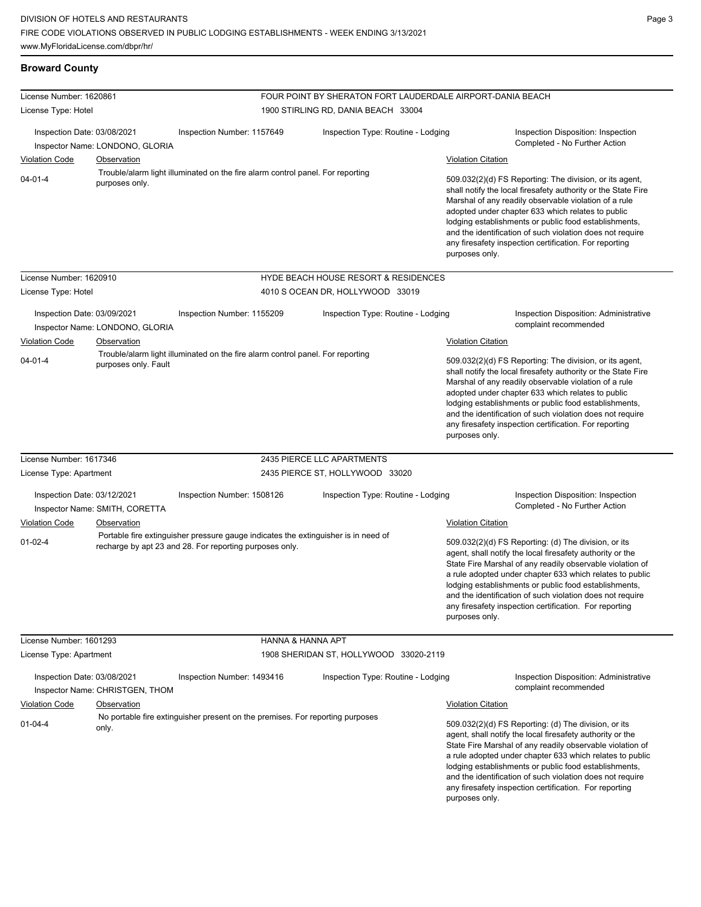## **Broward County**

| License Number: 1620861<br>License Type: Hotel |                                 |                                                                                                                                               | FOUR POINT BY SHERATON FORT LAUDERDALE AIRPORT-DANIA BEACH<br>1900 STIRLING RD, DANIA BEACH 33004 |                                                                                                                                                                                                                                                                                                                                                                                                                                              |
|------------------------------------------------|---------------------------------|-----------------------------------------------------------------------------------------------------------------------------------------------|---------------------------------------------------------------------------------------------------|----------------------------------------------------------------------------------------------------------------------------------------------------------------------------------------------------------------------------------------------------------------------------------------------------------------------------------------------------------------------------------------------------------------------------------------------|
|                                                |                                 |                                                                                                                                               |                                                                                                   |                                                                                                                                                                                                                                                                                                                                                                                                                                              |
| Inspection Date: 03/08/2021                    | Inspector Name: LONDONO, GLORIA | Inspection Number: 1157649                                                                                                                    | Inspection Type: Routine - Lodging                                                                | Inspection Disposition: Inspection<br>Completed - No Further Action                                                                                                                                                                                                                                                                                                                                                                          |
| <b>Violation Code</b>                          | Observation                     |                                                                                                                                               |                                                                                                   | <b>Violation Citation</b>                                                                                                                                                                                                                                                                                                                                                                                                                    |
| $04 - 01 - 4$<br>purposes only.                |                                 | Trouble/alarm light illuminated on the fire alarm control panel. For reporting                                                                |                                                                                                   | 509.032(2)(d) FS Reporting: The division, or its agent,<br>shall notify the local firesafety authority or the State Fire<br>Marshal of any readily observable violation of a rule<br>adopted under chapter 633 which relates to public<br>lodging establishments or public food establishments,<br>and the identification of such violation does not require<br>any firesafety inspection certification. For reporting<br>purposes only.     |
| License Number: 1620910                        |                                 |                                                                                                                                               | HYDE BEACH HOUSE RESORT & RESIDENCES                                                              |                                                                                                                                                                                                                                                                                                                                                                                                                                              |
| License Type: Hotel                            |                                 |                                                                                                                                               | 4010 S OCEAN DR, HOLLYWOOD 33019                                                                  |                                                                                                                                                                                                                                                                                                                                                                                                                                              |
| Inspection Date: 03/09/2021                    | Inspector Name: LONDONO, GLORIA | Inspection Number: 1155209<br>Inspection Type: Routine - Lodging                                                                              |                                                                                                   | Inspection Disposition: Administrative<br>complaint recommended                                                                                                                                                                                                                                                                                                                                                                              |
| <b>Violation Code</b>                          | Observation                     |                                                                                                                                               |                                                                                                   | <b>Violation Citation</b>                                                                                                                                                                                                                                                                                                                                                                                                                    |
| $04 - 01 - 4$                                  | purposes only. Fault            | Trouble/alarm light illuminated on the fire alarm control panel. For reporting                                                                |                                                                                                   | 509.032(2)(d) FS Reporting: The division, or its agent,<br>shall notify the local firesafety authority or the State Fire<br>Marshal of any readily observable violation of a rule<br>adopted under chapter 633 which relates to public<br>lodging establishments or public food establishments,<br>and the identification of such violation does not require<br>any firesafety inspection certification. For reporting<br>purposes only.     |
| License Number: 1617346                        |                                 |                                                                                                                                               | 2435 PIERCE LLC APARTMENTS                                                                        |                                                                                                                                                                                                                                                                                                                                                                                                                                              |
| License Type: Apartment                        |                                 |                                                                                                                                               | 2435 PIERCE ST, HOLLYWOOD 33020                                                                   |                                                                                                                                                                                                                                                                                                                                                                                                                                              |
| Inspection Date: 03/12/2021                    | Inspector Name: SMITH, CORETTA  | Inspection Number: 1508126                                                                                                                    | Inspection Type: Routine - Lodging                                                                | Inspection Disposition: Inspection<br>Completed - No Further Action                                                                                                                                                                                                                                                                                                                                                                          |
| <b>Violation Code</b>                          | Observation                     |                                                                                                                                               |                                                                                                   | <b>Violation Citation</b>                                                                                                                                                                                                                                                                                                                                                                                                                    |
| $01 - 02 - 4$                                  |                                 | Portable fire extinguisher pressure gauge indicates the extinguisher is in need of<br>recharge by apt 23 and 28. For reporting purposes only. |                                                                                                   | 509.032(2)(d) FS Reporting: (d) The division, or its<br>agent, shall notify the local firesafety authority or the<br>State Fire Marshal of any readily observable violation of<br>a rule adopted under chapter 633 which relates to public<br>lodging establishments or public food establishments,<br>and the identification of such violation does not require<br>any firesafety inspection certification. For reporting<br>purposes only. |
| License Number: 1601293                        |                                 | HANNA & HANNA APT                                                                                                                             |                                                                                                   |                                                                                                                                                                                                                                                                                                                                                                                                                                              |
| License Type: Apartment                        |                                 |                                                                                                                                               | 1908 SHERIDAN ST, HOLLYWOOD 33020-2119                                                            |                                                                                                                                                                                                                                                                                                                                                                                                                                              |
| Inspection Date: 03/08/2021                    | Inspector Name: CHRISTGEN, THOM | Inspection Number: 1493416                                                                                                                    | Inspection Type: Routine - Lodging                                                                | <b>Inspection Disposition: Administrative</b><br>complaint recommended                                                                                                                                                                                                                                                                                                                                                                       |
| <b>Violation Code</b>                          | Observation                     |                                                                                                                                               |                                                                                                   | <b>Violation Citation</b>                                                                                                                                                                                                                                                                                                                                                                                                                    |
| $01 - 04 - 4$                                  | only.                           | No portable fire extinguisher present on the premises. For reporting purposes                                                                 |                                                                                                   | 509.032(2)(d) FS Reporting: (d) The division, or its<br>agent, shall notify the local firesafety authority or the<br>State Fire Marshal of any readily observable violation of<br>a rule adopted under chapter 633 which relates to public<br>lodging establishments or public food establishments,<br>and the identification of such violation does not require<br>any firesafety inspection certification. For reporting<br>purposes only. |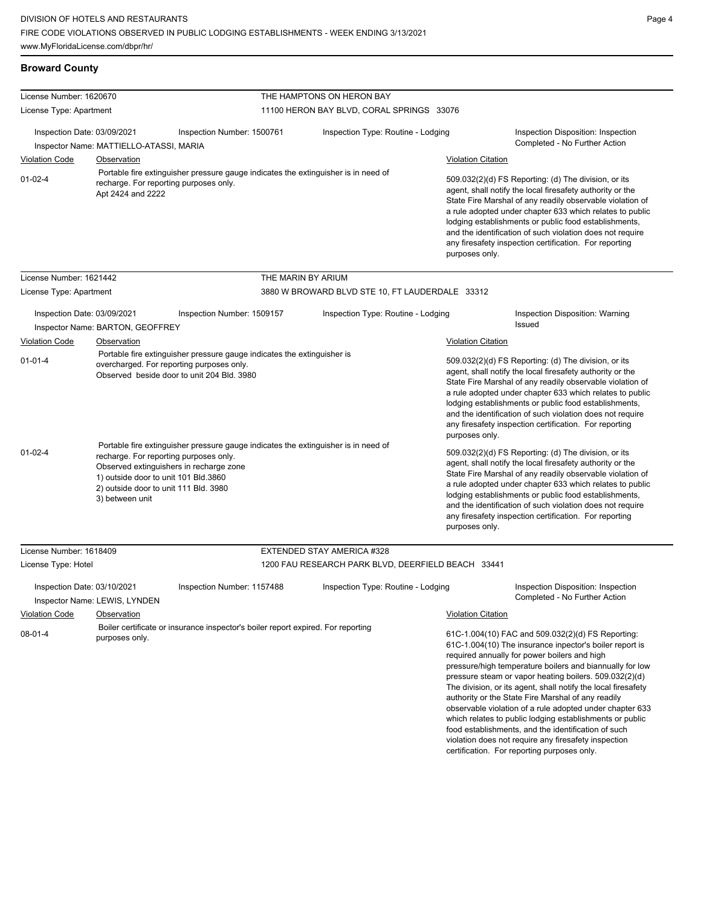## **Broward County**

| License Number: 1620670     |                                                                                                                                                                                       |                                                                                    | THE HAMPTONS ON HERON BAY                          |                                                                                                                                                                                                                                                                                                                                                                                                                                                                                                                                                                                                                                                                                                 |                                                                                                                                                                                                                                                                                                                                                                                                                                              |  |
|-----------------------------|---------------------------------------------------------------------------------------------------------------------------------------------------------------------------------------|------------------------------------------------------------------------------------|----------------------------------------------------|-------------------------------------------------------------------------------------------------------------------------------------------------------------------------------------------------------------------------------------------------------------------------------------------------------------------------------------------------------------------------------------------------------------------------------------------------------------------------------------------------------------------------------------------------------------------------------------------------------------------------------------------------------------------------------------------------|----------------------------------------------------------------------------------------------------------------------------------------------------------------------------------------------------------------------------------------------------------------------------------------------------------------------------------------------------------------------------------------------------------------------------------------------|--|
| License Type: Apartment     |                                                                                                                                                                                       |                                                                                    | 11100 HERON BAY BLVD, CORAL SPRINGS 33076          |                                                                                                                                                                                                                                                                                                                                                                                                                                                                                                                                                                                                                                                                                                 |                                                                                                                                                                                                                                                                                                                                                                                                                                              |  |
|                             |                                                                                                                                                                                       |                                                                                    |                                                    |                                                                                                                                                                                                                                                                                                                                                                                                                                                                                                                                                                                                                                                                                                 |                                                                                                                                                                                                                                                                                                                                                                                                                                              |  |
| Inspection Date: 03/09/2021 | Inspector Name: MATTIELLO-ATASSI, MARIA                                                                                                                                               | Inspection Number: 1500761                                                         | Inspection Type: Routine - Lodging                 |                                                                                                                                                                                                                                                                                                                                                                                                                                                                                                                                                                                                                                                                                                 | Inspection Disposition: Inspection<br>Completed - No Further Action                                                                                                                                                                                                                                                                                                                                                                          |  |
| <b>Violation Code</b>       | Observation                                                                                                                                                                           |                                                                                    |                                                    | <b>Violation Citation</b>                                                                                                                                                                                                                                                                                                                                                                                                                                                                                                                                                                                                                                                                       |                                                                                                                                                                                                                                                                                                                                                                                                                                              |  |
| $01 - 02 - 4$               | recharge. For reporting purposes only.<br>Apt 2424 and 2222                                                                                                                           | Portable fire extinguisher pressure gauge indicates the extinguisher is in need of |                                                    | purposes only.                                                                                                                                                                                                                                                                                                                                                                                                                                                                                                                                                                                                                                                                                  | 509.032(2)(d) FS Reporting: (d) The division, or its<br>agent, shall notify the local firesafety authority or the<br>State Fire Marshal of any readily observable violation of<br>a rule adopted under chapter 633 which relates to public<br>lodging establishments or public food establishments,<br>and the identification of such violation does not require<br>any firesafety inspection certification. For reporting                   |  |
| License Number: 1621442     |                                                                                                                                                                                       |                                                                                    | THE MARIN BY ARIUM                                 |                                                                                                                                                                                                                                                                                                                                                                                                                                                                                                                                                                                                                                                                                                 |                                                                                                                                                                                                                                                                                                                                                                                                                                              |  |
| License Type: Apartment     |                                                                                                                                                                                       |                                                                                    | 3880 W BROWARD BLVD STE 10, FT LAUDERDALE 33312    |                                                                                                                                                                                                                                                                                                                                                                                                                                                                                                                                                                                                                                                                                                 |                                                                                                                                                                                                                                                                                                                                                                                                                                              |  |
|                             |                                                                                                                                                                                       |                                                                                    |                                                    |                                                                                                                                                                                                                                                                                                                                                                                                                                                                                                                                                                                                                                                                                                 |                                                                                                                                                                                                                                                                                                                                                                                                                                              |  |
| Inspection Date: 03/09/2021 |                                                                                                                                                                                       | Inspection Number: 1509157                                                         | Inspection Type: Routine - Lodging                 |                                                                                                                                                                                                                                                                                                                                                                                                                                                                                                                                                                                                                                                                                                 | Inspection Disposition: Warning<br><b>Issued</b>                                                                                                                                                                                                                                                                                                                                                                                             |  |
| <b>Violation Code</b>       | Inspector Name: BARTON, GEOFFREY<br>Observation                                                                                                                                       |                                                                                    |                                                    |                                                                                                                                                                                                                                                                                                                                                                                                                                                                                                                                                                                                                                                                                                 |                                                                                                                                                                                                                                                                                                                                                                                                                                              |  |
|                             |                                                                                                                                                                                       | Portable fire extinguisher pressure gauge indicates the extinguisher is            |                                                    | <b>Violation Citation</b>                                                                                                                                                                                                                                                                                                                                                                                                                                                                                                                                                                                                                                                                       |                                                                                                                                                                                                                                                                                                                                                                                                                                              |  |
|                             | $01 - 01 - 4$<br>overcharged. For reporting purposes only.<br>Observed beside door to unit 204 Bld. 3980                                                                              |                                                                                    |                                                    |                                                                                                                                                                                                                                                                                                                                                                                                                                                                                                                                                                                                                                                                                                 | 509.032(2)(d) FS Reporting: (d) The division, or its<br>agent, shall notify the local firesafety authority or the<br>State Fire Marshal of any readily observable violation of<br>a rule adopted under chapter 633 which relates to public<br>lodging establishments or public food establishments,<br>and the identification of such violation does not require<br>any firesafety inspection certification. For reporting<br>purposes only. |  |
| $01 - 02 - 4$               | recharge. For reporting purposes only.<br>Observed extinguishers in recharge zone<br>1) outside door to unit 101 Bld.3860<br>2) outside door to unit 111 Bld. 3980<br>3) between unit | Portable fire extinguisher pressure gauge indicates the extinguisher is in need of |                                                    | 509.032(2)(d) FS Reporting: (d) The division, or its<br>agent, shall notify the local firesafety authority or the<br>State Fire Marshal of any readily observable violation of<br>a rule adopted under chapter 633 which relates to public<br>lodging establishments or public food establishments,<br>and the identification of such violation does not require<br>any firesafety inspection certification. For reporting<br>purposes only.                                                                                                                                                                                                                                                    |                                                                                                                                                                                                                                                                                                                                                                                                                                              |  |
| License Number: 1618409     |                                                                                                                                                                                       |                                                                                    | EXTENDED STAY AMERICA #328                         |                                                                                                                                                                                                                                                                                                                                                                                                                                                                                                                                                                                                                                                                                                 |                                                                                                                                                                                                                                                                                                                                                                                                                                              |  |
| License Type: Hotel         |                                                                                                                                                                                       |                                                                                    | 1200 FAU RESEARCH PARK BLVD, DEERFIELD BEACH 33441 |                                                                                                                                                                                                                                                                                                                                                                                                                                                                                                                                                                                                                                                                                                 |                                                                                                                                                                                                                                                                                                                                                                                                                                              |  |
| Inspection Date: 03/10/2021 | Inspector Name: LEWIS, LYNDEN                                                                                                                                                         | Inspection Number: 1157488                                                         | Inspection Type: Routine - Lodging                 |                                                                                                                                                                                                                                                                                                                                                                                                                                                                                                                                                                                                                                                                                                 | Inspection Disposition: Inspection<br>Completed - No Further Action                                                                                                                                                                                                                                                                                                                                                                          |  |
| Violation Code              | Observation                                                                                                                                                                           |                                                                                    |                                                    | <b>Violation Citation</b>                                                                                                                                                                                                                                                                                                                                                                                                                                                                                                                                                                                                                                                                       |                                                                                                                                                                                                                                                                                                                                                                                                                                              |  |
| $08-01-4$                   | Boiler certificate or insurance inspector's boiler report expired. For reporting<br>purposes only.                                                                                    |                                                                                    |                                                    | 61C-1.004(10) FAC and 509.032(2)(d) FS Reporting:<br>61C-1.004(10) The insurance inpector's boiler report is<br>required annually for power boilers and high<br>pressure/high temperature boilers and biannually for low<br>pressure steam or vapor heating boilers. 509.032(2)(d)<br>The division, or its agent, shall notify the local firesafety<br>authority or the State Fire Marshal of any readily<br>observable violation of a rule adopted under chapter 633<br>which relates to public lodging establishments or public<br>food establishments, and the identification of such<br>violation does not require any firesafety inspection<br>certification. For reporting purposes only. |                                                                                                                                                                                                                                                                                                                                                                                                                                              |  |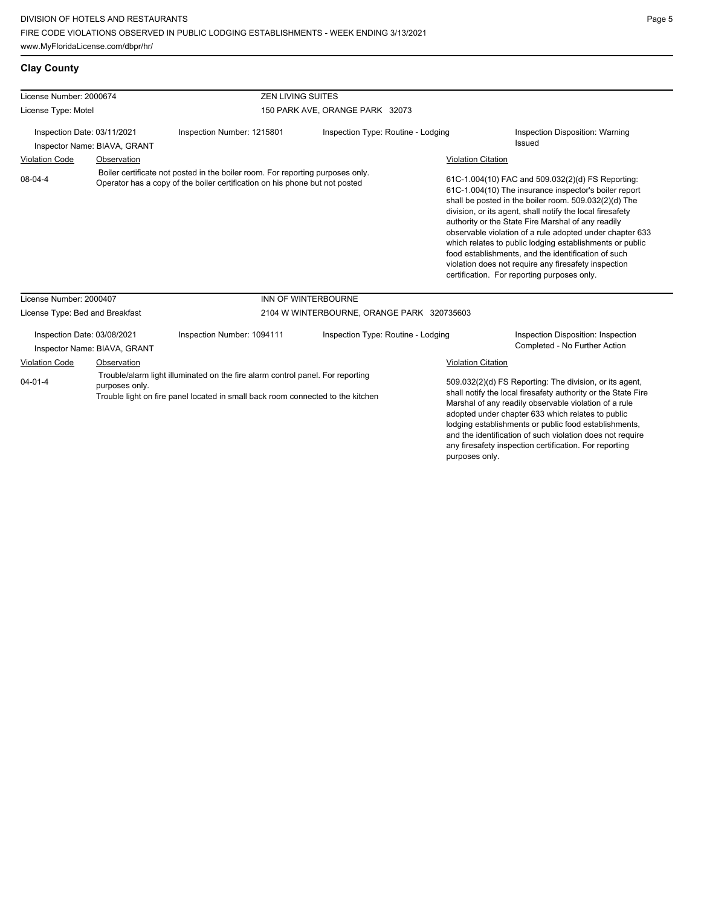| License Number: 2000674                                                                                                                                                                              |                              | <b>ZEN LIVING SUITES</b>                                                       |                                                                                                                                                                                                                                                                                                                                                                                                                                                                                                                         |                                                                                                                                                                                                                                                                                                                                                                                                                        |                                                                     |
|------------------------------------------------------------------------------------------------------------------------------------------------------------------------------------------------------|------------------------------|--------------------------------------------------------------------------------|-------------------------------------------------------------------------------------------------------------------------------------------------------------------------------------------------------------------------------------------------------------------------------------------------------------------------------------------------------------------------------------------------------------------------------------------------------------------------------------------------------------------------|------------------------------------------------------------------------------------------------------------------------------------------------------------------------------------------------------------------------------------------------------------------------------------------------------------------------------------------------------------------------------------------------------------------------|---------------------------------------------------------------------|
| License Type: Motel                                                                                                                                                                                  |                              |                                                                                | 150 PARK AVE, ORANGE PARK 32073                                                                                                                                                                                                                                                                                                                                                                                                                                                                                         |                                                                                                                                                                                                                                                                                                                                                                                                                        |                                                                     |
| Inspection Date: 03/11/2021<br>Inspector Name: BIAVA, GRANT                                                                                                                                          |                              | Inspection Number: 1215801                                                     | Inspection Type: Routine - Lodging                                                                                                                                                                                                                                                                                                                                                                                                                                                                                      |                                                                                                                                                                                                                                                                                                                                                                                                                        | Inspection Disposition: Warning<br>Issued                           |
| <b>Violation Code</b><br>08-04-4                                                                                                                                                                     | Observation                  | Boiler certificate not posted in the boiler room. For reporting purposes only. |                                                                                                                                                                                                                                                                                                                                                                                                                                                                                                                         | <b>Violation Citation</b>                                                                                                                                                                                                                                                                                                                                                                                              | 61C-1.004(10) FAC and 509.032(2)(d) FS Reporting:                   |
| Operator has a copy of the boiler certification on his phone but not posted                                                                                                                          |                              |                                                                                | 61C-1.004(10) The insurance inspector's boiler report<br>shall be posted in the boiler room. 509.032(2)(d) The<br>division, or its agent, shall notify the local firesafety<br>authority or the State Fire Marshal of any readily<br>observable violation of a rule adopted under chapter 633<br>which relates to public lodging establishments or public<br>food establishments, and the identification of such<br>violation does not require any firesafety inspection<br>certification. For reporting purposes only. |                                                                                                                                                                                                                                                                                                                                                                                                                        |                                                                     |
| License Number: 2000407                                                                                                                                                                              |                              |                                                                                | INN OF WINTERBOURNE                                                                                                                                                                                                                                                                                                                                                                                                                                                                                                     |                                                                                                                                                                                                                                                                                                                                                                                                                        |                                                                     |
| License Type: Bed and Breakfast                                                                                                                                                                      |                              | 2104 W WINTERBOURNE, ORANGE PARK 320735603                                     |                                                                                                                                                                                                                                                                                                                                                                                                                                                                                                                         |                                                                                                                                                                                                                                                                                                                                                                                                                        |                                                                     |
| Inspection Date: 03/08/2021                                                                                                                                                                          | Inspector Name: BIAVA, GRANT | Inspection Number: 1094111                                                     | Inspection Type: Routine - Lodging                                                                                                                                                                                                                                                                                                                                                                                                                                                                                      |                                                                                                                                                                                                                                                                                                                                                                                                                        | Inspection Disposition: Inspection<br>Completed - No Further Action |
| <b>Violation Code</b>                                                                                                                                                                                | Observation                  |                                                                                |                                                                                                                                                                                                                                                                                                                                                                                                                                                                                                                         | <b>Violation Citation</b>                                                                                                                                                                                                                                                                                                                                                                                              |                                                                     |
| Trouble/alarm light illuminated on the fire alarm control panel. For reporting<br>$04 - 01 - 4$<br>purposes only.<br>Trouble light on fire panel located in small back room connected to the kitchen |                              |                                                                                |                                                                                                                                                                                                                                                                                                                                                                                                                                                                                                                         | 509.032(2)(d) FS Reporting: The division, or its agent,<br>shall notify the local firesafety authority or the State Fire<br>Marshal of any readily observable violation of a rule<br>adopted under chapter 633 which relates to public<br>lodging establishments or public food establishments,<br>and the identification of such violation does not require<br>any firesafety inspection certification. For reporting |                                                                     |

purposes only.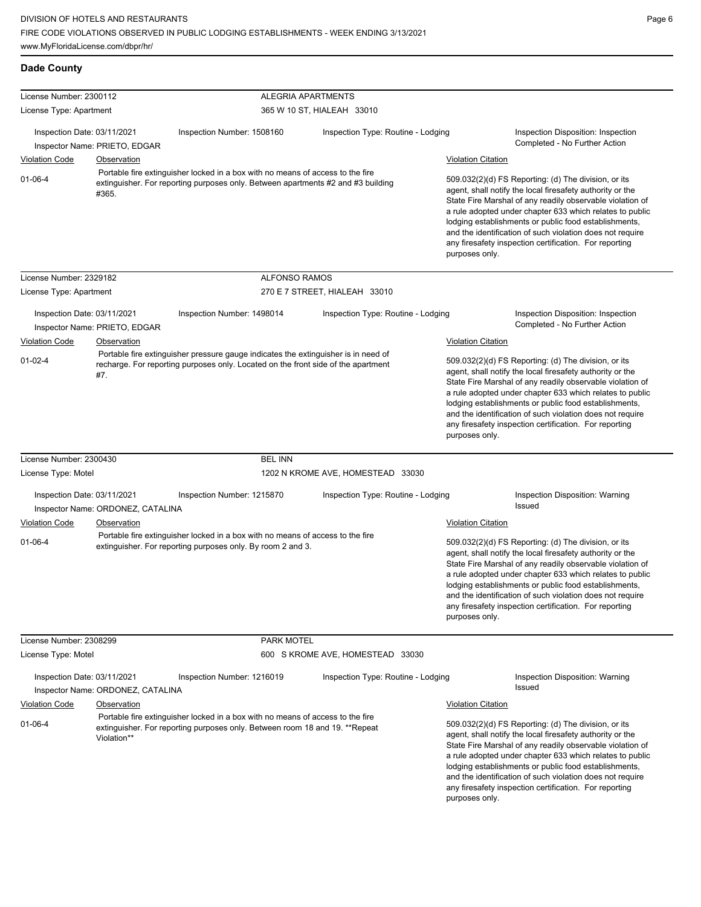| License Number: 2300112     |                                                                                                                                                                             |                                                                                                                                                                         | <b>ALEGRIA APARTMENTS</b>                                                                                                                                                                                                                                                                                                                                                                                                                    |                           |                                                                                                                                                                                                                                                                                                                                                                                                                            |
|-----------------------------|-----------------------------------------------------------------------------------------------------------------------------------------------------------------------------|-------------------------------------------------------------------------------------------------------------------------------------------------------------------------|----------------------------------------------------------------------------------------------------------------------------------------------------------------------------------------------------------------------------------------------------------------------------------------------------------------------------------------------------------------------------------------------------------------------------------------------|---------------------------|----------------------------------------------------------------------------------------------------------------------------------------------------------------------------------------------------------------------------------------------------------------------------------------------------------------------------------------------------------------------------------------------------------------------------|
| License Type: Apartment     |                                                                                                                                                                             |                                                                                                                                                                         | 365 W 10 ST, HIALEAH 33010                                                                                                                                                                                                                                                                                                                                                                                                                   |                           |                                                                                                                                                                                                                                                                                                                                                                                                                            |
| Inspection Date: 03/11/2021 | Inspector Name: PRIETO, EDGAR                                                                                                                                               | Inspection Number: 1508160                                                                                                                                              | Inspection Type: Routine - Lodging                                                                                                                                                                                                                                                                                                                                                                                                           |                           | Inspection Disposition: Inspection<br>Completed - No Further Action                                                                                                                                                                                                                                                                                                                                                        |
| <b>Violation Code</b>       | Observation                                                                                                                                                                 |                                                                                                                                                                         |                                                                                                                                                                                                                                                                                                                                                                                                                                              | <b>Violation Citation</b> |                                                                                                                                                                                                                                                                                                                                                                                                                            |
| $01 - 06 - 4$               | Portable fire extinguisher locked in a box with no means of access to the fire<br>extinguisher. For reporting purposes only. Between apartments #2 and #3 building<br>#365. |                                                                                                                                                                         | 509.032(2)(d) FS Reporting: (d) The division, or its<br>agent, shall notify the local firesafety authority or the<br>State Fire Marshal of any readily observable violation of<br>a rule adopted under chapter 633 which relates to public<br>lodging establishments or public food establishments,<br>and the identification of such violation does not require<br>any firesafety inspection certification. For reporting<br>purposes only. |                           |                                                                                                                                                                                                                                                                                                                                                                                                                            |
| License Number: 2329182     |                                                                                                                                                                             | <b>ALFONSO RAMOS</b>                                                                                                                                                    |                                                                                                                                                                                                                                                                                                                                                                                                                                              |                           |                                                                                                                                                                                                                                                                                                                                                                                                                            |
| License Type: Apartment     |                                                                                                                                                                             |                                                                                                                                                                         | 270 E 7 STREET, HIALEAH 33010                                                                                                                                                                                                                                                                                                                                                                                                                |                           |                                                                                                                                                                                                                                                                                                                                                                                                                            |
| Inspection Date: 03/11/2021 | Inspector Name: PRIETO, EDGAR                                                                                                                                               | Inspection Number: 1498014                                                                                                                                              | Inspection Type: Routine - Lodging                                                                                                                                                                                                                                                                                                                                                                                                           |                           | Inspection Disposition: Inspection<br>Completed - No Further Action                                                                                                                                                                                                                                                                                                                                                        |
| Violation Code              | Observation                                                                                                                                                                 |                                                                                                                                                                         |                                                                                                                                                                                                                                                                                                                                                                                                                                              | <b>Violation Citation</b> |                                                                                                                                                                                                                                                                                                                                                                                                                            |
| $01 - 02 - 4$               | #7.                                                                                                                                                                         | Portable fire extinguisher pressure gauge indicates the extinguisher is in need of<br>recharge. For reporting purposes only. Located on the front side of the apartment |                                                                                                                                                                                                                                                                                                                                                                                                                                              | purposes only.            | 509.032(2)(d) FS Reporting: (d) The division, or its<br>agent, shall notify the local firesafety authority or the<br>State Fire Marshal of any readily observable violation of<br>a rule adopted under chapter 633 which relates to public<br>lodging establishments or public food establishments,<br>and the identification of such violation does not require<br>any firesafety inspection certification. For reporting |
| License Number: 2300430     |                                                                                                                                                                             | <b>BEL INN</b>                                                                                                                                                          |                                                                                                                                                                                                                                                                                                                                                                                                                                              |                           |                                                                                                                                                                                                                                                                                                                                                                                                                            |
| License Type: Motel         |                                                                                                                                                                             |                                                                                                                                                                         | 1202 N KROME AVE, HOMESTEAD 33030                                                                                                                                                                                                                                                                                                                                                                                                            |                           |                                                                                                                                                                                                                                                                                                                                                                                                                            |
| Inspection Date: 03/11/2021 | Inspector Name: ORDONEZ, CATALINA                                                                                                                                           | Inspection Number: 1215870                                                                                                                                              | Inspection Type: Routine - Lodging                                                                                                                                                                                                                                                                                                                                                                                                           |                           | Inspection Disposition: Warning<br>Issued                                                                                                                                                                                                                                                                                                                                                                                  |
| <b>Violation Code</b>       | Observation                                                                                                                                                                 |                                                                                                                                                                         |                                                                                                                                                                                                                                                                                                                                                                                                                                              | <b>Violation Citation</b> |                                                                                                                                                                                                                                                                                                                                                                                                                            |
| $01 - 06 - 4$               |                                                                                                                                                                             | Portable fire extinguisher locked in a box with no means of access to the fire<br>extinguisher. For reporting purposes only. By room 2 and 3.                           |                                                                                                                                                                                                                                                                                                                                                                                                                                              | purposes only.            | 509.032(2)(d) FS Reporting: (d) The division, or its<br>agent, shall notify the local firesafety authority or the<br>State Fire Marshal of any readily observable violation of<br>a rule adopted under chapter 633 which relates to public<br>lodging establishments or public food establishments,<br>and the identification of such violation does not require<br>any firesafety inspection certification. For reporting |
| License Number: 2308299     |                                                                                                                                                                             | PARK MOTEL                                                                                                                                                              |                                                                                                                                                                                                                                                                                                                                                                                                                                              |                           |                                                                                                                                                                                                                                                                                                                                                                                                                            |
| License Type: Motel         |                                                                                                                                                                             |                                                                                                                                                                         | 600 S KROME AVE, HOMESTEAD 33030                                                                                                                                                                                                                                                                                                                                                                                                             |                           |                                                                                                                                                                                                                                                                                                                                                                                                                            |
| Inspection Date: 03/11/2021 | Inspector Name: ORDONEZ, CATALINA                                                                                                                                           | Inspection Number: 1216019                                                                                                                                              | Inspection Type: Routine - Lodging                                                                                                                                                                                                                                                                                                                                                                                                           |                           | Inspection Disposition: Warning<br>Issued                                                                                                                                                                                                                                                                                                                                                                                  |
| <b>Violation Code</b>       | Observation                                                                                                                                                                 |                                                                                                                                                                         |                                                                                                                                                                                                                                                                                                                                                                                                                                              | <b>Violation Citation</b> |                                                                                                                                                                                                                                                                                                                                                                                                                            |
| $01 - 06 - 4$               | Violation**                                                                                                                                                                 | Portable fire extinguisher locked in a box with no means of access to the fire<br>extinguisher. For reporting purposes only. Between room 18 and 19. **Repeat           |                                                                                                                                                                                                                                                                                                                                                                                                                                              | purposes only.            | 509.032(2)(d) FS Reporting: (d) The division, or its<br>agent, shall notify the local firesafety authority or the<br>State Fire Marshal of any readily observable violation of<br>a rule adopted under chapter 633 which relates to public<br>lodging establishments or public food establishments,<br>and the identification of such violation does not require<br>any firesafety inspection certification. For reporting |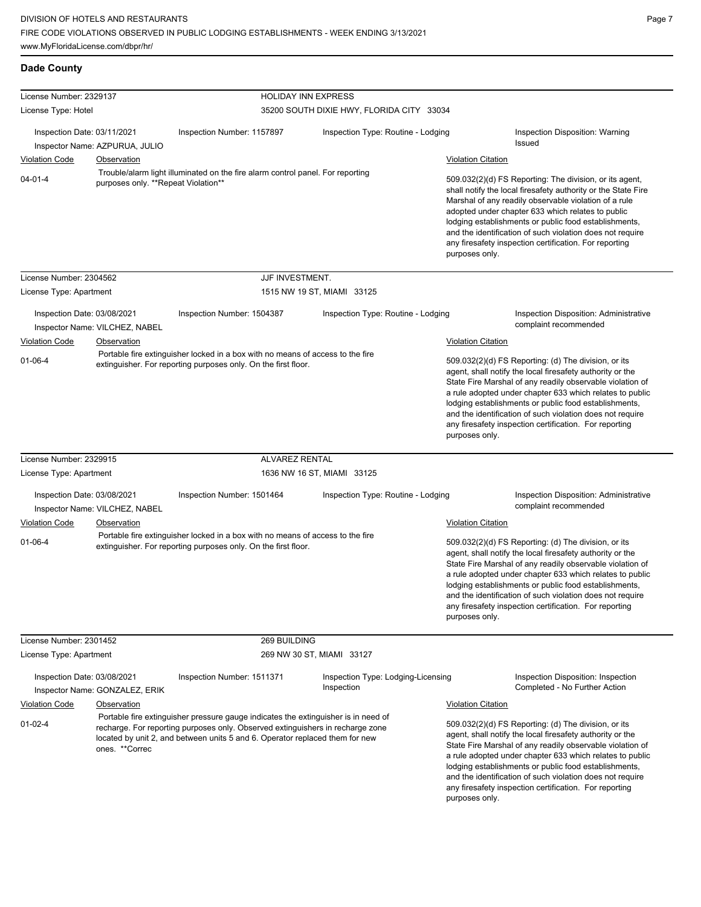| License Number: 2329137                              |                                                                |                                                                                                                                                                                                                                                      | <b>HOLIDAY INN EXPRESS</b>                                                     |                                                                                                                                                                                                                                                                                                                                                                                                                                              |                                                                                                                                                                                                                                                                                                                                                                                                                                              |  |
|------------------------------------------------------|----------------------------------------------------------------|------------------------------------------------------------------------------------------------------------------------------------------------------------------------------------------------------------------------------------------------------|--------------------------------------------------------------------------------|----------------------------------------------------------------------------------------------------------------------------------------------------------------------------------------------------------------------------------------------------------------------------------------------------------------------------------------------------------------------------------------------------------------------------------------------|----------------------------------------------------------------------------------------------------------------------------------------------------------------------------------------------------------------------------------------------------------------------------------------------------------------------------------------------------------------------------------------------------------------------------------------------|--|
| License Type: Hotel                                  |                                                                |                                                                                                                                                                                                                                                      | 35200 SOUTH DIXIE HWY, FLORIDA CITY 33034                                      |                                                                                                                                                                                                                                                                                                                                                                                                                                              |                                                                                                                                                                                                                                                                                                                                                                                                                                              |  |
|                                                      |                                                                |                                                                                                                                                                                                                                                      |                                                                                |                                                                                                                                                                                                                                                                                                                                                                                                                                              |                                                                                                                                                                                                                                                                                                                                                                                                                                              |  |
| Inspection Date: 03/11/2021                          |                                                                | Inspection Number: 1157897                                                                                                                                                                                                                           | Inspection Type: Routine - Lodging                                             |                                                                                                                                                                                                                                                                                                                                                                                                                                              | Inspection Disposition: Warning<br>Issued                                                                                                                                                                                                                                                                                                                                                                                                    |  |
|                                                      | Inspector Name: AZPURUA, JULIO                                 |                                                                                                                                                                                                                                                      |                                                                                |                                                                                                                                                                                                                                                                                                                                                                                                                                              |                                                                                                                                                                                                                                                                                                                                                                                                                                              |  |
| <b>Violation Code</b>                                | Observation                                                    |                                                                                                                                                                                                                                                      |                                                                                | <b>Violation Citation</b>                                                                                                                                                                                                                                                                                                                                                                                                                    |                                                                                                                                                                                                                                                                                                                                                                                                                                              |  |
| $04 - 01 - 4$<br>purposes only. **Repeat Violation** |                                                                | Trouble/alarm light illuminated on the fire alarm control panel. For reporting                                                                                                                                                                       |                                                                                | purposes only.                                                                                                                                                                                                                                                                                                                                                                                                                               | 509.032(2)(d) FS Reporting: The division, or its agent,<br>shall notify the local firesafety authority or the State Fire<br>Marshal of any readily observable violation of a rule<br>adopted under chapter 633 which relates to public<br>lodging establishments or public food establishments,<br>and the identification of such violation does not require<br>any firesafety inspection certification. For reporting                       |  |
| License Number: 2304562                              |                                                                | JJF INVESTMENT.                                                                                                                                                                                                                                      |                                                                                |                                                                                                                                                                                                                                                                                                                                                                                                                                              |                                                                                                                                                                                                                                                                                                                                                                                                                                              |  |
| License Type: Apartment                              |                                                                |                                                                                                                                                                                                                                                      | 1515 NW 19 ST, MIAMI 33125                                                     |                                                                                                                                                                                                                                                                                                                                                                                                                                              |                                                                                                                                                                                                                                                                                                                                                                                                                                              |  |
| Inspection Date: 03/08/2021                          | Inspector Name: VILCHEZ, NABEL                                 | Inspection Number: 1504387                                                                                                                                                                                                                           | Inspection Type: Routine - Lodging                                             |                                                                                                                                                                                                                                                                                                                                                                                                                                              | <b>Inspection Disposition: Administrative</b><br>complaint recommended                                                                                                                                                                                                                                                                                                                                                                       |  |
| <b>Violation Code</b>                                | Observation                                                    |                                                                                                                                                                                                                                                      |                                                                                | <b>Violation Citation</b>                                                                                                                                                                                                                                                                                                                                                                                                                    |                                                                                                                                                                                                                                                                                                                                                                                                                                              |  |
| $01 - 06 - 4$                                        |                                                                | Portable fire extinguisher locked in a box with no means of access to the fire                                                                                                                                                                       |                                                                                |                                                                                                                                                                                                                                                                                                                                                                                                                                              | 509.032(2)(d) FS Reporting: (d) The division, or its                                                                                                                                                                                                                                                                                                                                                                                         |  |
|                                                      | extinguisher. For reporting purposes only. On the first floor. |                                                                                                                                                                                                                                                      |                                                                                |                                                                                                                                                                                                                                                                                                                                                                                                                                              | agent, shall notify the local firesafety authority or the<br>State Fire Marshal of any readily observable violation of<br>a rule adopted under chapter 633 which relates to public<br>lodging establishments or public food establishments,<br>and the identification of such violation does not require<br>any firesafety inspection certification. For reporting<br>purposes only.                                                         |  |
| License Number: 2329915                              |                                                                | <b>ALVAREZ RENTAL</b>                                                                                                                                                                                                                                |                                                                                |                                                                                                                                                                                                                                                                                                                                                                                                                                              |                                                                                                                                                                                                                                                                                                                                                                                                                                              |  |
| License Type: Apartment                              |                                                                |                                                                                                                                                                                                                                                      | 1636 NW 16 ST, MIAMI 33125                                                     |                                                                                                                                                                                                                                                                                                                                                                                                                                              |                                                                                                                                                                                                                                                                                                                                                                                                                                              |  |
| Inspection Date: 03/08/2021                          | Inspector Name: VILCHEZ, NABEL                                 | Inspection Number: 1501464                                                                                                                                                                                                                           | Inspection Type: Routine - Lodging                                             |                                                                                                                                                                                                                                                                                                                                                                                                                                              | Inspection Disposition: Administrative<br>complaint recommended                                                                                                                                                                                                                                                                                                                                                                              |  |
| <b>Violation Code</b>                                | Observation                                                    |                                                                                                                                                                                                                                                      |                                                                                | <b>Violation Citation</b>                                                                                                                                                                                                                                                                                                                                                                                                                    |                                                                                                                                                                                                                                                                                                                                                                                                                                              |  |
| $01 - 06 - 4$                                        |                                                                | extinguisher. For reporting purposes only. On the first floor.                                                                                                                                                                                       | Portable fire extinguisher locked in a box with no means of access to the fire |                                                                                                                                                                                                                                                                                                                                                                                                                                              | 509.032(2)(d) FS Reporting: (d) The division, or its<br>agent, shall notify the local firesafety authority or the<br>State Fire Marshal of any readily observable violation of<br>a rule adopted under chapter 633 which relates to public<br>lodging establishments or public food establishments,<br>and the identification of such violation does not require<br>any firesafety inspection certification. For reporting<br>purposes only. |  |
| License Number: 2301452                              |                                                                | 269 BUILDING                                                                                                                                                                                                                                         |                                                                                |                                                                                                                                                                                                                                                                                                                                                                                                                                              |                                                                                                                                                                                                                                                                                                                                                                                                                                              |  |
| License Type: Apartment                              |                                                                |                                                                                                                                                                                                                                                      | 269 NW 30 ST, MIAMI 33127                                                      |                                                                                                                                                                                                                                                                                                                                                                                                                                              |                                                                                                                                                                                                                                                                                                                                                                                                                                              |  |
| Inspection Date: 03/08/2021                          | Inspector Name: GONZALEZ, ERIK                                 | Inspection Number: 1511371                                                                                                                                                                                                                           | Inspection Type: Lodging-Licensing<br>Inspection                               |                                                                                                                                                                                                                                                                                                                                                                                                                                              | Inspection Disposition: Inspection<br>Completed - No Further Action                                                                                                                                                                                                                                                                                                                                                                          |  |
| <b>Violation Code</b>                                | Observation                                                    |                                                                                                                                                                                                                                                      |                                                                                | <b>Violation Citation</b>                                                                                                                                                                                                                                                                                                                                                                                                                    |                                                                                                                                                                                                                                                                                                                                                                                                                                              |  |
| $01 - 02 - 4$<br>ones. **Correc                      |                                                                | Portable fire extinguisher pressure gauge indicates the extinguisher is in need of<br>recharge. For reporting purposes only. Observed extinguishers in recharge zone<br>located by unit 2, and between units 5 and 6. Operator replaced them for new |                                                                                | 509.032(2)(d) FS Reporting: (d) The division, or its<br>agent, shall notify the local firesafety authority or the<br>State Fire Marshal of any readily observable violation of<br>a rule adopted under chapter 633 which relates to public<br>lodging establishments or public food establishments,<br>and the identification of such violation does not require<br>any firesafety inspection certification. For reporting<br>purposes only. |                                                                                                                                                                                                                                                                                                                                                                                                                                              |  |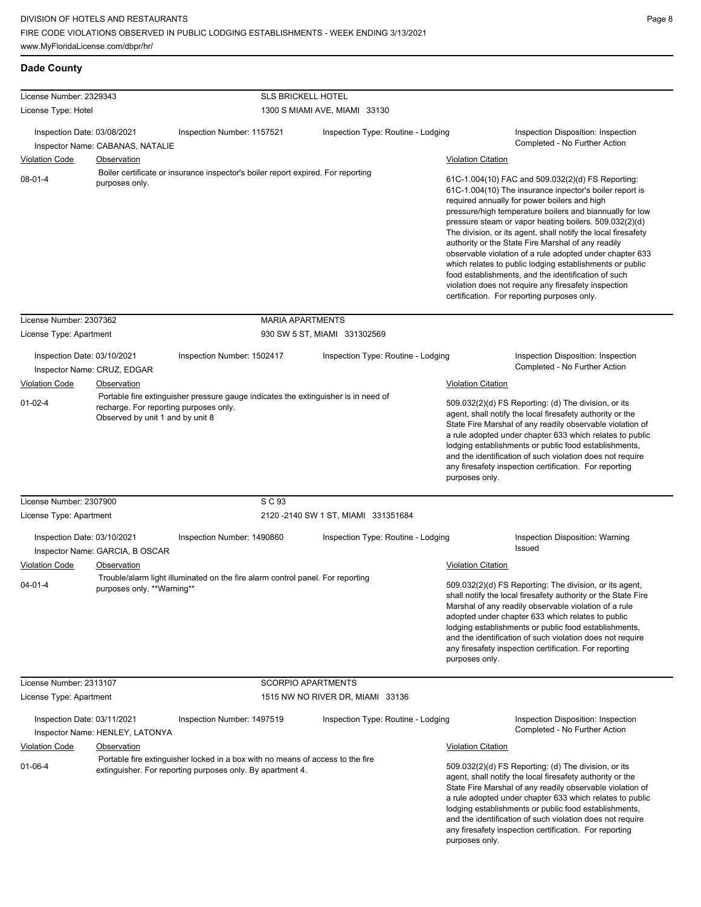| <b>Dade County</b> |  |
|--------------------|--|
|--------------------|--|

| License Number: 2329343                                                                                                                                                                             |                                  | <b>SLS BRICKELL HOTEL</b>                                                                                                                                                                                                                                                                                                                                                                                                  |                                      |                           |                                                                                                                                                                                                                                                                                                                                                                                                                                                                                                                                                                                                                                                                                                 |
|-----------------------------------------------------------------------------------------------------------------------------------------------------------------------------------------------------|----------------------------------|----------------------------------------------------------------------------------------------------------------------------------------------------------------------------------------------------------------------------------------------------------------------------------------------------------------------------------------------------------------------------------------------------------------------------|--------------------------------------|---------------------------|-------------------------------------------------------------------------------------------------------------------------------------------------------------------------------------------------------------------------------------------------------------------------------------------------------------------------------------------------------------------------------------------------------------------------------------------------------------------------------------------------------------------------------------------------------------------------------------------------------------------------------------------------------------------------------------------------|
| License Type: Hotel                                                                                                                                                                                 |                                  |                                                                                                                                                                                                                                                                                                                                                                                                                            | 1300 S MIAMI AVE, MIAMI 33130        |                           |                                                                                                                                                                                                                                                                                                                                                                                                                                                                                                                                                                                                                                                                                                 |
| Inspection Date: 03/08/2021                                                                                                                                                                         | Inspector Name: CABANAS, NATALIE | Inspection Number: 1157521                                                                                                                                                                                                                                                                                                                                                                                                 | Inspection Type: Routine - Lodging   |                           | Inspection Disposition: Inspection<br>Completed - No Further Action                                                                                                                                                                                                                                                                                                                                                                                                                                                                                                                                                                                                                             |
| <b>Violation Code</b>                                                                                                                                                                               | <b>Observation</b>               |                                                                                                                                                                                                                                                                                                                                                                                                                            |                                      | <b>Violation Citation</b> |                                                                                                                                                                                                                                                                                                                                                                                                                                                                                                                                                                                                                                                                                                 |
| $08 - 01 - 4$                                                                                                                                                                                       | purposes only.                   | Boiler certificate or insurance inspector's boiler report expired. For reporting                                                                                                                                                                                                                                                                                                                                           |                                      |                           | 61C-1.004(10) FAC and 509.032(2)(d) FS Reporting:<br>61C-1.004(10) The insurance inpector's boiler report is<br>required annually for power boilers and high<br>pressure/high temperature boilers and biannually for low<br>pressure steam or vapor heating boilers. 509.032(2)(d)<br>The division, or its agent, shall notify the local firesafety<br>authority or the State Fire Marshal of any readily<br>observable violation of a rule adopted under chapter 633<br>which relates to public lodging establishments or public<br>food establishments, and the identification of such<br>violation does not require any firesafety inspection<br>certification. For reporting purposes only. |
| License Number: 2307362                                                                                                                                                                             |                                  | <b>MARIA APARTMENTS</b>                                                                                                                                                                                                                                                                                                                                                                                                    |                                      |                           |                                                                                                                                                                                                                                                                                                                                                                                                                                                                                                                                                                                                                                                                                                 |
| License Type: Apartment                                                                                                                                                                             |                                  |                                                                                                                                                                                                                                                                                                                                                                                                                            | 930 SW 5 ST, MIAMI 331302569         |                           |                                                                                                                                                                                                                                                                                                                                                                                                                                                                                                                                                                                                                                                                                                 |
| Inspection Date: 03/10/2021                                                                                                                                                                         | Inspector Name: CRUZ, EDGAR      | Inspection Number: 1502417                                                                                                                                                                                                                                                                                                                                                                                                 | Inspection Type: Routine - Lodging   |                           | Inspection Disposition: Inspection<br>Completed - No Further Action                                                                                                                                                                                                                                                                                                                                                                                                                                                                                                                                                                                                                             |
| Violation Code                                                                                                                                                                                      | Observation                      |                                                                                                                                                                                                                                                                                                                                                                                                                            |                                      | <b>Violation Citation</b> |                                                                                                                                                                                                                                                                                                                                                                                                                                                                                                                                                                                                                                                                                                 |
| Portable fire extinguisher pressure gauge indicates the extinguisher is in need of<br>$01 - 02 - 4$<br>recharge. For reporting purposes only.<br>Observed by unit 1 and by unit 8<br>purposes only. |                                  | 509.032(2)(d) FS Reporting: (d) The division, or its<br>agent, shall notify the local firesafety authority or the<br>State Fire Marshal of any readily observable violation of<br>a rule adopted under chapter 633 which relates to public<br>lodging establishments or public food establishments,<br>and the identification of such violation does not require<br>any firesafety inspection certification. For reporting |                                      |                           |                                                                                                                                                                                                                                                                                                                                                                                                                                                                                                                                                                                                                                                                                                 |
| License Number: 2307900                                                                                                                                                                             |                                  | S C 93                                                                                                                                                                                                                                                                                                                                                                                                                     |                                      |                           |                                                                                                                                                                                                                                                                                                                                                                                                                                                                                                                                                                                                                                                                                                 |
| License Type: Apartment                                                                                                                                                                             |                                  |                                                                                                                                                                                                                                                                                                                                                                                                                            | 2120 - 2140 SW 1 ST, MIAMI 331351684 |                           |                                                                                                                                                                                                                                                                                                                                                                                                                                                                                                                                                                                                                                                                                                 |
| Inspection Date: 03/10/2021                                                                                                                                                                         | Inspector Name: GARCIA, B OSCAR  | Inspection Number: 1490860                                                                                                                                                                                                                                                                                                                                                                                                 | Inspection Type: Routine - Lodging   |                           | Inspection Disposition: Warning<br>Issued                                                                                                                                                                                                                                                                                                                                                                                                                                                                                                                                                                                                                                                       |
| <b>Violation Code</b>                                                                                                                                                                               | Observation                      |                                                                                                                                                                                                                                                                                                                                                                                                                            |                                      | <b>Violation Citation</b> |                                                                                                                                                                                                                                                                                                                                                                                                                                                                                                                                                                                                                                                                                                 |
| $04 - 01 - 4$                                                                                                                                                                                       | purposes only. **Warning**       | Trouble/alarm light illuminated on the fire alarm control panel. For reporting                                                                                                                                                                                                                                                                                                                                             |                                      | purposes only.            | 509.032(2)(d) FS Reporting: The division, or its agent,<br>shall notify the local firesafety authority or the State Fire<br>Marshal of any readily observable violation of a rule<br>adopted under chapter 633 which relates to public<br>lodging establishments or public food establishments,<br>and the identification of such violation does not require<br>any firesafety inspection certification. For reporting                                                                                                                                                                                                                                                                          |
| License Number: 2313107                                                                                                                                                                             |                                  | <b>SCORPIO APARTMENTS</b>                                                                                                                                                                                                                                                                                                                                                                                                  |                                      |                           |                                                                                                                                                                                                                                                                                                                                                                                                                                                                                                                                                                                                                                                                                                 |
| License Type: Apartment                                                                                                                                                                             |                                  |                                                                                                                                                                                                                                                                                                                                                                                                                            | 1515 NW NO RIVER DR, MIAMI 33136     |                           |                                                                                                                                                                                                                                                                                                                                                                                                                                                                                                                                                                                                                                                                                                 |
| Inspection Date: 03/11/2021                                                                                                                                                                         | Inspector Name: HENLEY, LATONYA  | Inspection Number: 1497519                                                                                                                                                                                                                                                                                                                                                                                                 | Inspection Type: Routine - Lodging   |                           | Inspection Disposition: Inspection<br>Completed - No Further Action                                                                                                                                                                                                                                                                                                                                                                                                                                                                                                                                                                                                                             |
| <b>Violation Code</b>                                                                                                                                                                               | Observation                      |                                                                                                                                                                                                                                                                                                                                                                                                                            |                                      | <b>Violation Citation</b> |                                                                                                                                                                                                                                                                                                                                                                                                                                                                                                                                                                                                                                                                                                 |
| $01 - 06 - 4$                                                                                                                                                                                       |                                  | Portable fire extinguisher locked in a box with no means of access to the fire<br>extinguisher. For reporting purposes only. By apartment 4.                                                                                                                                                                                                                                                                               |                                      | purposes only.            | 509.032(2)(d) FS Reporting: (d) The division, or its<br>agent, shall notify the local firesafety authority or the<br>State Fire Marshal of any readily observable violation of<br>a rule adopted under chapter 633 which relates to public<br>lodging establishments or public food establishments,<br>and the identification of such violation does not require<br>any firesafety inspection certification. For reporting                                                                                                                                                                                                                                                                      |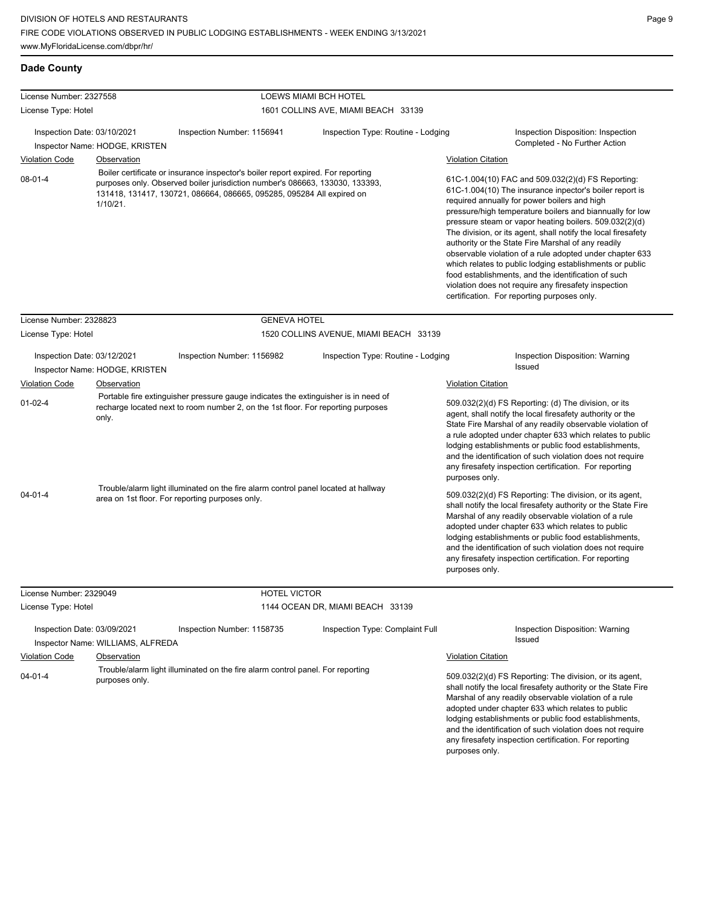| License Number: 2327558                |                                                                                                                                                                                                                                                                      |                                                                                                                                                                        | LOEWS MIAMI BCH HOTEL                  |                                                                                                                                                                                                                                                                                                                                                                                                                                                                                                                                                                                                                                                                                                 |                                                                                                                                                                                                                                                                                                                                                                                                                            |
|----------------------------------------|----------------------------------------------------------------------------------------------------------------------------------------------------------------------------------------------------------------------------------------------------------------------|------------------------------------------------------------------------------------------------------------------------------------------------------------------------|----------------------------------------|-------------------------------------------------------------------------------------------------------------------------------------------------------------------------------------------------------------------------------------------------------------------------------------------------------------------------------------------------------------------------------------------------------------------------------------------------------------------------------------------------------------------------------------------------------------------------------------------------------------------------------------------------------------------------------------------------|----------------------------------------------------------------------------------------------------------------------------------------------------------------------------------------------------------------------------------------------------------------------------------------------------------------------------------------------------------------------------------------------------------------------------|
| License Type: Hotel                    |                                                                                                                                                                                                                                                                      |                                                                                                                                                                        | 1601 COLLINS AVE, MIAMI BEACH 33139    |                                                                                                                                                                                                                                                                                                                                                                                                                                                                                                                                                                                                                                                                                                 |                                                                                                                                                                                                                                                                                                                                                                                                                            |
| Inspection Date: 03/10/2021            | Inspector Name: HODGE, KRISTEN                                                                                                                                                                                                                                       | Inspection Number: 1156941                                                                                                                                             | Inspection Type: Routine - Lodging     |                                                                                                                                                                                                                                                                                                                                                                                                                                                                                                                                                                                                                                                                                                 | Inspection Disposition: Inspection<br>Completed - No Further Action                                                                                                                                                                                                                                                                                                                                                        |
| <b>Violation Code</b>                  |                                                                                                                                                                                                                                                                      |                                                                                                                                                                        |                                        | <b>Violation Citation</b>                                                                                                                                                                                                                                                                                                                                                                                                                                                                                                                                                                                                                                                                       |                                                                                                                                                                                                                                                                                                                                                                                                                            |
| $08 - 01 - 4$                          | Observation<br>Boiler certificate or insurance inspector's boiler report expired. For reporting<br>purposes only. Observed boiler jurisdiction number's 086663, 133030, 133393,<br>131418, 131417, 130721, 086664, 086665, 095285, 095284 All expired on<br>1/10/21. |                                                                                                                                                                        |                                        | 61C-1.004(10) FAC and 509.032(2)(d) FS Reporting:<br>61C-1.004(10) The insurance inpector's boiler report is<br>required annually for power boilers and high<br>pressure/high temperature boilers and biannually for low<br>pressure steam or vapor heating boilers. 509.032(2)(d)<br>The division, or its agent, shall notify the local firesafety<br>authority or the State Fire Marshal of any readily<br>observable violation of a rule adopted under chapter 633<br>which relates to public lodging establishments or public<br>food establishments, and the identification of such<br>violation does not require any firesafety inspection<br>certification. For reporting purposes only. |                                                                                                                                                                                                                                                                                                                                                                                                                            |
|                                        |                                                                                                                                                                                                                                                                      |                                                                                                                                                                        |                                        |                                                                                                                                                                                                                                                                                                                                                                                                                                                                                                                                                                                                                                                                                                 |                                                                                                                                                                                                                                                                                                                                                                                                                            |
| License Number: 2328823                |                                                                                                                                                                                                                                                                      | <b>GENEVA HOTEL</b>                                                                                                                                                    |                                        |                                                                                                                                                                                                                                                                                                                                                                                                                                                                                                                                                                                                                                                                                                 |                                                                                                                                                                                                                                                                                                                                                                                                                            |
| License Type: Hotel                    |                                                                                                                                                                                                                                                                      |                                                                                                                                                                        | 1520 COLLINS AVENUE, MIAMI BEACH 33139 |                                                                                                                                                                                                                                                                                                                                                                                                                                                                                                                                                                                                                                                                                                 |                                                                                                                                                                                                                                                                                                                                                                                                                            |
| Inspection Date: 03/12/2021            | Inspector Name: HODGE, KRISTEN                                                                                                                                                                                                                                       | Inspection Number: 1156982                                                                                                                                             | Inspection Type: Routine - Lodging     |                                                                                                                                                                                                                                                                                                                                                                                                                                                                                                                                                                                                                                                                                                 | <b>Inspection Disposition: Warning</b><br>Issued                                                                                                                                                                                                                                                                                                                                                                           |
| <b>Violation Code</b>                  | Observation                                                                                                                                                                                                                                                          |                                                                                                                                                                        |                                        | <b>Violation Citation</b>                                                                                                                                                                                                                                                                                                                                                                                                                                                                                                                                                                                                                                                                       |                                                                                                                                                                                                                                                                                                                                                                                                                            |
| $01 - 02 - 4$                          | only.                                                                                                                                                                                                                                                                | Portable fire extinguisher pressure gauge indicates the extinguisher is in need of<br>recharge located next to room number 2, on the 1st floor. For reporting purposes |                                        | purposes only.                                                                                                                                                                                                                                                                                                                                                                                                                                                                                                                                                                                                                                                                                  | 509.032(2)(d) FS Reporting: (d) The division, or its<br>agent, shall notify the local firesafety authority or the<br>State Fire Marshal of any readily observable violation of<br>a rule adopted under chapter 633 which relates to public<br>lodging establishments or public food establishments,<br>and the identification of such violation does not require<br>any firesafety inspection certification. For reporting |
| $04 - 01 - 4$                          |                                                                                                                                                                                                                                                                      | Trouble/alarm light illuminated on the fire alarm control panel located at hallway<br>area on 1st floor. For reporting purposes only.                                  |                                        | purposes only.                                                                                                                                                                                                                                                                                                                                                                                                                                                                                                                                                                                                                                                                                  | 509.032(2)(d) FS Reporting: The division, or its agent,<br>shall notify the local firesafety authority or the State Fire<br>Marshal of any readily observable violation of a rule<br>adopted under chapter 633 which relates to public<br>lodging establishments or public food establishments,<br>and the identification of such violation does not require<br>any firesafety inspection certification. For reporting     |
| License Number: 2329049                |                                                                                                                                                                                                                                                                      | HOTEL VICTOR                                                                                                                                                           |                                        |                                                                                                                                                                                                                                                                                                                                                                                                                                                                                                                                                                                                                                                                                                 |                                                                                                                                                                                                                                                                                                                                                                                                                            |
| License Type: Hotel                    |                                                                                                                                                                                                                                                                      |                                                                                                                                                                        | 1144 OCEAN DR, MIAMI BEACH 33139       |                                                                                                                                                                                                                                                                                                                                                                                                                                                                                                                                                                                                                                                                                                 |                                                                                                                                                                                                                                                                                                                                                                                                                            |
| Inspection Date: 03/09/2021            |                                                                                                                                                                                                                                                                      | Inspection Number: 1158735                                                                                                                                             | Inspection Type: Complaint Full        |                                                                                                                                                                                                                                                                                                                                                                                                                                                                                                                                                                                                                                                                                                 | <b>Inspection Disposition: Warning</b><br>Issued                                                                                                                                                                                                                                                                                                                                                                           |
|                                        | Inspector Name: WILLIAMS, ALFREDA                                                                                                                                                                                                                                    |                                                                                                                                                                        |                                        |                                                                                                                                                                                                                                                                                                                                                                                                                                                                                                                                                                                                                                                                                                 |                                                                                                                                                                                                                                                                                                                                                                                                                            |
| <b>Violation Code</b><br>$04 - 01 - 4$ | Observation<br>purposes only.                                                                                                                                                                                                                                        | Trouble/alarm light illuminated on the fire alarm control panel. For reporting                                                                                         |                                        | Violation Citation                                                                                                                                                                                                                                                                                                                                                                                                                                                                                                                                                                                                                                                                              | 509.032(2)(d) FS Reporting: The division, or its agent,<br>shall notify the local firesafety authority or the State Fire<br>Marshal of any readily observable violation of a rule<br>adopted under chapter 633 which relates to public                                                                                                                                                                                     |

lodging establishments or public food establishments, and the identification of such violation does not require any firesafety inspection certification. For reporting

purposes only.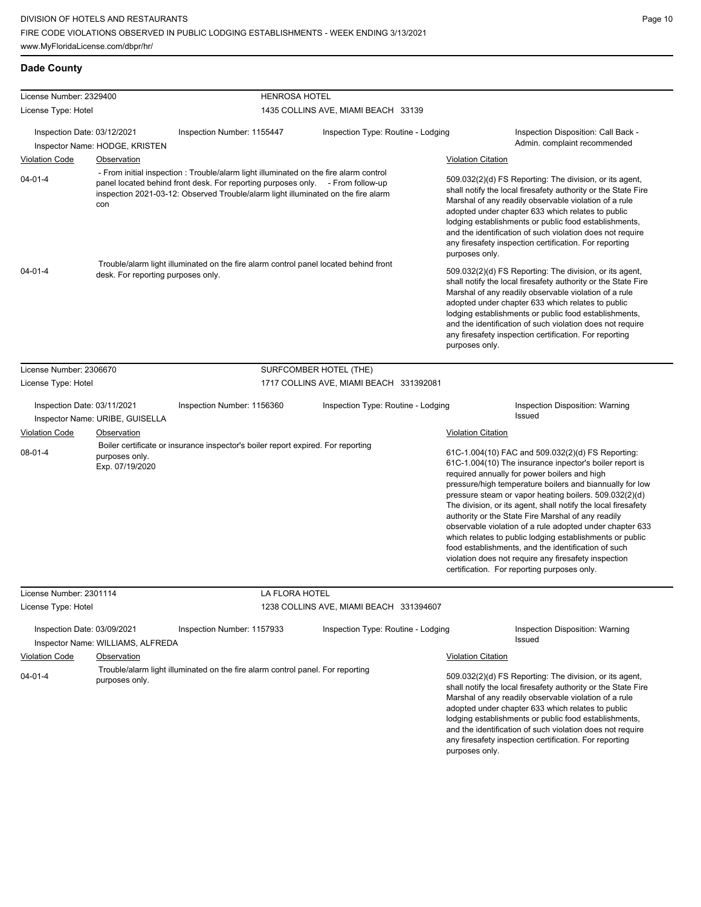| License Number: 2329400                |                                                  | <b>HENROSA HOTEL</b>                                                                                                                                                                                                                                        |                                         |                           |                                                                                                                                                                                                                                                                                                                                                                                                                                                                                                                                                                                                                                                                                                 |
|----------------------------------------|--------------------------------------------------|-------------------------------------------------------------------------------------------------------------------------------------------------------------------------------------------------------------------------------------------------------------|-----------------------------------------|---------------------------|-------------------------------------------------------------------------------------------------------------------------------------------------------------------------------------------------------------------------------------------------------------------------------------------------------------------------------------------------------------------------------------------------------------------------------------------------------------------------------------------------------------------------------------------------------------------------------------------------------------------------------------------------------------------------------------------------|
| License Type: Hotel                    |                                                  |                                                                                                                                                                                                                                                             | 1435 COLLINS AVE, MIAMI BEACH 33139     |                           |                                                                                                                                                                                                                                                                                                                                                                                                                                                                                                                                                                                                                                                                                                 |
| Inspection Date: 03/12/2021            | Inspector Name: HODGE, KRISTEN                   | Inspection Number: 1155447                                                                                                                                                                                                                                  | Inspection Type: Routine - Lodging      |                           | Inspection Disposition: Call Back -<br>Admin. complaint recommended                                                                                                                                                                                                                                                                                                                                                                                                                                                                                                                                                                                                                             |
| <b>Violation Code</b>                  | Observation                                      |                                                                                                                                                                                                                                                             |                                         | <b>Violation Citation</b> |                                                                                                                                                                                                                                                                                                                                                                                                                                                                                                                                                                                                                                                                                                 |
| $04 - 01 - 4$                          | con                                              | - From initial inspection: Trouble/alarm light illuminated on the fire alarm control<br>panel located behind front desk. For reporting purposes only. - From follow-up<br>inspection 2021-03-12: Observed Trouble/alarm light illuminated on the fire alarm |                                         | purposes only.            | 509.032(2)(d) FS Reporting: The division, or its agent,<br>shall notify the local firesafety authority or the State Fire<br>Marshal of any readily observable violation of a rule<br>adopted under chapter 633 which relates to public<br>lodging establishments or public food establishments,<br>and the identification of such violation does not require<br>any firesafety inspection certification. For reporting                                                                                                                                                                                                                                                                          |
| $04 - 01 - 4$                          | desk. For reporting purposes only.               | Trouble/alarm light illuminated on the fire alarm control panel located behind front                                                                                                                                                                        |                                         | purposes only.            | 509.032(2)(d) FS Reporting: The division, or its agent,<br>shall notify the local firesafety authority or the State Fire<br>Marshal of any readily observable violation of a rule<br>adopted under chapter 633 which relates to public<br>lodging establishments or public food establishments,<br>and the identification of such violation does not require<br>any firesafety inspection certification. For reporting                                                                                                                                                                                                                                                                          |
| License Number: 2306670                |                                                  |                                                                                                                                                                                                                                                             | SURFCOMBER HOTEL (THE)                  |                           |                                                                                                                                                                                                                                                                                                                                                                                                                                                                                                                                                                                                                                                                                                 |
| License Type: Hotel                    |                                                  |                                                                                                                                                                                                                                                             | 1717 COLLINS AVE, MIAMI BEACH 331392081 |                           |                                                                                                                                                                                                                                                                                                                                                                                                                                                                                                                                                                                                                                                                                                 |
| Inspection Date: 03/11/2021            | Inspector Name: URIBE, GUISELLA                  | Inspection Number: 1156360                                                                                                                                                                                                                                  | Inspection Type: Routine - Lodging      |                           | Inspection Disposition: Warning<br>Issued                                                                                                                                                                                                                                                                                                                                                                                                                                                                                                                                                                                                                                                       |
| <b>Violation Code</b><br>$08 - 01 - 4$ | Observation<br>purposes only.<br>Exp. 07/19/2020 | Boiler certificate or insurance inspector's boiler report expired. For reporting                                                                                                                                                                            |                                         | <b>Violation Citation</b> | 61C-1.004(10) FAC and 509.032(2)(d) FS Reporting:<br>61C-1.004(10) The insurance inpector's boiler report is<br>required annually for power boilers and high<br>pressure/high temperature boilers and biannually for low<br>pressure steam or vapor heating boilers. 509.032(2)(d)<br>The division, or its agent, shall notify the local firesafety<br>authority or the State Fire Marshal of any readily<br>observable violation of a rule adopted under chapter 633<br>which relates to public lodging establishments or public<br>food establishments, and the identification of such<br>violation does not require any firesafety inspection<br>certification. For reporting purposes only. |
| License Number: 2301114                |                                                  | LA FLORA HOTEL                                                                                                                                                                                                                                              |                                         |                           |                                                                                                                                                                                                                                                                                                                                                                                                                                                                                                                                                                                                                                                                                                 |
| License Type: Hotel                    |                                                  |                                                                                                                                                                                                                                                             | 1238 COLLINS AVE, MIAMI BEACH 331394607 |                           |                                                                                                                                                                                                                                                                                                                                                                                                                                                                                                                                                                                                                                                                                                 |
| Inspection Date: 03/09/2021            | Inspector Name: WILLIAMS, ALFREDA                | Inspection Number: 1157933                                                                                                                                                                                                                                  | Inspection Type: Routine - Lodging      |                           | Inspection Disposition: Warning<br>Issued                                                                                                                                                                                                                                                                                                                                                                                                                                                                                                                                                                                                                                                       |
| <b>Violation Code</b>                  | Observation                                      |                                                                                                                                                                                                                                                             |                                         | <b>Violation Citation</b> |                                                                                                                                                                                                                                                                                                                                                                                                                                                                                                                                                                                                                                                                                                 |
| $04 - 01 - 4$                          | purposes only.                                   | Trouble/alarm light illuminated on the fire alarm control panel. For reporting                                                                                                                                                                              |                                         | purposes only.            | 509.032(2)(d) FS Reporting: The division, or its agent,<br>shall notify the local firesafety authority or the State Fire<br>Marshal of any readily observable violation of a rule<br>adopted under chapter 633 which relates to public<br>lodging establishments or public food establishments,<br>and the identification of such violation does not require<br>any firesafety inspection certification. For reporting                                                                                                                                                                                                                                                                          |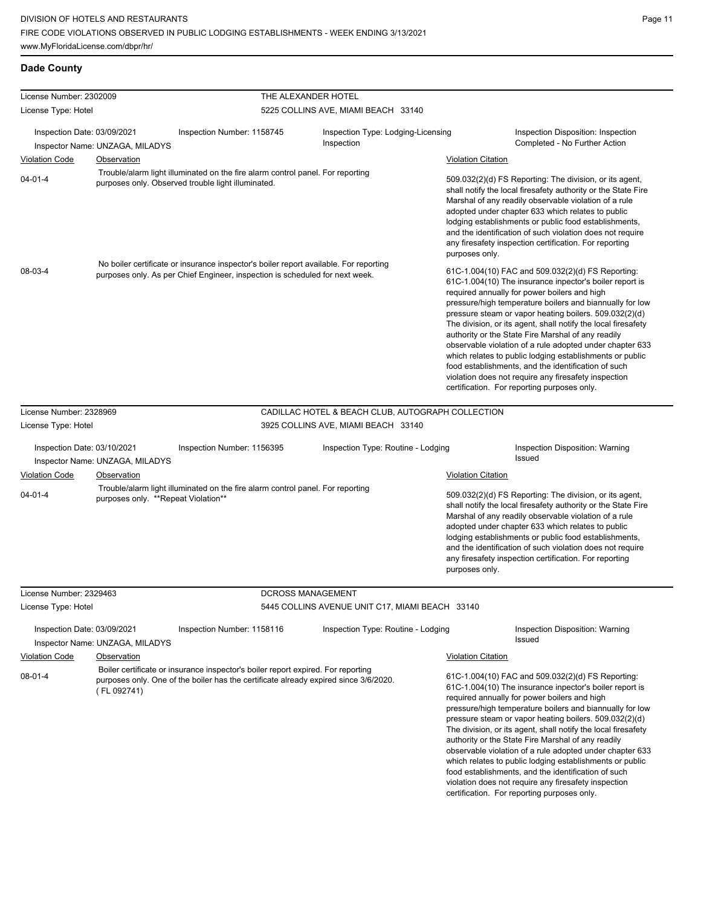| License Number: 2302009                |                                                                                                                                                                       |                                                                                                                                                                          | THE ALEXANDER HOTEL                                                                                                                                                                                                                                                                                                                                                                                                                                                                                                                                                                                                                                                                             |                                                                                                                                                                                                                                                                                                                                                                                                                                                                                                                                                                                                                                                                                                 |
|----------------------------------------|-----------------------------------------------------------------------------------------------------------------------------------------------------------------------|--------------------------------------------------------------------------------------------------------------------------------------------------------------------------|-------------------------------------------------------------------------------------------------------------------------------------------------------------------------------------------------------------------------------------------------------------------------------------------------------------------------------------------------------------------------------------------------------------------------------------------------------------------------------------------------------------------------------------------------------------------------------------------------------------------------------------------------------------------------------------------------|-------------------------------------------------------------------------------------------------------------------------------------------------------------------------------------------------------------------------------------------------------------------------------------------------------------------------------------------------------------------------------------------------------------------------------------------------------------------------------------------------------------------------------------------------------------------------------------------------------------------------------------------------------------------------------------------------|
| License Type: Hotel                    |                                                                                                                                                                       |                                                                                                                                                                          | 5225 COLLINS AVE, MIAMI BEACH 33140                                                                                                                                                                                                                                                                                                                                                                                                                                                                                                                                                                                                                                                             |                                                                                                                                                                                                                                                                                                                                                                                                                                                                                                                                                                                                                                                                                                 |
| Inspection Date: 03/09/2021            | Inspector Name: UNZAGA, MILADYS                                                                                                                                       | Inspection Number: 1158745                                                                                                                                               | Inspection Type: Lodging-Licensing<br>Inspection                                                                                                                                                                                                                                                                                                                                                                                                                                                                                                                                                                                                                                                | Inspection Disposition: Inspection<br>Completed - No Further Action                                                                                                                                                                                                                                                                                                                                                                                                                                                                                                                                                                                                                             |
| <b>Violation Code</b>                  | Observation                                                                                                                                                           |                                                                                                                                                                          |                                                                                                                                                                                                                                                                                                                                                                                                                                                                                                                                                                                                                                                                                                 | <b>Violation Citation</b>                                                                                                                                                                                                                                                                                                                                                                                                                                                                                                                                                                                                                                                                       |
| $04 - 01 - 4$                          |                                                                                                                                                                       | Trouble/alarm light illuminated on the fire alarm control panel. For reporting<br>purposes only. Observed trouble light illuminated.                                     |                                                                                                                                                                                                                                                                                                                                                                                                                                                                                                                                                                                                                                                                                                 | 509.032(2)(d) FS Reporting: The division, or its agent,<br>shall notify the local firesafety authority or the State Fire<br>Marshal of any readily observable violation of a rule<br>adopted under chapter 633 which relates to public<br>lodging establishments or public food establishments,<br>and the identification of such violation does not require<br>any firesafety inspection certification. For reporting<br>purposes only.                                                                                                                                                                                                                                                        |
| 08-03-4                                | No boiler certificate or insurance inspector's boiler report available. For reporting<br>purposes only. As per Chief Engineer, inspection is scheduled for next week. |                                                                                                                                                                          | 61C-1.004(10) FAC and 509.032(2)(d) FS Reporting:<br>61C-1.004(10) The insurance inpector's boiler report is<br>required annually for power boilers and high<br>pressure/high temperature boilers and biannually for low<br>pressure steam or vapor heating boilers. 509.032(2)(d)<br>The division, or its agent, shall notify the local firesafety<br>authority or the State Fire Marshal of any readily<br>observable violation of a rule adopted under chapter 633<br>which relates to public lodging establishments or public<br>food establishments, and the identification of such<br>violation does not require any firesafety inspection<br>certification. For reporting purposes only. |                                                                                                                                                                                                                                                                                                                                                                                                                                                                                                                                                                                                                                                                                                 |
| License Number: 2328969                |                                                                                                                                                                       |                                                                                                                                                                          | CADILLAC HOTEL & BEACH CLUB, AUTOGRAPH COLLECTION                                                                                                                                                                                                                                                                                                                                                                                                                                                                                                                                                                                                                                               |                                                                                                                                                                                                                                                                                                                                                                                                                                                                                                                                                                                                                                                                                                 |
| License Type: Hotel                    |                                                                                                                                                                       |                                                                                                                                                                          | 3925 COLLINS AVE, MIAMI BEACH 33140                                                                                                                                                                                                                                                                                                                                                                                                                                                                                                                                                                                                                                                             |                                                                                                                                                                                                                                                                                                                                                                                                                                                                                                                                                                                                                                                                                                 |
| Inspection Date: 03/10/2021            |                                                                                                                                                                       | Inspection Number: 1156395                                                                                                                                               | Inspection Type: Routine - Lodging                                                                                                                                                                                                                                                                                                                                                                                                                                                                                                                                                                                                                                                              | <b>Inspection Disposition: Warning</b><br>Issued                                                                                                                                                                                                                                                                                                                                                                                                                                                                                                                                                                                                                                                |
|                                        | Inspector Name: UNZAGA, MILADYS                                                                                                                                       |                                                                                                                                                                          |                                                                                                                                                                                                                                                                                                                                                                                                                                                                                                                                                                                                                                                                                                 |                                                                                                                                                                                                                                                                                                                                                                                                                                                                                                                                                                                                                                                                                                 |
| <b>Violation Code</b><br>$04 - 01 - 4$ | Observation<br>purposes only. **Repeat Violation**                                                                                                                    | Trouble/alarm light illuminated on the fire alarm control panel. For reporting                                                                                           |                                                                                                                                                                                                                                                                                                                                                                                                                                                                                                                                                                                                                                                                                                 | <b>Violation Citation</b><br>509.032(2)(d) FS Reporting: The division, or its agent,<br>shall notify the local firesafety authority or the State Fire<br>Marshal of any readily observable violation of a rule<br>adopted under chapter 633 which relates to public<br>lodging establishments or public food establishments,<br>and the identification of such violation does not require<br>any firesafety inspection certification. For reporting<br>purposes only.                                                                                                                                                                                                                           |
| License Number: 2329463                |                                                                                                                                                                       | DCROSS MANAGEMENT                                                                                                                                                        |                                                                                                                                                                                                                                                                                                                                                                                                                                                                                                                                                                                                                                                                                                 |                                                                                                                                                                                                                                                                                                                                                                                                                                                                                                                                                                                                                                                                                                 |
| License Type: Hotel                    |                                                                                                                                                                       |                                                                                                                                                                          | 5445 COLLINS AVENUE UNIT C17, MIAMI BEACH 33140                                                                                                                                                                                                                                                                                                                                                                                                                                                                                                                                                                                                                                                 |                                                                                                                                                                                                                                                                                                                                                                                                                                                                                                                                                                                                                                                                                                 |
| Inspection Date: 03/09/2021            | Inspector Name: UNZAGA, MILADYS                                                                                                                                       | Inspection Number: 1158116                                                                                                                                               | Inspection Type: Routine - Lodging                                                                                                                                                                                                                                                                                                                                                                                                                                                                                                                                                                                                                                                              | <b>Inspection Disposition: Warning</b><br>Issued                                                                                                                                                                                                                                                                                                                                                                                                                                                                                                                                                                                                                                                |
| <b>Violation Code</b>                  | Observation                                                                                                                                                           |                                                                                                                                                                          |                                                                                                                                                                                                                                                                                                                                                                                                                                                                                                                                                                                                                                                                                                 | <b>Violation Citation</b>                                                                                                                                                                                                                                                                                                                                                                                                                                                                                                                                                                                                                                                                       |
| $08 - 01 - 4$                          | (FL 092741)                                                                                                                                                           | Boiler certificate or insurance inspector's boiler report expired. For reporting<br>purposes only. One of the boiler has the certificate already expired since 3/6/2020. |                                                                                                                                                                                                                                                                                                                                                                                                                                                                                                                                                                                                                                                                                                 | 61C-1.004(10) FAC and 509.032(2)(d) FS Reporting:<br>61C-1.004(10) The insurance inpector's boiler report is<br>required annually for power boilers and high<br>pressure/high temperature boilers and biannually for low<br>pressure steam or vapor heating boilers. 509.032(2)(d)<br>The division, or its agent, shall notify the local firesafety<br>authority or the State Fire Marshal of any readily<br>observable violation of a rule adopted under chapter 633<br>which relates to public lodging establishments or public<br>food establishments, and the identification of such<br>violation does not require any firesafety inspection<br>certification. For reporting purposes only. |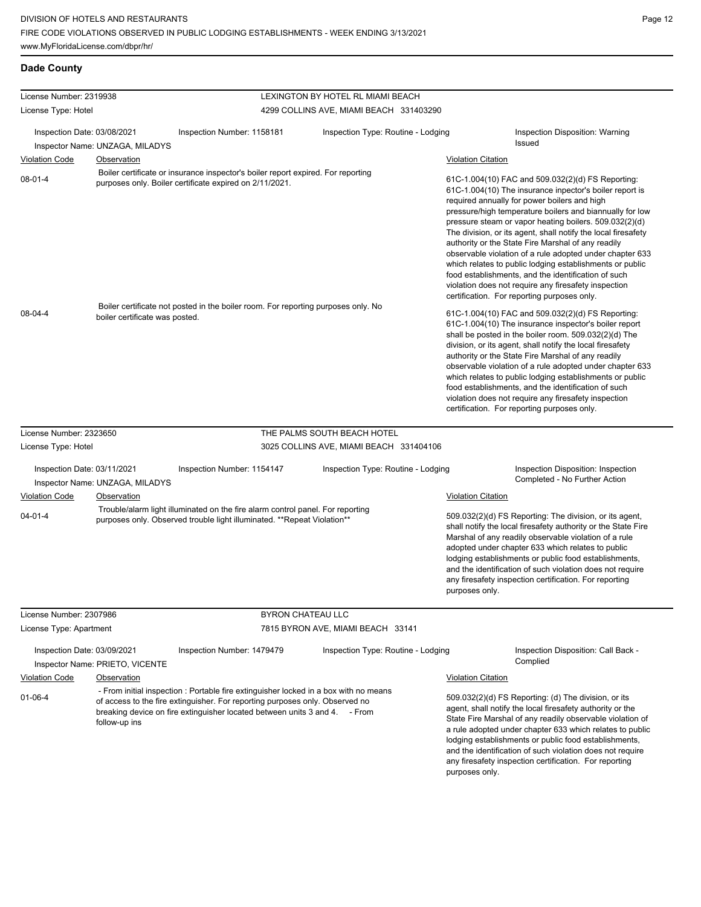| License Number: 2319938                                          |                                 |                                                                                                                                                                                                                                                    | LEXINGTON BY HOTEL RL MIAMI BEACH       |                                                                                                                                                                                                                                                                                                                                                                                                                                                                                                                                                                                                                                                                                                 |  |
|------------------------------------------------------------------|---------------------------------|----------------------------------------------------------------------------------------------------------------------------------------------------------------------------------------------------------------------------------------------------|-----------------------------------------|-------------------------------------------------------------------------------------------------------------------------------------------------------------------------------------------------------------------------------------------------------------------------------------------------------------------------------------------------------------------------------------------------------------------------------------------------------------------------------------------------------------------------------------------------------------------------------------------------------------------------------------------------------------------------------------------------|--|
| License Type: Hotel                                              |                                 |                                                                                                                                                                                                                                                    | 4299 COLLINS AVE, MIAMI BEACH 331403290 |                                                                                                                                                                                                                                                                                                                                                                                                                                                                                                                                                                                                                                                                                                 |  |
|                                                                  |                                 |                                                                                                                                                                                                                                                    |                                         |                                                                                                                                                                                                                                                                                                                                                                                                                                                                                                                                                                                                                                                                                                 |  |
| Inspection Date: 03/08/2021                                      |                                 | Inspection Number: 1158181                                                                                                                                                                                                                         | Inspection Type: Routine - Lodging      | Inspection Disposition: Warning<br><b>Issued</b>                                                                                                                                                                                                                                                                                                                                                                                                                                                                                                                                                                                                                                                |  |
|                                                                  | Inspector Name: UNZAGA, MILADYS |                                                                                                                                                                                                                                                    |                                         |                                                                                                                                                                                                                                                                                                                                                                                                                                                                                                                                                                                                                                                                                                 |  |
| <b>Violation Code</b>                                            | <b>Observation</b>              |                                                                                                                                                                                                                                                    |                                         | <b>Violation Citation</b>                                                                                                                                                                                                                                                                                                                                                                                                                                                                                                                                                                                                                                                                       |  |
| $08 - 01 - 4$                                                    |                                 | Boiler certificate or insurance inspector's boiler report expired. For reporting<br>purposes only. Boiler certificate expired on 2/11/2021.                                                                                                        |                                         | 61C-1.004(10) FAC and 509.032(2)(d) FS Reporting:<br>61C-1.004(10) The insurance inpector's boiler report is<br>required annually for power boilers and high<br>pressure/high temperature boilers and biannually for low<br>pressure steam or vapor heating boilers. 509.032(2)(d)<br>The division, or its agent, shall notify the local firesafety<br>authority or the State Fire Marshal of any readily<br>observable violation of a rule adopted under chapter 633<br>which relates to public lodging establishments or public<br>food establishments, and the identification of such<br>violation does not require any firesafety inspection<br>certification. For reporting purposes only. |  |
| 08-04-4                                                          | boiler certificate was posted.  | Boiler certificate not posted in the boiler room. For reporting purposes only. No                                                                                                                                                                  |                                         | 61C-1.004(10) FAC and 509.032(2)(d) FS Reporting:<br>61C-1.004(10) The insurance inspector's boiler report<br>shall be posted in the boiler room. 509.032(2)(d) The<br>division, or its agent, shall notify the local firesafety<br>authority or the State Fire Marshal of any readily<br>observable violation of a rule adopted under chapter 633<br>which relates to public lodging establishments or public<br>food establishments, and the identification of such<br>violation does not require any firesafety inspection<br>certification. For reporting purposes only.                                                                                                                    |  |
| License Number: 2323650                                          |                                 |                                                                                                                                                                                                                                                    | THE PALMS SOUTH BEACH HOTEL             |                                                                                                                                                                                                                                                                                                                                                                                                                                                                                                                                                                                                                                                                                                 |  |
| License Type: Hotel                                              |                                 |                                                                                                                                                                                                                                                    | 3025 COLLINS AVE, MIAMI BEACH 331404106 |                                                                                                                                                                                                                                                                                                                                                                                                                                                                                                                                                                                                                                                                                                 |  |
| Inspection Date: 03/11/2021                                      |                                 | Inspection Number: 1154147                                                                                                                                                                                                                         | Inspection Type: Routine - Lodging      | Inspection Disposition: Inspection                                                                                                                                                                                                                                                                                                                                                                                                                                                                                                                                                                                                                                                              |  |
|                                                                  | Inspector Name: UNZAGA, MILADYS |                                                                                                                                                                                                                                                    |                                         | Completed - No Further Action                                                                                                                                                                                                                                                                                                                                                                                                                                                                                                                                                                                                                                                                   |  |
| <b>Violation Code</b>                                            | <b>Observation</b>              |                                                                                                                                                                                                                                                    |                                         | <b>Violation Citation</b>                                                                                                                                                                                                                                                                                                                                                                                                                                                                                                                                                                                                                                                                       |  |
| $04 - 01 - 4$                                                    |                                 | Trouble/alarm light illuminated on the fire alarm control panel. For reporting<br>purposes only. Observed trouble light illuminated. **Repeat Violation**                                                                                          |                                         | 509.032(2)(d) FS Reporting: The division, or its agent,<br>shall notify the local firesafety authority or the State Fire<br>Marshal of any readily observable violation of a rule<br>adopted under chapter 633 which relates to public<br>lodging establishments or public food establishments,<br>and the identification of such violation does not require<br>any firesafety inspection certification. For reporting<br>purposes only.                                                                                                                                                                                                                                                        |  |
| License Number: 2307986                                          |                                 | <b>BYRON CHATEAU LLC</b>                                                                                                                                                                                                                           |                                         |                                                                                                                                                                                                                                                                                                                                                                                                                                                                                                                                                                                                                                                                                                 |  |
| License Type: Apartment                                          |                                 |                                                                                                                                                                                                                                                    | 7815 BYRON AVE, MIAMI BEACH 33141       |                                                                                                                                                                                                                                                                                                                                                                                                                                                                                                                                                                                                                                                                                                 |  |
| Inspection Date: 03/09/2021                                      |                                 | Inspection Number: 1479479                                                                                                                                                                                                                         | Inspection Type: Routine - Lodging      | Inspection Disposition: Call Back -                                                                                                                                                                                                                                                                                                                                                                                                                                                                                                                                                                                                                                                             |  |
|                                                                  | Inspector Name: PRIETO, VICENTE |                                                                                                                                                                                                                                                    |                                         | Complied                                                                                                                                                                                                                                                                                                                                                                                                                                                                                                                                                                                                                                                                                        |  |
|                                                                  |                                 |                                                                                                                                                                                                                                                    |                                         | <b>Violation Citation</b>                                                                                                                                                                                                                                                                                                                                                                                                                                                                                                                                                                                                                                                                       |  |
| <b>Violation Code</b><br>Observation<br>01-06-4<br>follow-up ins |                                 | - From initial inspection : Portable fire extinguisher locked in a box with no means<br>of access to the fire extinguisher. For reporting purposes only. Observed no<br>breaking device on fire extinguisher located between units 3 and 4. - From |                                         | 509.032(2)(d) FS Reporting: (d) The division, or its<br>agent, shall notify the local firesafety authority or the<br>State Fire Marshal of any readily observable violation of<br>a rule adopted under chapter 633 which relates to public<br>lodging establishments or public food establishments,<br>and the identification of such violation does not require                                                                                                                                                                                                                                                                                                                                |  |

any firesafety inspection certification. For reporting

purposes only.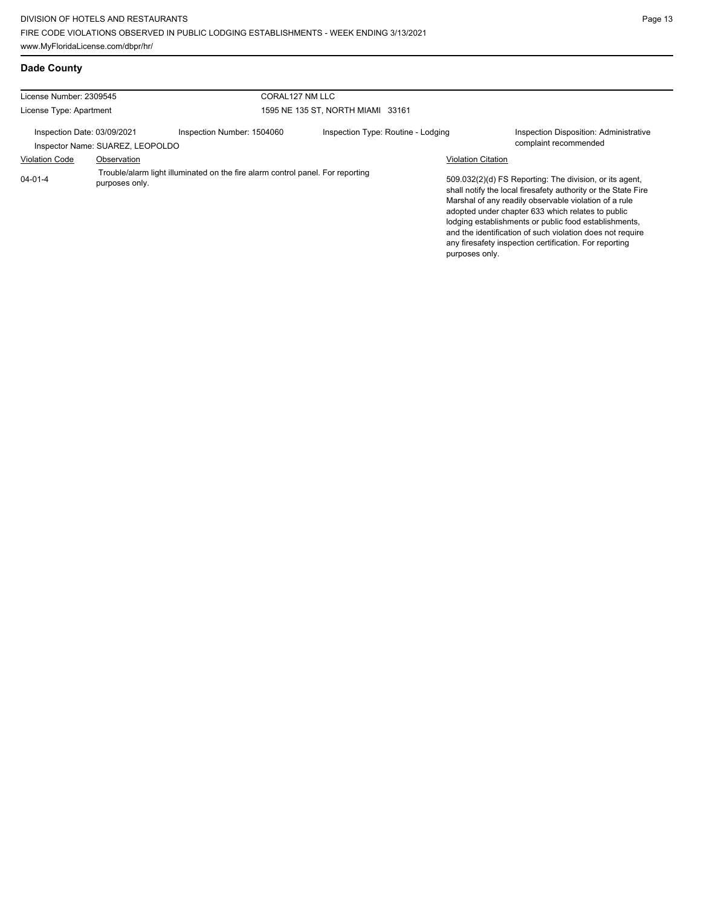| License Number: 2309545<br>License Type: Apartment              |                | CORAL127 NM LLC                                                                |                                    |                           |                                                                                                                                                                                                                                                                                                                                                                                                                        |
|-----------------------------------------------------------------|----------------|--------------------------------------------------------------------------------|------------------------------------|---------------------------|------------------------------------------------------------------------------------------------------------------------------------------------------------------------------------------------------------------------------------------------------------------------------------------------------------------------------------------------------------------------------------------------------------------------|
|                                                                 |                |                                                                                | 1595 NE 135 ST. NORTH MIAMI 33161  |                           |                                                                                                                                                                                                                                                                                                                                                                                                                        |
| Inspection Date: 03/09/2021<br>Inspector Name: SUAREZ, LEOPOLDO |                | Inspection Number: 1504060                                                     | Inspection Type: Routine - Lodging |                           | Inspection Disposition: Administrative<br>complaint recommended                                                                                                                                                                                                                                                                                                                                                        |
| <b>Violation Code</b>                                           | Observation    |                                                                                |                                    | <b>Violation Citation</b> |                                                                                                                                                                                                                                                                                                                                                                                                                        |
| $04 - 01 - 4$                                                   | purposes only. | Trouble/alarm light illuminated on the fire alarm control panel. For reporting |                                    | purposes only.            | 509.032(2)(d) FS Reporting: The division, or its agent,<br>shall notify the local firesafety authority or the State Fire<br>Marshal of any readily observable violation of a rule<br>adopted under chapter 633 which relates to public<br>lodging establishments or public food establishments,<br>and the identification of such violation does not require<br>any firesafety inspection certification. For reporting |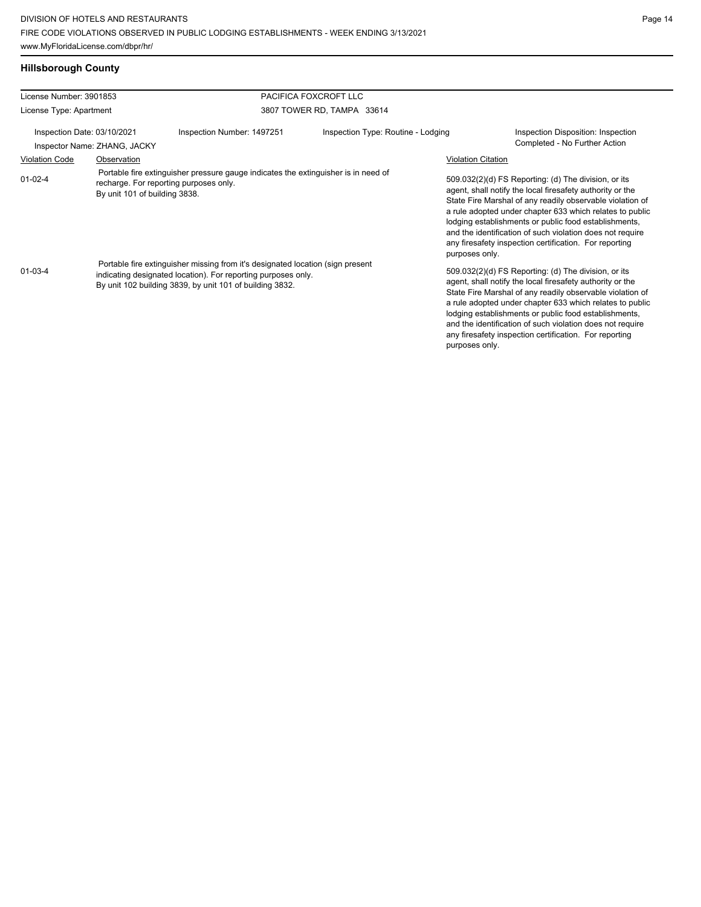# **Hillsborough County**

| License Number: 3901853        |                                                                                                                                                                                                                                                                                                                                                                              |                                                                  | PACIFICA FOXCROFT LLC      |                                  |                                                                                                                                                                                                                                                                                                                                                                                                                                                                                                                                                                                                                                                                                                                                                                                                                                                          |
|--------------------------------|------------------------------------------------------------------------------------------------------------------------------------------------------------------------------------------------------------------------------------------------------------------------------------------------------------------------------------------------------------------------------|------------------------------------------------------------------|----------------------------|----------------------------------|----------------------------------------------------------------------------------------------------------------------------------------------------------------------------------------------------------------------------------------------------------------------------------------------------------------------------------------------------------------------------------------------------------------------------------------------------------------------------------------------------------------------------------------------------------------------------------------------------------------------------------------------------------------------------------------------------------------------------------------------------------------------------------------------------------------------------------------------------------|
| License Type: Apartment        |                                                                                                                                                                                                                                                                                                                                                                              |                                                                  | 3807 TOWER RD, TAMPA 33614 |                                  |                                                                                                                                                                                                                                                                                                                                                                                                                                                                                                                                                                                                                                                                                                                                                                                                                                                          |
| Inspection Date: 03/10/2021    |                                                                                                                                                                                                                                                                                                                                                                              | Inspection Type: Routine - Lodging<br>Inspection Number: 1497251 |                            |                                  | Inspection Disposition: Inspection                                                                                                                                                                                                                                                                                                                                                                                                                                                                                                                                                                                                                                                                                                                                                                                                                       |
|                                | Inspector Name: ZHANG, JACKY                                                                                                                                                                                                                                                                                                                                                 |                                                                  |                            |                                  | Completed - No Further Action                                                                                                                                                                                                                                                                                                                                                                                                                                                                                                                                                                                                                                                                                                                                                                                                                            |
| <b>Violation Code</b>          | Observation                                                                                                                                                                                                                                                                                                                                                                  |                                                                  |                            | <b>Violation Citation</b>        |                                                                                                                                                                                                                                                                                                                                                                                                                                                                                                                                                                                                                                                                                                                                                                                                                                                          |
| $01 - 02 - 4$<br>$01 - 03 - 4$ | Portable fire extinguisher pressure gauge indicates the extinguisher is in need of<br>recharge. For reporting purposes only.<br>By unit 101 of building 3838.<br>Portable fire extinguisher missing from it's designated location (sign present<br>indicating designated location). For reporting purposes only.<br>By unit 102 building 3839, by unit 101 of building 3832. |                                                                  |                            | purposes only.<br>purposes only. | 509.032(2)(d) FS Reporting: (d) The division, or its<br>agent, shall notify the local firesafety authority or the<br>State Fire Marshal of any readily observable violation of<br>a rule adopted under chapter 633 which relates to public<br>lodging establishments or public food establishments,<br>and the identification of such violation does not require<br>any firesafety inspection certification. For reporting<br>509.032(2)(d) FS Reporting: (d) The division, or its<br>agent, shall notify the local firesafety authority or the<br>State Fire Marshal of any readily observable violation of<br>a rule adopted under chapter 633 which relates to public<br>lodging establishments or public food establishments,<br>and the identification of such violation does not require<br>any firesafety inspection certification. For reporting |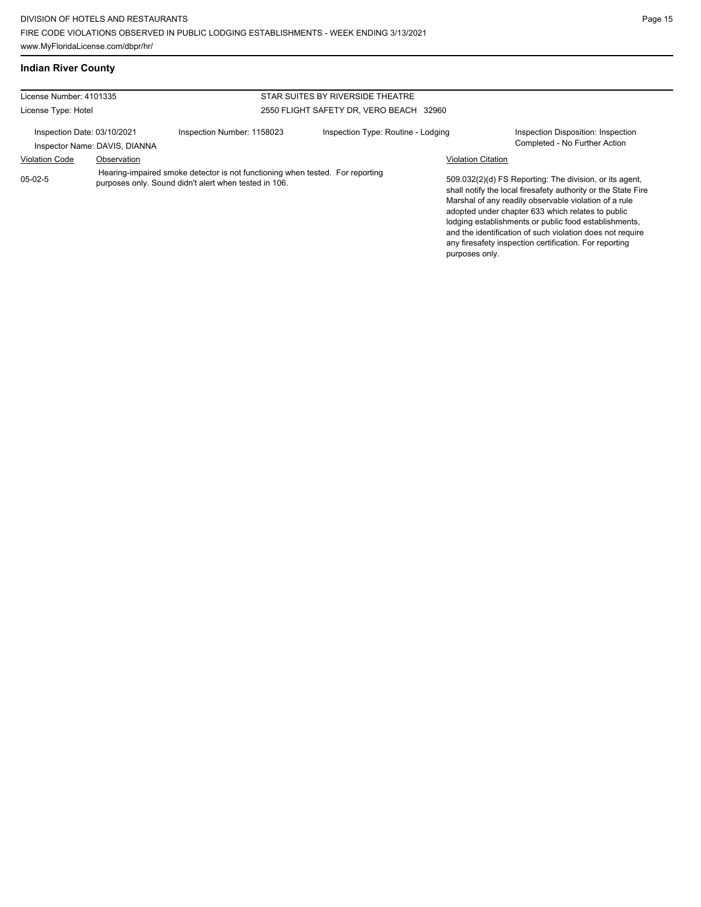## **Indian River County**

| License Number: 4101335                                      |                                                                                                                                        |                            | STAR SUITES BY RIVERSIDE THEATRE        |                           |                                                                                                                                                                                                                                                                                                                                                                                                                        |
|--------------------------------------------------------------|----------------------------------------------------------------------------------------------------------------------------------------|----------------------------|-----------------------------------------|---------------------------|------------------------------------------------------------------------------------------------------------------------------------------------------------------------------------------------------------------------------------------------------------------------------------------------------------------------------------------------------------------------------------------------------------------------|
| License Type: Hotel                                          |                                                                                                                                        |                            | 2550 FLIGHT SAFETY DR, VERO BEACH 32960 |                           |                                                                                                                                                                                                                                                                                                                                                                                                                        |
| Inspection Date: 03/10/2021<br>Inspector Name: DAVIS, DIANNA |                                                                                                                                        | Inspection Number: 1158023 | Inspection Type: Routine - Lodging      |                           | Inspection Disposition: Inspection<br>Completed - No Further Action                                                                                                                                                                                                                                                                                                                                                    |
| <b>Violation Code</b>                                        | Observation                                                                                                                            |                            |                                         | <b>Violation Citation</b> |                                                                                                                                                                                                                                                                                                                                                                                                                        |
| $05-02-5$                                                    | Hearing-impaired smoke detector is not functioning when tested. For reporting<br>purposes only. Sound didn't alert when tested in 106. |                            |                                         | purposes only.            | 509.032(2)(d) FS Reporting: The division, or its agent,<br>shall notify the local firesafety authority or the State Fire<br>Marshal of any readily observable violation of a rule<br>adopted under chapter 633 which relates to public<br>lodging establishments or public food establishments,<br>and the identification of such violation does not require<br>any firesafety inspection certification. For reporting |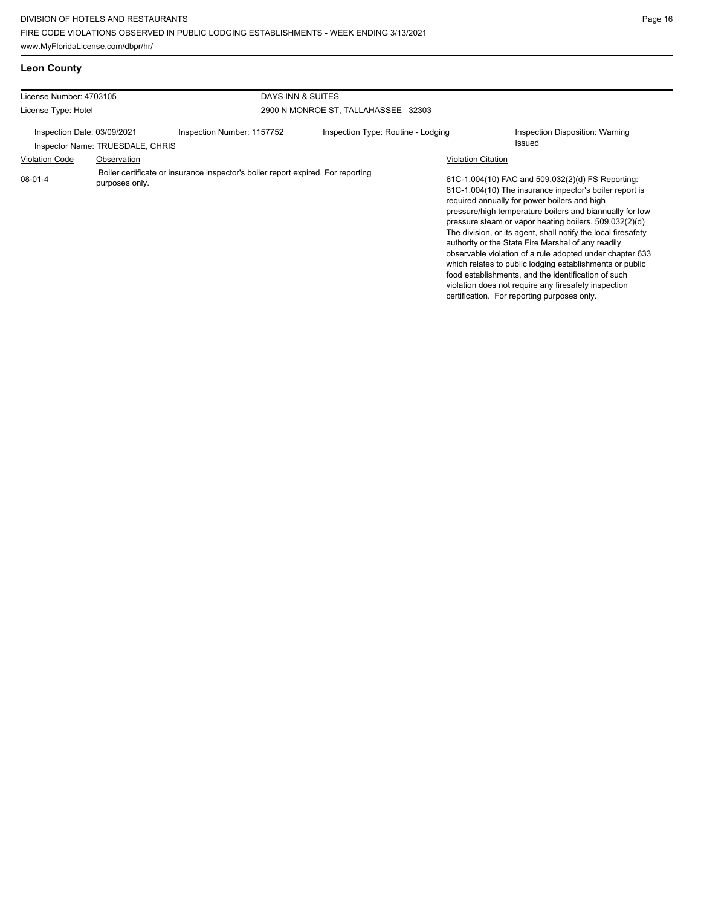| <b>Leon County</b> |  |
|--------------------|--|
|                    |  |

| License Number: 4703105                                         |                                                                                  | DAYS INN & SUITES                   |                                                                                                                                                                                                                                                                                                                                                                                                                                                                                                                                                                                                                                                                                                 |  |  |  |
|-----------------------------------------------------------------|----------------------------------------------------------------------------------|-------------------------------------|-------------------------------------------------------------------------------------------------------------------------------------------------------------------------------------------------------------------------------------------------------------------------------------------------------------------------------------------------------------------------------------------------------------------------------------------------------------------------------------------------------------------------------------------------------------------------------------------------------------------------------------------------------------------------------------------------|--|--|--|
| License Type: Hotel                                             |                                                                                  | 2900 N MONROE ST, TALLAHASSEE 32303 |                                                                                                                                                                                                                                                                                                                                                                                                                                                                                                                                                                                                                                                                                                 |  |  |  |
| Inspection Date: 03/09/2021<br>Inspector Name: TRUESDALE, CHRIS | Inspection Number: 1157752                                                       | Inspection Type: Routine - Lodging  | Inspection Disposition: Warning<br><b>Issued</b>                                                                                                                                                                                                                                                                                                                                                                                                                                                                                                                                                                                                                                                |  |  |  |
| <b>Violation Code</b><br>Observation                            |                                                                                  |                                     | <b>Violation Citation</b>                                                                                                                                                                                                                                                                                                                                                                                                                                                                                                                                                                                                                                                                       |  |  |  |
| $08-01-4$<br>purposes only.                                     | Boiler certificate or insurance inspector's boiler report expired. For reporting |                                     | 61C-1.004(10) FAC and 509.032(2)(d) FS Reporting:<br>61C-1.004(10) The insurance inpector's boiler report is<br>required annually for power boilers and high<br>pressure/high temperature boilers and biannually for low<br>pressure steam or vapor heating boilers. 509.032(2)(d)<br>The division, or its agent, shall notify the local firesafety<br>authority or the State Fire Marshal of any readily<br>observable violation of a rule adopted under chapter 633<br>which relates to public lodging establishments or public<br>food establishments, and the identification of such<br>violation does not require any firesafety inspection<br>certification. For reporting purposes only. |  |  |  |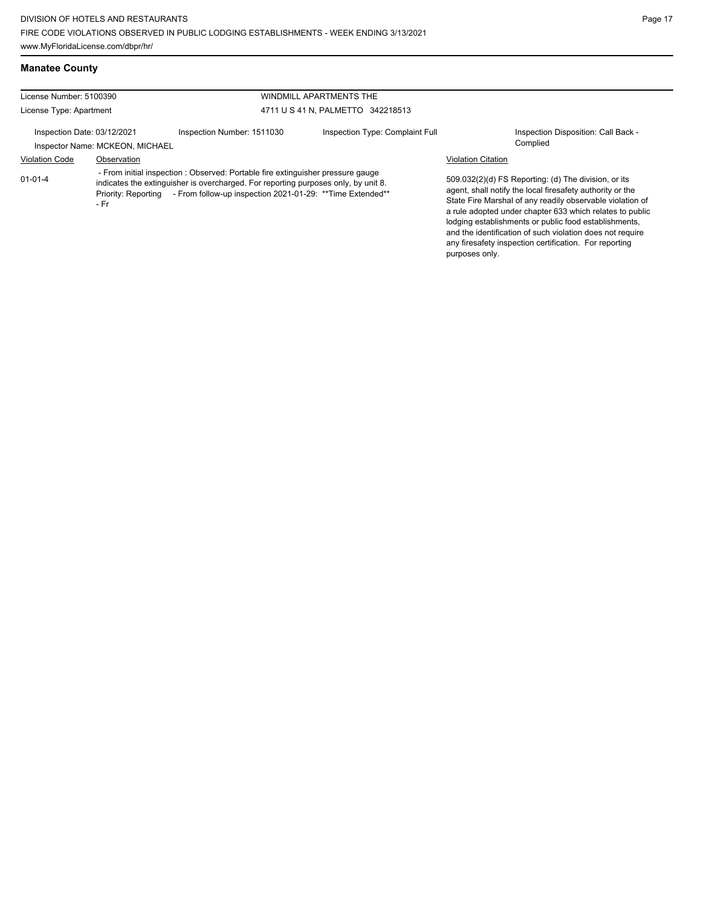License Number: 5100390 License Type: Apartment WINDMILL APARTMENTS THE 4711 U S 41 N, PALMETTO 342218513 Inspection Date: 03/12/2021 Inspection Number: 1511030 Inspection Type: Complaint Full Inspection Disposition: Call Back -Inspector Name: MCKEON, MICHAEL Violation Code Observation Violation Citation 509.032(2)(d) FS Reporting: (d) The division, or its agent, shall notify the local firesafety authority or the State Fire Marshal of any readily observable violation of a rule adopted under chapter 633 which relates to public lodging establishments or public food establishments, and the identification of such violation does not require any firesafety inspection certification. For reporting purposes only. 01-01-4 - From initial inspection : Observed: Portable fire extinguisher pressure gauge indicates the extinguisher is overcharged. For reporting purposes only, by unit 8. Priority: Reporting - From follow-up inspection 2021-01-29: \*\* Time Extended\*\* - Fr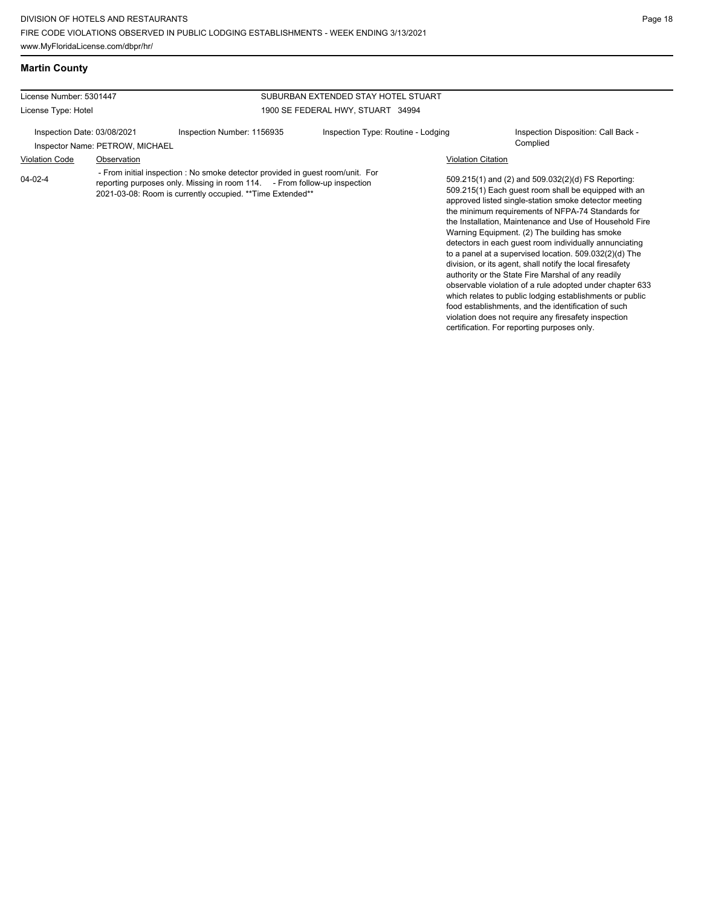### **Martin County**

### License Number: 5301447 License Type: Hotel SUBURBAN EXTENDED STAY HOTEL STUART 1900 SE FEDERAL HWY, STUART 34994 Inspection Date: 03/08/2021 Inspection Number: 1156935 Inspection Type: Routine - Lodging Inspection Disposition: Call Back -Inspector Name: PETROW, MICHAEL Violation Code Observation Violation Citation 509.215(1) and (2) and 509.032(2)(d) FS Reporting: 509.215(1) Each guest room shall be equipped with an approved listed single-station smoke detector meeting the minimum requirements of NFPA-74 Standards for the Installation, Maintenance and Use of Household Fire Warning Equipment. (2) The building has smoke detectors in each guest room individually annunciating to a panel at a supervised location. 509.032(2)(d) The division, or its agent, shall notify the local firesafety 04-02-4 - From initial inspection : No smoke detector provided in guest room/unit. For reporting purposes only. Missing in room 114. - From follow-up inspection 2021-03-08: Room is currently occupied. \*\*Time Extended\*\*

authority or the State Fire Marshal of any readily observable violation of a rule adopted under chapter 633 which relates to public lodging establishments or public food establishments, and the identification of such violation does not require any firesafety inspection certification. For reporting purposes only.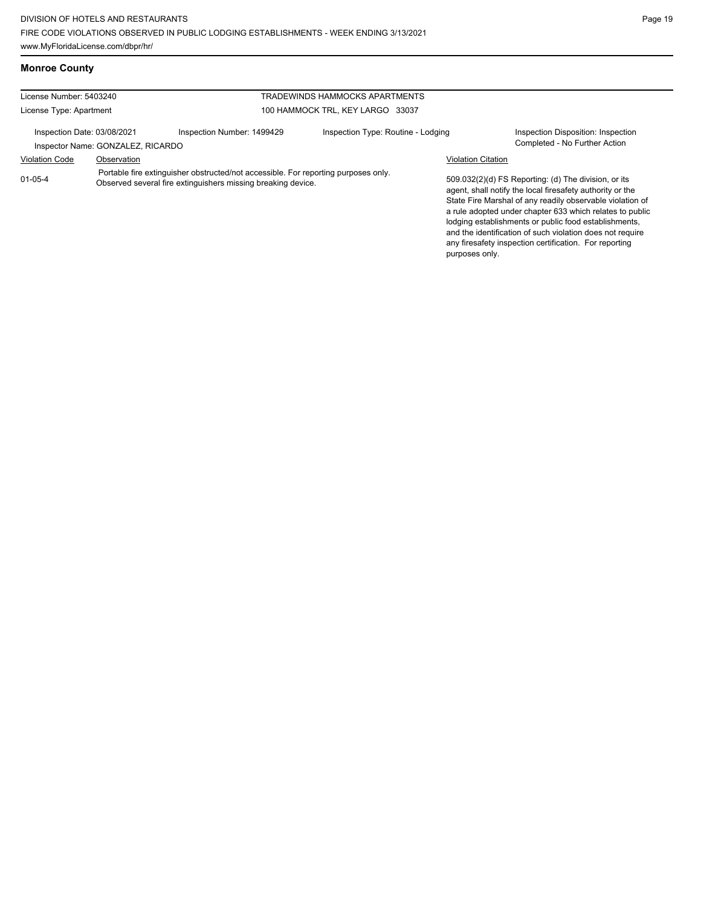| License Number: 5403240           |                            | TRADEWINDS HAMMOCKS APARTMENTS     |  |  |
|-----------------------------------|----------------------------|------------------------------------|--|--|
| License Type: Apartment           |                            | 100 HAMMOCK TRL, KEY LARGO 33037   |  |  |
| Inspection Date: 03/08/2021       | Inspection Number: 1499429 | Inspection Type: Routine - Lodging |  |  |
| Inspector Name: GONZALEZ, RICARDO |                            |                                    |  |  |

Portable fire extinguisher obstructed/not accessible. For reporting purposes only.

Observed several fire extinguishers missing breaking device.

Inspection Disposition: Inspection Completed - No Further Action

### Violation Code Observation Violation Citation

509.032(2)(d) FS Reporting: (d) The division, or its agent, shall notify the local firesafety authority or the State Fire Marshal of any readily observable violation of a rule adopted under chapter 633 which relates to public lodging establishments or public food establishments, and the identification of such violation does not require any firesafety inspection certification. For reporting purposes only.

### **Monroe County**

01-05-4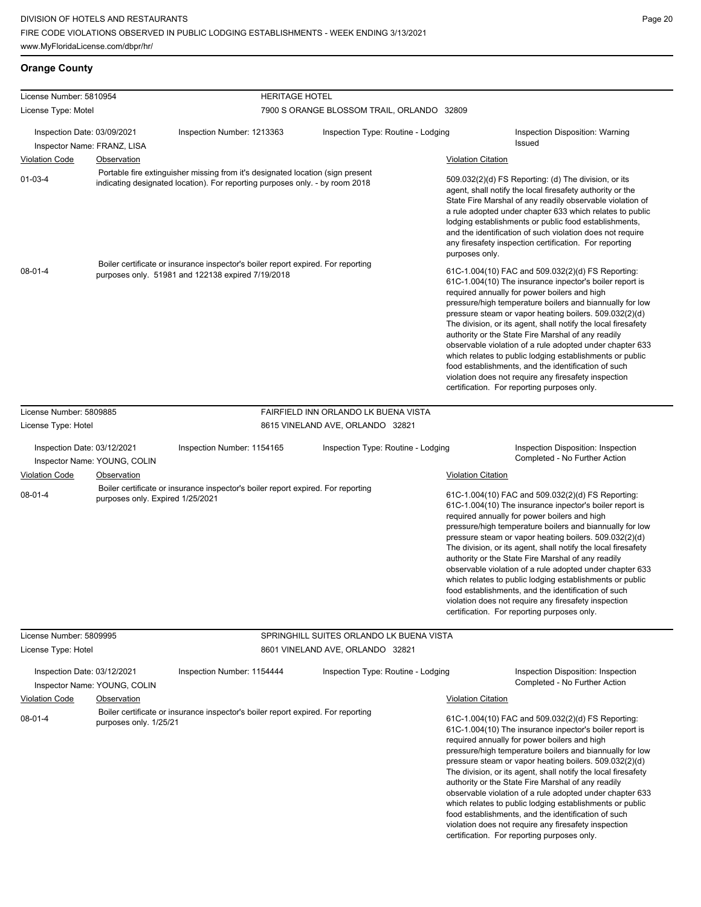# **Orange County**

| License Number: 5810954                                     |                                                                                           | <b>HERITAGE HOTEL</b>                                                                                                                                          |                                            |                                                                                                                                                                                                                                                                                                                                                                                                                                              |                                                                                                                                                                                                                                                                                                                                                                                                                                                                                                                                                                                                                                                                                                 |
|-------------------------------------------------------------|-------------------------------------------------------------------------------------------|----------------------------------------------------------------------------------------------------------------------------------------------------------------|--------------------------------------------|----------------------------------------------------------------------------------------------------------------------------------------------------------------------------------------------------------------------------------------------------------------------------------------------------------------------------------------------------------------------------------------------------------------------------------------------|-------------------------------------------------------------------------------------------------------------------------------------------------------------------------------------------------------------------------------------------------------------------------------------------------------------------------------------------------------------------------------------------------------------------------------------------------------------------------------------------------------------------------------------------------------------------------------------------------------------------------------------------------------------------------------------------------|
| License Type: Motel                                         |                                                                                           |                                                                                                                                                                | 7900 S ORANGE BLOSSOM TRAIL, ORLANDO 32809 |                                                                                                                                                                                                                                                                                                                                                                                                                                              |                                                                                                                                                                                                                                                                                                                                                                                                                                                                                                                                                                                                                                                                                                 |
| Inspection Date: 03/09/2021<br>Inspector Name: FRANZ, LISA  |                                                                                           | Inspection Number: 1213363                                                                                                                                     | Inspection Type: Routine - Lodging         |                                                                                                                                                                                                                                                                                                                                                                                                                                              | Inspection Disposition: Warning<br>Issued                                                                                                                                                                                                                                                                                                                                                                                                                                                                                                                                                                                                                                                       |
| <b>Violation Code</b>                                       | Observation                                                                               |                                                                                                                                                                |                                            | <b>Violation Citation</b>                                                                                                                                                                                                                                                                                                                                                                                                                    |                                                                                                                                                                                                                                                                                                                                                                                                                                                                                                                                                                                                                                                                                                 |
| $01-03-4$                                                   |                                                                                           | Portable fire extinguisher missing from it's designated location (sign present<br>indicating designated location). For reporting purposes only. - by room 2018 |                                            | 509.032(2)(d) FS Reporting: (d) The division, or its<br>agent, shall notify the local firesafety authority or the<br>State Fire Marshal of any readily observable violation of<br>a rule adopted under chapter 633 which relates to public<br>lodging establishments or public food establishments,<br>and the identification of such violation does not require<br>any firesafety inspection certification. For reporting<br>purposes only. |                                                                                                                                                                                                                                                                                                                                                                                                                                                                                                                                                                                                                                                                                                 |
| $08 - 01 - 4$                                               |                                                                                           | Boiler certificate or insurance inspector's boiler report expired. For reporting<br>purposes only. 51981 and 122138 expired 7/19/2018                          |                                            |                                                                                                                                                                                                                                                                                                                                                                                                                                              | 61C-1.004(10) FAC and 509.032(2)(d) FS Reporting:<br>61C-1.004(10) The insurance inpector's boiler report is<br>required annually for power boilers and high<br>pressure/high temperature boilers and biannually for low<br>pressure steam or vapor heating boilers. 509.032(2)(d)<br>The division, or its agent, shall notify the local firesafety<br>authority or the State Fire Marshal of any readily<br>observable violation of a rule adopted under chapter 633<br>which relates to public lodging establishments or public<br>food establishments, and the identification of such<br>violation does not require any firesafety inspection<br>certification. For reporting purposes only. |
| License Number: 5809885                                     |                                                                                           |                                                                                                                                                                | FAIRFIELD INN ORLANDO LK BUENA VISTA       |                                                                                                                                                                                                                                                                                                                                                                                                                                              |                                                                                                                                                                                                                                                                                                                                                                                                                                                                                                                                                                                                                                                                                                 |
| License Type: Hotel                                         |                                                                                           |                                                                                                                                                                | 8615 VINELAND AVE, ORLANDO 32821           |                                                                                                                                                                                                                                                                                                                                                                                                                                              |                                                                                                                                                                                                                                                                                                                                                                                                                                                                                                                                                                                                                                                                                                 |
| Inspection Date: 03/12/2021<br>Inspector Name: YOUNG, COLIN |                                                                                           | Inspection Number: 1154165                                                                                                                                     | Inspection Type: Routine - Lodging         |                                                                                                                                                                                                                                                                                                                                                                                                                                              | Inspection Disposition: Inspection<br>Completed - No Further Action                                                                                                                                                                                                                                                                                                                                                                                                                                                                                                                                                                                                                             |
| <b>Violation Code</b>                                       | Observation                                                                               |                                                                                                                                                                |                                            | <b>Violation Citation</b>                                                                                                                                                                                                                                                                                                                                                                                                                    |                                                                                                                                                                                                                                                                                                                                                                                                                                                                                                                                                                                                                                                                                                 |
| $08 - 01 - 4$                                               | purposes only. Expired 1/25/2021                                                          | Boiler certificate or insurance inspector's boiler report expired. For reporting                                                                               |                                            |                                                                                                                                                                                                                                                                                                                                                                                                                                              | 61C-1.004(10) FAC and 509.032(2)(d) FS Reporting:<br>61C-1.004(10) The insurance inpector's boiler report is<br>required annually for power boilers and high<br>pressure/high temperature boilers and biannually for low<br>pressure steam or vapor heating boilers. 509.032(2)(d)<br>The division, or its agent, shall notify the local firesafety<br>authority or the State Fire Marshal of any readily<br>observable violation of a rule adopted under chapter 633<br>which relates to public lodging establishments or public<br>food establishments, and the identification of such<br>violation does not require any firesafety inspection<br>certification. For reporting purposes only. |
| License Number: 5809995                                     |                                                                                           |                                                                                                                                                                | SPRINGHILL SUITES ORLANDO LK BUENA VISTA   |                                                                                                                                                                                                                                                                                                                                                                                                                                              |                                                                                                                                                                                                                                                                                                                                                                                                                                                                                                                                                                                                                                                                                                 |
| License Type: Hotel                                         |                                                                                           |                                                                                                                                                                | 8601 VINELAND AVE, ORLANDO 32821           |                                                                                                                                                                                                                                                                                                                                                                                                                                              |                                                                                                                                                                                                                                                                                                                                                                                                                                                                                                                                                                                                                                                                                                 |
|                                                             | Inspection Date: 03/12/2021<br>Inspection Number: 1154444<br>Inspector Name: YOUNG, COLIN |                                                                                                                                                                | Inspection Type: Routine - Lodging         |                                                                                                                                                                                                                                                                                                                                                                                                                                              | Inspection Disposition: Inspection<br>Completed - No Further Action                                                                                                                                                                                                                                                                                                                                                                                                                                                                                                                                                                                                                             |
| <b>Violation Code</b>                                       | Observation                                                                               |                                                                                                                                                                |                                            | <b>Violation Citation</b>                                                                                                                                                                                                                                                                                                                                                                                                                    |                                                                                                                                                                                                                                                                                                                                                                                                                                                                                                                                                                                                                                                                                                 |
| $08 - 01 - 4$                                               | purposes only. 1/25/21                                                                    | Boiler certificate or insurance inspector's boiler report expired. For reporting                                                                               |                                            |                                                                                                                                                                                                                                                                                                                                                                                                                                              | 61C-1.004(10) FAC and 509.032(2)(d) FS Reporting:<br>61C-1.004(10) The insurance inpector's boiler report is<br>required annually for power boilers and high<br>pressure/high temperature boilers and biannually for low<br>pressure steam or vapor heating boilers. 509.032(2)(d)<br>The division, or its agent, shall notify the local firesafety<br>authority or the State Fire Marshal of any readily<br>observable violation of a rule adopted under chapter 633<br>which relates to public lodging establishments or public<br>food establishments, and the identification of such<br>violation does not require any firesafety inspection                                                |

certification. For reporting purposes only.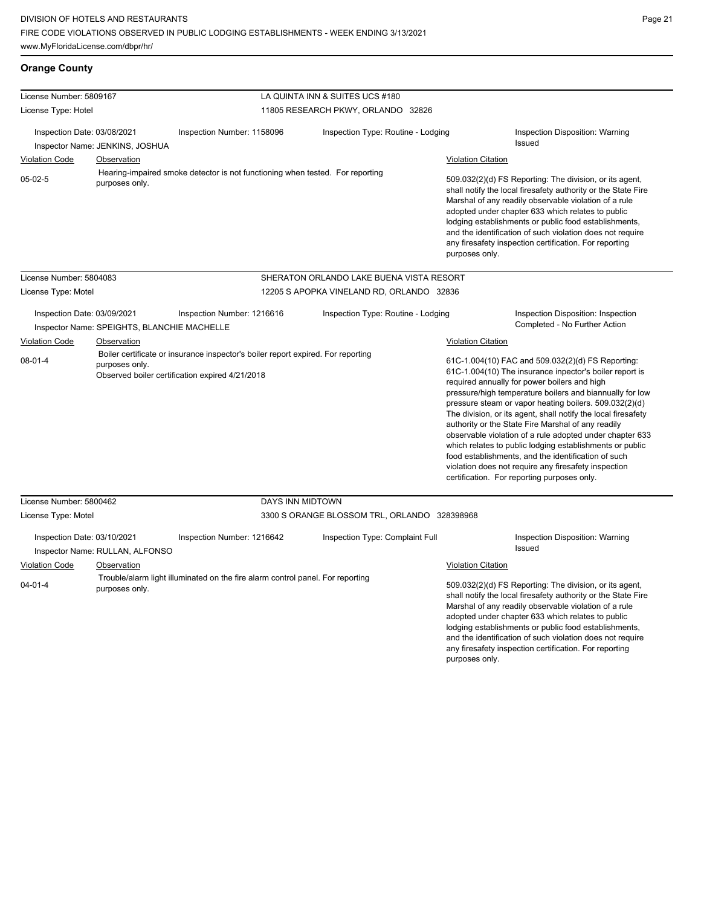**Orange County**

any firesafety inspection certification. For reporting

purposes only.

| License Number: 5809167                                                                                                                                          |                                 |                                                                                | LA QUINTA INN & SUITES UCS #180              |                           |                                                                                                                                                                                                                                                                                                                                                                                                                                                                                                                                                                                                                                                                                                 |  |  |
|------------------------------------------------------------------------------------------------------------------------------------------------------------------|---------------------------------|--------------------------------------------------------------------------------|----------------------------------------------|---------------------------|-------------------------------------------------------------------------------------------------------------------------------------------------------------------------------------------------------------------------------------------------------------------------------------------------------------------------------------------------------------------------------------------------------------------------------------------------------------------------------------------------------------------------------------------------------------------------------------------------------------------------------------------------------------------------------------------------|--|--|
| License Type: Hotel                                                                                                                                              |                                 |                                                                                | 11805 RESEARCH PKWY, ORLANDO 32826           |                           |                                                                                                                                                                                                                                                                                                                                                                                                                                                                                                                                                                                                                                                                                                 |  |  |
| Inspection Date: 03/08/2021<br>Inspector Name: JENKINS, JOSHUA                                                                                                   |                                 | Inspection Number: 1158096                                                     | Inspection Type: Routine - Lodging           |                           | Inspection Disposition: Warning                                                                                                                                                                                                                                                                                                                                                                                                                                                                                                                                                                                                                                                                 |  |  |
|                                                                                                                                                                  |                                 |                                                                                |                                              |                           | Issued                                                                                                                                                                                                                                                                                                                                                                                                                                                                                                                                                                                                                                                                                          |  |  |
| <b>Violation Code</b>                                                                                                                                            | Observation                     |                                                                                |                                              | <b>Violation Citation</b> |                                                                                                                                                                                                                                                                                                                                                                                                                                                                                                                                                                                                                                                                                                 |  |  |
| $05-02-5$                                                                                                                                                        | purposes only.                  | Hearing-impaired smoke detector is not functioning when tested. For reporting  |                                              | purposes only.            | 509.032(2)(d) FS Reporting: The division, or its agent,<br>shall notify the local firesafety authority or the State Fire<br>Marshal of any readily observable violation of a rule<br>adopted under chapter 633 which relates to public<br>lodging establishments or public food establishments,<br>and the identification of such violation does not require<br>any firesafety inspection certification. For reporting                                                                                                                                                                                                                                                                          |  |  |
| License Number: 5804083                                                                                                                                          |                                 |                                                                                | SHERATON ORLANDO LAKE BUENA VISTA RESORT     |                           |                                                                                                                                                                                                                                                                                                                                                                                                                                                                                                                                                                                                                                                                                                 |  |  |
| License Type: Motel                                                                                                                                              |                                 |                                                                                | 12205 S APOPKA VINELAND RD, ORLANDO 32836    |                           |                                                                                                                                                                                                                                                                                                                                                                                                                                                                                                                                                                                                                                                                                                 |  |  |
| Inspection Date: 03/09/2021<br>Inspector Name: SPEIGHTS, BLANCHIE MACHELLE                                                                                       |                                 | Inspection Number: 1216616                                                     | Inspection Type: Routine - Lodging           |                           | Inspection Disposition: Inspection<br>Completed - No Further Action                                                                                                                                                                                                                                                                                                                                                                                                                                                                                                                                                                                                                             |  |  |
| <b>Violation Code</b>                                                                                                                                            | Observation                     |                                                                                |                                              |                           | Violation Citation                                                                                                                                                                                                                                                                                                                                                                                                                                                                                                                                                                                                                                                                              |  |  |
| Boiler certificate or insurance inspector's boiler report expired. For reporting<br>08-01-4<br>purposes only.<br>Observed boiler certification expired 4/21/2018 |                                 |                                                                                |                                              |                           | 61C-1.004(10) FAC and 509.032(2)(d) FS Reporting:<br>61C-1.004(10) The insurance inpector's boiler report is<br>required annually for power boilers and high<br>pressure/high temperature boilers and biannually for low<br>pressure steam or vapor heating boilers. 509.032(2)(d)<br>The division, or its agent, shall notify the local firesafety<br>authority or the State Fire Marshal of any readily<br>observable violation of a rule adopted under chapter 633<br>which relates to public lodging establishments or public<br>food establishments, and the identification of such<br>violation does not require any firesafety inspection<br>certification. For reporting purposes only. |  |  |
| License Number: 5800462                                                                                                                                          |                                 | <b>DAYS INN MIDTOWN</b>                                                        |                                              |                           |                                                                                                                                                                                                                                                                                                                                                                                                                                                                                                                                                                                                                                                                                                 |  |  |
| License Type: Motel                                                                                                                                              |                                 |                                                                                | 3300 S ORANGE BLOSSOM TRL, ORLANDO 328398968 |                           |                                                                                                                                                                                                                                                                                                                                                                                                                                                                                                                                                                                                                                                                                                 |  |  |
| Inspection Date: 03/10/2021                                                                                                                                      | Inspector Name: RULLAN, ALFONSO | Inspection Number: 1216642                                                     | Inspection Type: Complaint Full              |                           | Inspection Disposition: Warning<br>Issued                                                                                                                                                                                                                                                                                                                                                                                                                                                                                                                                                                                                                                                       |  |  |
| <b>Violation Code</b>                                                                                                                                            | Observation                     |                                                                                |                                              | <b>Violation Citation</b> |                                                                                                                                                                                                                                                                                                                                                                                                                                                                                                                                                                                                                                                                                                 |  |  |
| $04 - 01 - 4$<br>purposes only.                                                                                                                                  |                                 | Trouble/alarm light illuminated on the fire alarm control panel. For reporting |                                              |                           | 509.032(2)(d) FS Reporting: The division, or its agent,<br>shall notify the local firesafety authority or the State Fire<br>Marshal of any readily observable violation of a rule<br>adopted under chapter 633 which relates to public<br>lodging establishments or public food establishments,<br>and the identification of such violation does not require                                                                                                                                                                                                                                                                                                                                    |  |  |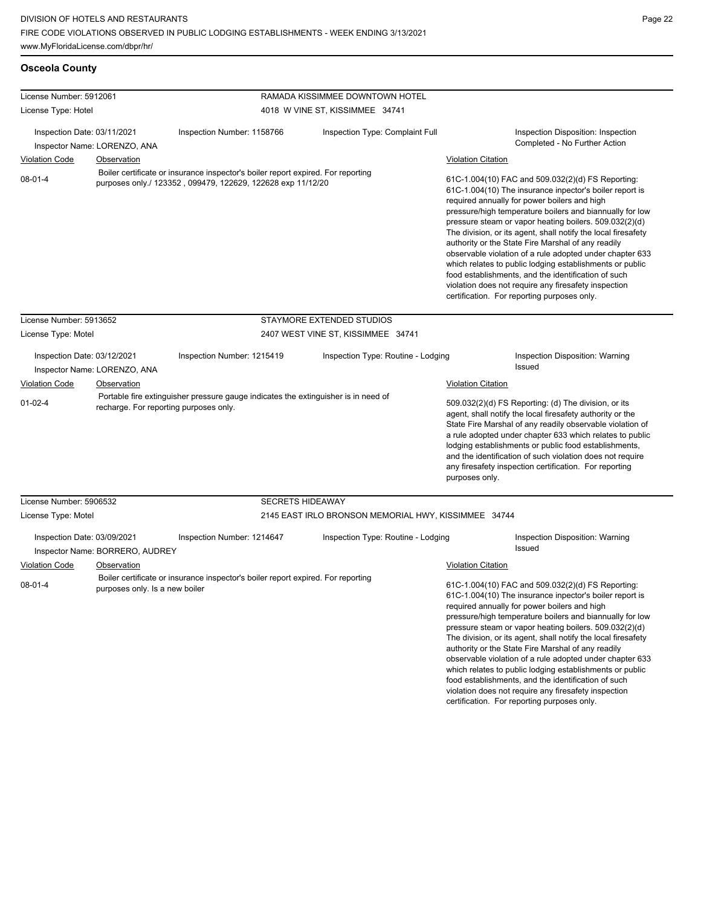| <b>Osceola County</b>                                       |                                                       |                                                                                                                                                 |                                                      |                                                                                                                                                                                                                                                                                                                                                                                                                                                                                                                                                                                                                                                                                                 |  |
|-------------------------------------------------------------|-------------------------------------------------------|-------------------------------------------------------------------------------------------------------------------------------------------------|------------------------------------------------------|-------------------------------------------------------------------------------------------------------------------------------------------------------------------------------------------------------------------------------------------------------------------------------------------------------------------------------------------------------------------------------------------------------------------------------------------------------------------------------------------------------------------------------------------------------------------------------------------------------------------------------------------------------------------------------------------------|--|
| License Number: 5912061                                     |                                                       |                                                                                                                                                 | RAMADA KISSIMMEE DOWNTOWN HOTEL                      |                                                                                                                                                                                                                                                                                                                                                                                                                                                                                                                                                                                                                                                                                                 |  |
| License Type: Hotel                                         |                                                       |                                                                                                                                                 | 4018 W VINE ST, KISSIMMEE 34741                      |                                                                                                                                                                                                                                                                                                                                                                                                                                                                                                                                                                                                                                                                                                 |  |
| Inspection Date: 03/11/2021<br>Inspector Name: LORENZO, ANA |                                                       | Inspection Number: 1158766                                                                                                                      | Inspection Type: Complaint Full                      | Inspection Disposition: Inspection<br>Completed - No Further Action                                                                                                                                                                                                                                                                                                                                                                                                                                                                                                                                                                                                                             |  |
| <b>Violation Code</b>                                       | <b>Observation</b>                                    |                                                                                                                                                 |                                                      | <b>Violation Citation</b>                                                                                                                                                                                                                                                                                                                                                                                                                                                                                                                                                                                                                                                                       |  |
| $08 - 01 - 4$                                               |                                                       | Boiler certificate or insurance inspector's boiler report expired. For reporting<br>purposes only./ 123352, 099479, 122629, 122628 exp 11/12/20 |                                                      | 61C-1.004(10) FAC and 509.032(2)(d) FS Reporting:<br>61C-1.004(10) The insurance inpector's boiler report is<br>required annually for power boilers and high<br>pressure/high temperature boilers and biannually for low<br>pressure steam or vapor heating boilers. 509.032(2)(d)<br>The division, or its agent, shall notify the local firesafety<br>authority or the State Fire Marshal of any readily<br>observable violation of a rule adopted under chapter 633<br>which relates to public lodging establishments or public<br>food establishments, and the identification of such<br>violation does not require any firesafety inspection<br>certification. For reporting purposes only. |  |
| License Number: 5913652                                     |                                                       |                                                                                                                                                 | STAYMORE EXTENDED STUDIOS                            |                                                                                                                                                                                                                                                                                                                                                                                                                                                                                                                                                                                                                                                                                                 |  |
| License Type: Motel                                         |                                                       |                                                                                                                                                 | 2407 WEST VINE ST, KISSIMMEE 34741                   |                                                                                                                                                                                                                                                                                                                                                                                                                                                                                                                                                                                                                                                                                                 |  |
| Inspection Date: 03/12/2021<br>Inspector Name: LORENZO, ANA |                                                       | Inspection Type: Routine - Lodging<br>Inspection Number: 1215419                                                                                |                                                      | Inspection Disposition: Warning<br>Issued                                                                                                                                                                                                                                                                                                                                                                                                                                                                                                                                                                                                                                                       |  |
| <b>Violation Code</b>                                       | Observation                                           |                                                                                                                                                 |                                                      | <b>Violation Citation</b>                                                                                                                                                                                                                                                                                                                                                                                                                                                                                                                                                                                                                                                                       |  |
| $01 - 02 - 4$<br>recharge. For reporting purposes only.     |                                                       | Portable fire extinguisher pressure gauge indicates the extinguisher is in need of                                                              |                                                      | 509.032(2)(d) FS Reporting: (d) The division, or its<br>agent, shall notify the local firesafety authority or the<br>State Fire Marshal of any readily observable violation of<br>a rule adopted under chapter 633 which relates to public<br>lodging establishments or public food establishments,<br>and the identification of such violation does not require<br>any firesafety inspection certification. For reporting<br>purposes only.                                                                                                                                                                                                                                                    |  |
| License Number: 5906532                                     |                                                       | <b>SECRETS HIDEAWAY</b>                                                                                                                         |                                                      |                                                                                                                                                                                                                                                                                                                                                                                                                                                                                                                                                                                                                                                                                                 |  |
| License Type: Motel                                         |                                                       |                                                                                                                                                 | 2145 EAST IRLO BRONSON MEMORIAL HWY, KISSIMMEE 34744 |                                                                                                                                                                                                                                                                                                                                                                                                                                                                                                                                                                                                                                                                                                 |  |
| Inspection Date: 03/09/2021<br><b>Violation Code</b>        | Inspector Name: BORRERO, AUDREY<br><b>Observation</b> | Inspection Number: 1214647                                                                                                                      | Inspection Type: Routine - Lodging                   | Inspection Disposition: Warning<br>Issued<br><b>Violation Citation</b>                                                                                                                                                                                                                                                                                                                                                                                                                                                                                                                                                                                                                          |  |
| $08 - 01 - 4$                                               | purposes only. Is a new boiler                        | Boiler certificate or insurance inspector's boiler report expired. For reporting                                                                |                                                      | 61C-1.004(10) FAC and 509.032(2)(d) FS Reporting:<br>61C-1.004(10) The insurance inpector's boiler report is<br>required annually for power boilers and high<br>pressure/high temperature boilers and biannually for low<br>pressure steam or vapor heating boilers. 509.032(2)(d)<br>The division, or its agent, shall notify the local firesafety<br>authority or the State Fire Marshal of any readily<br>observable violation of a rule adopted under chapter 633<br>which relates to public lodging establishments or public<br>food establishments, and the identification of such                                                                                                        |  |

violation does not require any firesafety inspection certification. For reporting purposes only.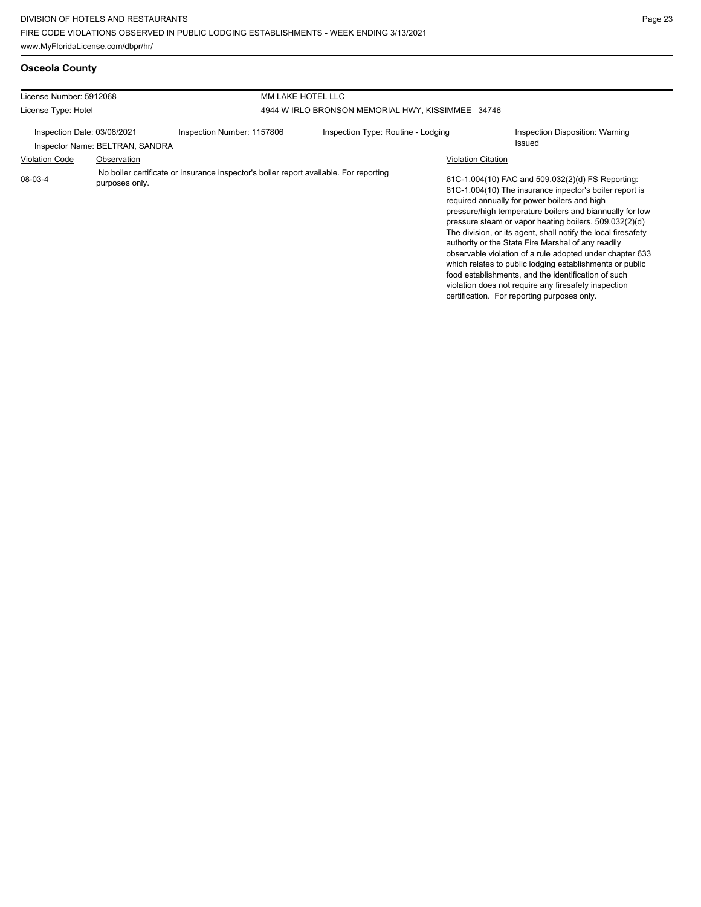## **Osceola County**

| License Number: 5912068                                                                                            |             |                            | MM LAKE HOTEL LLC                                                                                                                                                                                                                                                                                                                                                                                                                                                                                                                                                                                                                                                                                                            |  |                                           |  |  |
|--------------------------------------------------------------------------------------------------------------------|-------------|----------------------------|------------------------------------------------------------------------------------------------------------------------------------------------------------------------------------------------------------------------------------------------------------------------------------------------------------------------------------------------------------------------------------------------------------------------------------------------------------------------------------------------------------------------------------------------------------------------------------------------------------------------------------------------------------------------------------------------------------------------------|--|-------------------------------------------|--|--|
| License Type: Hotel                                                                                                |             |                            | 4944 W IRLO BRONSON MEMORIAL HWY, KISSIMMEE 34746                                                                                                                                                                                                                                                                                                                                                                                                                                                                                                                                                                                                                                                                            |  |                                           |  |  |
| Inspection Date: 03/08/2021<br>Inspector Name: BELTRAN, SANDRA                                                     |             | Inspection Number: 1157806 | Inspection Type: Routine - Lodging                                                                                                                                                                                                                                                                                                                                                                                                                                                                                                                                                                                                                                                                                           |  | Inspection Disposition: Warning<br>Issued |  |  |
| <b>Violation Code</b>                                                                                              | Observation |                            |                                                                                                                                                                                                                                                                                                                                                                                                                                                                                                                                                                                                                                                                                                                              |  |                                           |  |  |
| No boiler certificate or insurance inspector's boiler report available. For reporting<br>08-03-4<br>purposes only. |             |                            | <b>Violation Citation</b><br>61C-1.004(10) FAC and 509.032(2)(d) FS Reporting:<br>61C-1.004(10) The insurance inpector's boiler report is<br>required annually for power boilers and high<br>pressure/high temperature boilers and biannually for low<br>pressure steam or vapor heating boilers. 509.032(2)(d)<br>The division, or its agent, shall notify the local firesafety<br>authority or the State Fire Marshal of any readily<br>observable violation of a rule adopted under chapter 633<br>which relates to public lodging establishments or public<br>food establishments, and the identification of such<br>violation does not require any firesafety inspection<br>certification. For reporting purposes only. |  |                                           |  |  |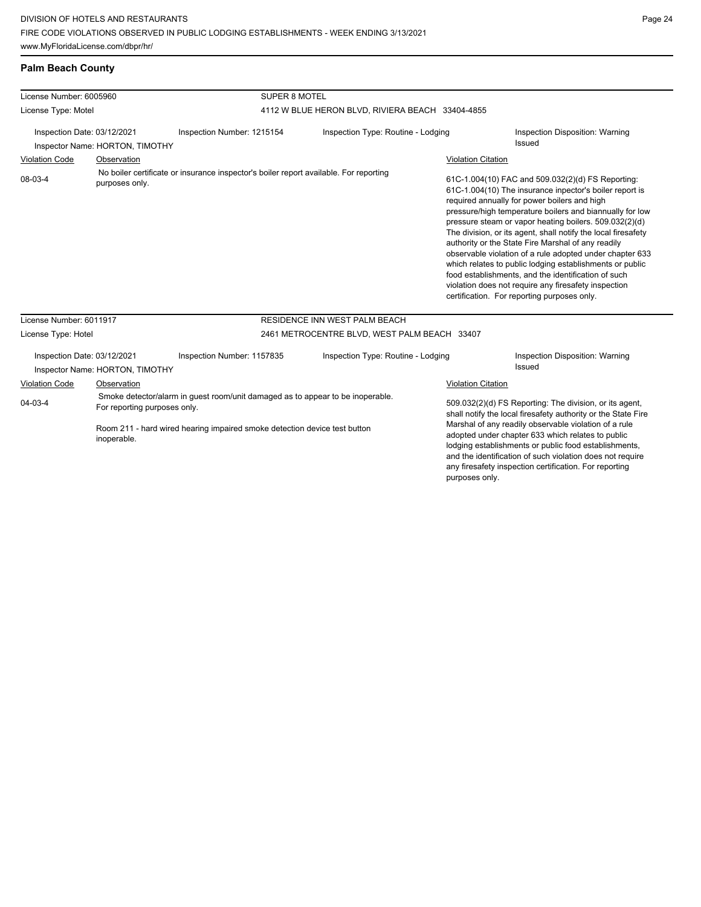### **Palm Beach County**

| License Number: 6005960                                        |                | <b>SUPER 8 MOTEL</b>                                                                                                                                                                        |                                                  |                                                                                                                                                                                                                                                                                                                                                                                                                                                                                                                                                                                                                                                                                                                              |                                                                                                                          |
|----------------------------------------------------------------|----------------|---------------------------------------------------------------------------------------------------------------------------------------------------------------------------------------------|--------------------------------------------------|------------------------------------------------------------------------------------------------------------------------------------------------------------------------------------------------------------------------------------------------------------------------------------------------------------------------------------------------------------------------------------------------------------------------------------------------------------------------------------------------------------------------------------------------------------------------------------------------------------------------------------------------------------------------------------------------------------------------------|--------------------------------------------------------------------------------------------------------------------------|
| License Type: Motel                                            |                |                                                                                                                                                                                             | 4112 W BLUE HERON BLVD, RIVIERA BEACH 33404-4855 |                                                                                                                                                                                                                                                                                                                                                                                                                                                                                                                                                                                                                                                                                                                              |                                                                                                                          |
| Inspection Date: 03/12/2021<br>Inspector Name: HORTON, TIMOTHY |                | Inspection Number: 1215154                                                                                                                                                                  | Inspection Type: Routine - Lodging               |                                                                                                                                                                                                                                                                                                                                                                                                                                                                                                                                                                                                                                                                                                                              | Inspection Disposition: Warning<br><b>Issued</b>                                                                         |
| <b>Violation Code</b>                                          | Observation    |                                                                                                                                                                                             |                                                  |                                                                                                                                                                                                                                                                                                                                                                                                                                                                                                                                                                                                                                                                                                                              |                                                                                                                          |
| 08-03-4                                                        | purposes only. | No boiler certificate or insurance inspector's boiler report available. For reporting                                                                                                       |                                                  | <b>Violation Citation</b><br>61C-1.004(10) FAC and 509.032(2)(d) FS Reporting:<br>61C-1.004(10) The insurance inpector's boiler report is<br>required annually for power boilers and high<br>pressure/high temperature boilers and biannually for low<br>pressure steam or vapor heating boilers. 509.032(2)(d)<br>The division, or its agent, shall notify the local firesafety<br>authority or the State Fire Marshal of any readily<br>observable violation of a rule adopted under chapter 633<br>which relates to public lodging establishments or public<br>food establishments, and the identification of such<br>violation does not require any firesafety inspection<br>certification. For reporting purposes only. |                                                                                                                          |
| License Number: 6011917                                        |                |                                                                                                                                                                                             | RESIDENCE INN WEST PALM BEACH                    |                                                                                                                                                                                                                                                                                                                                                                                                                                                                                                                                                                                                                                                                                                                              |                                                                                                                          |
| License Type: Hotel                                            |                |                                                                                                                                                                                             | 2461 METROCENTRE BLVD, WEST PALM BEACH 33407     |                                                                                                                                                                                                                                                                                                                                                                                                                                                                                                                                                                                                                                                                                                                              |                                                                                                                          |
| Inspection Date: 03/12/2021<br>Inspector Name: HORTON, TIMOTHY |                | Inspection Number: 1157835                                                                                                                                                                  | Inspection Type: Routine - Lodging               |                                                                                                                                                                                                                                                                                                                                                                                                                                                                                                                                                                                                                                                                                                                              | Inspection Disposition: Warning<br>Issued                                                                                |
| Violation Code                                                 | Observation    |                                                                                                                                                                                             |                                                  | <b>Violation Citation</b>                                                                                                                                                                                                                                                                                                                                                                                                                                                                                                                                                                                                                                                                                                    |                                                                                                                          |
| $04 - 03 - 4$                                                  |                | Smoke detector/alarm in guest room/unit damaged as to appear to be inoperable.<br>For reporting purposes only.<br>Room 211 - hard wired hearing impaired smoke detection device test button |                                                  |                                                                                                                                                                                                                                                                                                                                                                                                                                                                                                                                                                                                                                                                                                                              | 509.032(2)(d) FS Reporting: The division, or its agent,<br>shall notify the local firesafety authority or the State Fire |
|                                                                |                |                                                                                                                                                                                             |                                                  |                                                                                                                                                                                                                                                                                                                                                                                                                                                                                                                                                                                                                                                                                                                              | Marshal of any readily observable violation of a rule                                                                    |

iearing impaired smoke detection device test button inoperable.

adopted under chapter 633 which relates to public lodging establishments or public food establishments, and the identification of such violation does not require any firesafety inspection certification. For reporting purposes only.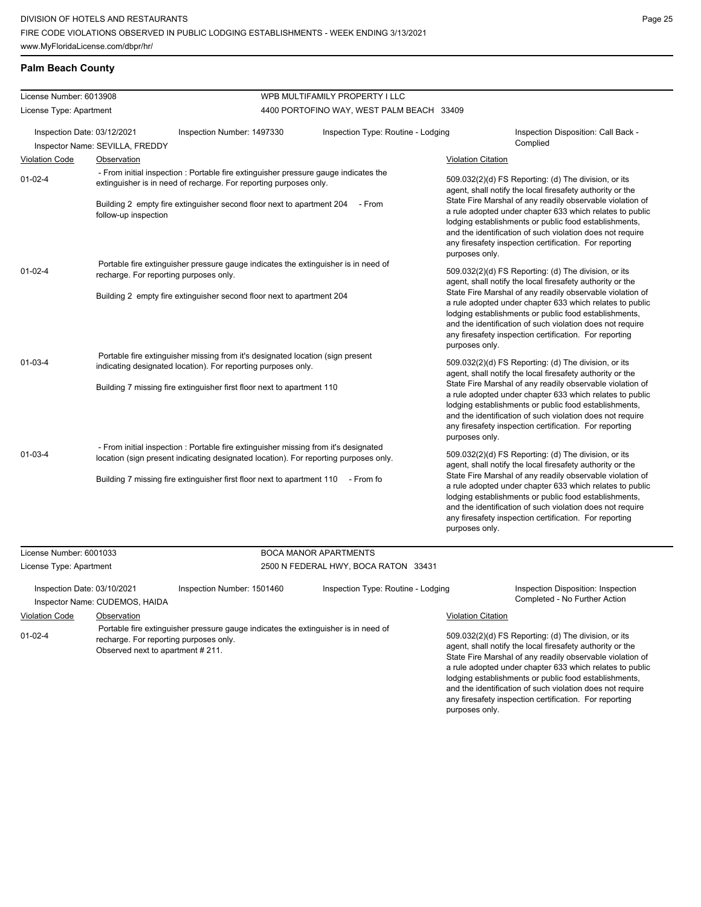## **Palm Beach County**

| License Number: 6013908                                        |                                                                                                                                                                                                                                                                  |                                                                                                                                                          | WPB MULTIFAMILY PROPERTY I LLC            |                                                                                                                                                                                                                                                                                                                                                                                                                                              |                                                                                                                                                                                                                                                                                                       |
|----------------------------------------------------------------|------------------------------------------------------------------------------------------------------------------------------------------------------------------------------------------------------------------------------------------------------------------|----------------------------------------------------------------------------------------------------------------------------------------------------------|-------------------------------------------|----------------------------------------------------------------------------------------------------------------------------------------------------------------------------------------------------------------------------------------------------------------------------------------------------------------------------------------------------------------------------------------------------------------------------------------------|-------------------------------------------------------------------------------------------------------------------------------------------------------------------------------------------------------------------------------------------------------------------------------------------------------|
| License Type: Apartment                                        |                                                                                                                                                                                                                                                                  |                                                                                                                                                          | 4400 PORTOFINO WAY, WEST PALM BEACH 33409 |                                                                                                                                                                                                                                                                                                                                                                                                                                              |                                                                                                                                                                                                                                                                                                       |
| Inspection Date: 03/12/2021<br>Inspector Name: SEVILLA, FREDDY |                                                                                                                                                                                                                                                                  | Inspection Type: Routine - Lodging<br>Inspection Number: 1497330                                                                                         |                                           |                                                                                                                                                                                                                                                                                                                                                                                                                                              | Inspection Disposition: Call Back -<br>Complied                                                                                                                                                                                                                                                       |
| <b>Violation Code</b>                                          | <b>Observation</b>                                                                                                                                                                                                                                               |                                                                                                                                                          |                                           | <b>Violation Citation</b>                                                                                                                                                                                                                                                                                                                                                                                                                    |                                                                                                                                                                                                                                                                                                       |
| $01-02-4$                                                      |                                                                                                                                                                                                                                                                  | - From initial inspection : Portable fire extinguisher pressure gauge indicates the<br>extinguisher is in need of recharge. For reporting purposes only. |                                           |                                                                                                                                                                                                                                                                                                                                                                                                                                              | 509.032(2)(d) FS Reporting: (d) The division, or its<br>agent, shall notify the local firesafety authority or the                                                                                                                                                                                     |
|                                                                | follow-up inspection                                                                                                                                                                                                                                             | Building 2 empty fire extinguisher second floor next to apartment 204 - From                                                                             |                                           | purposes only.                                                                                                                                                                                                                                                                                                                                                                                                                               | State Fire Marshal of any readily observable violation of<br>a rule adopted under chapter 633 which relates to public<br>lodging establishments or public food establishments,<br>and the identification of such violation does not require<br>any firesafety inspection certification. For reporting |
| $01 - 02 - 4$                                                  | recharge. For reporting purposes only.                                                                                                                                                                                                                           | Portable fire extinguisher pressure gauge indicates the extinguisher is in need of                                                                       |                                           | 509.032(2)(d) FS Reporting: (d) The division, or its<br>agent, shall notify the local firesafety authority or the                                                                                                                                                                                                                                                                                                                            |                                                                                                                                                                                                                                                                                                       |
|                                                                |                                                                                                                                                                                                                                                                  | Building 2 empty fire extinguisher second floor next to apartment 204                                                                                    |                                           | purposes only.                                                                                                                                                                                                                                                                                                                                                                                                                               | State Fire Marshal of any readily observable violation of<br>a rule adopted under chapter 633 which relates to public<br>lodging establishments or public food establishments,<br>and the identification of such violation does not require<br>any firesafety inspection certification. For reporting |
| $01 - 03 - 4$                                                  |                                                                                                                                                                                                                                                                  | Portable fire extinguisher missing from it's designated location (sign present<br>indicating designated location). For reporting purposes only.          |                                           | 509.032(2)(d) FS Reporting: (d) The division, or its<br>agent, shall notify the local firesafety authority or the<br>State Fire Marshal of any readily observable violation of<br>a rule adopted under chapter 633 which relates to public<br>lodging establishments or public food establishments,<br>and the identification of such violation does not require<br>any firesafety inspection certification. For reporting<br>purposes only. |                                                                                                                                                                                                                                                                                                       |
|                                                                |                                                                                                                                                                                                                                                                  | Building 7 missing fire extinguisher first floor next to apartment 110                                                                                   |                                           |                                                                                                                                                                                                                                                                                                                                                                                                                                              |                                                                                                                                                                                                                                                                                                       |
| $01 - 03 - 4$                                                  | - From initial inspection : Portable fire extinguisher missing from it's designated<br>location (sign present indicating designated location). For reporting purposes only.<br>Building 7 missing fire extinguisher first floor next to apartment 110 - From for |                                                                                                                                                          |                                           | 509.032(2)(d) FS Reporting: (d) The division, or its<br>agent, shall notify the local firesafety authority or the<br>State Fire Marshal of any readily observable violation of<br>a rule adopted under chapter 633 which relates to public<br>lodging establishments or public food establishments,<br>and the identification of such violation does not require<br>any firesafety inspection certification. For reporting<br>purposes only. |                                                                                                                                                                                                                                                                                                       |
|                                                                |                                                                                                                                                                                                                                                                  |                                                                                                                                                          |                                           |                                                                                                                                                                                                                                                                                                                                                                                                                                              |                                                                                                                                                                                                                                                                                                       |

| License Number: 6001033     |                                                                                                                                                                  |                                      | <b>BOCA MANOR APARTMENTS</b>       |                           |                                                                                                                                                                                                                                                                                                                                                                  |
|-----------------------------|------------------------------------------------------------------------------------------------------------------------------------------------------------------|--------------------------------------|------------------------------------|---------------------------|------------------------------------------------------------------------------------------------------------------------------------------------------------------------------------------------------------------------------------------------------------------------------------------------------------------------------------------------------------------|
| License Type: Apartment     |                                                                                                                                                                  | 2500 N FEDERAL HWY, BOCA RATON 33431 |                                    |                           |                                                                                                                                                                                                                                                                                                                                                                  |
| Inspection Date: 03/10/2021 | Inspector Name: CUDEMOS, HAIDA                                                                                                                                   | Inspection Number: 1501460           | Inspection Type: Routine - Lodging |                           | Inspection Disposition: Inspection<br>Completed - No Further Action                                                                                                                                                                                                                                                                                              |
| <b>Violation Code</b>       | Observation                                                                                                                                                      |                                      |                                    | <b>Violation Citation</b> |                                                                                                                                                                                                                                                                                                                                                                  |
| $01 - 02 - 4$               | Portable fire extinguisher pressure gauge indicates the extinguisher is in need of<br>recharge. For reporting purposes only.<br>Observed next to apartment #211. |                                      |                                    |                           | 509.032(2)(d) FS Reporting: (d) The division, or its<br>agent, shall notify the local firesafety authority or the<br>State Fire Marshal of any readily observable violation of<br>a rule adopted under chapter 633 which relates to public<br>lodging establishments or public food establishments,<br>and the identification of such violation does not require |

any firesafety inspection certification. For reporting

purposes only.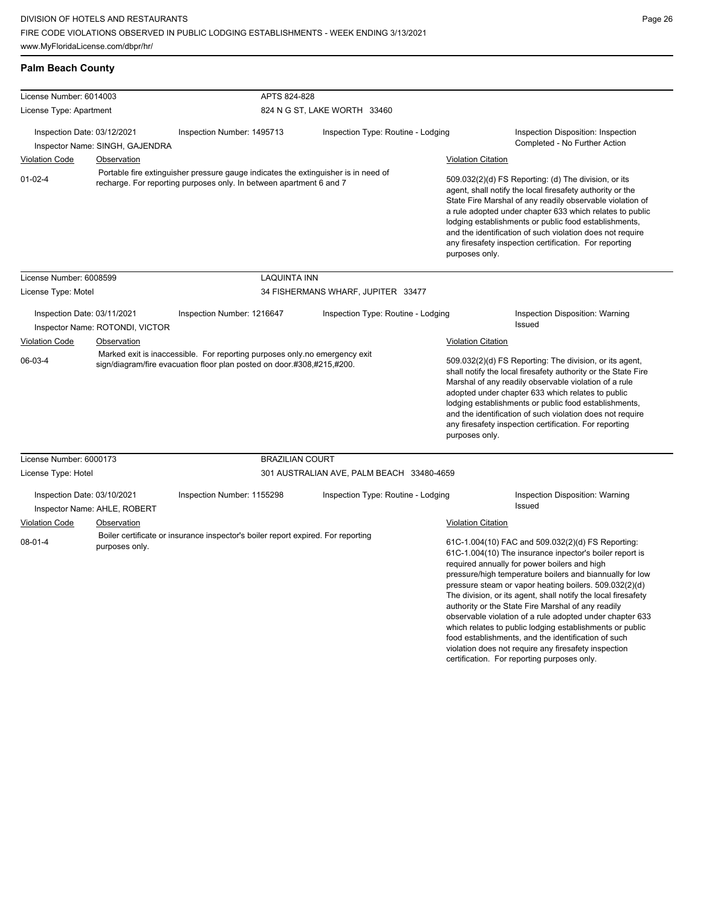**Palm Beach County**

| License Number: 6014003                                                                                                                                                    |                                             | APTS 824-828                                                                                                                                         |                                                                                                                                                                                                                                                                                                                                                                                                                                              |                                                                                                                                                                                                                                                                                                                                                                                                                                                                                                                                                                                                                                                  |  |  |
|----------------------------------------------------------------------------------------------------------------------------------------------------------------------------|---------------------------------------------|------------------------------------------------------------------------------------------------------------------------------------------------------|----------------------------------------------------------------------------------------------------------------------------------------------------------------------------------------------------------------------------------------------------------------------------------------------------------------------------------------------------------------------------------------------------------------------------------------------|--------------------------------------------------------------------------------------------------------------------------------------------------------------------------------------------------------------------------------------------------------------------------------------------------------------------------------------------------------------------------------------------------------------------------------------------------------------------------------------------------------------------------------------------------------------------------------------------------------------------------------------------------|--|--|
| License Type: Apartment                                                                                                                                                    |                                             |                                                                                                                                                      | 824 N G ST, LAKE WORTH 33460                                                                                                                                                                                                                                                                                                                                                                                                                 |                                                                                                                                                                                                                                                                                                                                                                                                                                                                                                                                                                                                                                                  |  |  |
| Inspection Date: 03/12/2021                                                                                                                                                |                                             | Inspection Number: 1495713                                                                                                                           | Inspection Type: Routine - Lodging                                                                                                                                                                                                                                                                                                                                                                                                           | Inspection Disposition: Inspection<br>Completed - No Further Action                                                                                                                                                                                                                                                                                                                                                                                                                                                                                                                                                                              |  |  |
|                                                                                                                                                                            | Inspector Name: SINGH, GAJENDRA             |                                                                                                                                                      |                                                                                                                                                                                                                                                                                                                                                                                                                                              |                                                                                                                                                                                                                                                                                                                                                                                                                                                                                                                                                                                                                                                  |  |  |
| <b>Violation Code</b>                                                                                                                                                      | Observation                                 |                                                                                                                                                      |                                                                                                                                                                                                                                                                                                                                                                                                                                              | <b>Violation Citation</b>                                                                                                                                                                                                                                                                                                                                                                                                                                                                                                                                                                                                                        |  |  |
| Portable fire extinguisher pressure gauge indicates the extinguisher is in need of<br>$01 - 02 - 4$<br>recharge. For reporting purposes only. In between apartment 6 and 7 |                                             |                                                                                                                                                      | 509.032(2)(d) FS Reporting: (d) The division, or its<br>agent, shall notify the local firesafety authority or the<br>State Fire Marshal of any readily observable violation of<br>a rule adopted under chapter 633 which relates to public<br>lodging establishments or public food establishments,<br>and the identification of such violation does not require<br>any firesafety inspection certification. For reporting<br>purposes only. |                                                                                                                                                                                                                                                                                                                                                                                                                                                                                                                                                                                                                                                  |  |  |
| License Number: 6008599                                                                                                                                                    |                                             | <b>LAQUINTA INN</b>                                                                                                                                  |                                                                                                                                                                                                                                                                                                                                                                                                                                              |                                                                                                                                                                                                                                                                                                                                                                                                                                                                                                                                                                                                                                                  |  |  |
| License Type: Motel                                                                                                                                                        |                                             |                                                                                                                                                      | 34 FISHERMANS WHARF, JUPITER 33477                                                                                                                                                                                                                                                                                                                                                                                                           |                                                                                                                                                                                                                                                                                                                                                                                                                                                                                                                                                                                                                                                  |  |  |
| Inspection Date: 03/11/2021                                                                                                                                                | Inspector Name: ROTONDI, VICTOR             | Inspection Number: 1216647                                                                                                                           | Inspection Type: Routine - Lodging                                                                                                                                                                                                                                                                                                                                                                                                           | Inspection Disposition: Warning<br>Issued                                                                                                                                                                                                                                                                                                                                                                                                                                                                                                                                                                                                        |  |  |
| <b>Violation Code</b>                                                                                                                                                      | Observation                                 |                                                                                                                                                      |                                                                                                                                                                                                                                                                                                                                                                                                                                              | <b>Violation Citation</b>                                                                                                                                                                                                                                                                                                                                                                                                                                                                                                                                                                                                                        |  |  |
| 06-03-4                                                                                                                                                                    |                                             | Marked exit is inaccessible. For reporting purposes only no emergency exit<br>sign/diagram/fire evacuation floor plan posted on door.#308,#215,#200. |                                                                                                                                                                                                                                                                                                                                                                                                                                              | 509.032(2)(d) FS Reporting: The division, or its agent,<br>shall notify the local firesafety authority or the State Fire<br>Marshal of any readily observable violation of a rule<br>adopted under chapter 633 which relates to public<br>lodging establishments or public food establishments,<br>and the identification of such violation does not require<br>any firesafety inspection certification. For reporting<br>purposes only.                                                                                                                                                                                                         |  |  |
|                                                                                                                                                                            |                                             |                                                                                                                                                      |                                                                                                                                                                                                                                                                                                                                                                                                                                              |                                                                                                                                                                                                                                                                                                                                                                                                                                                                                                                                                                                                                                                  |  |  |
| License Number: 6000173                                                                                                                                                    |                                             | <b>BRAZILIAN COURT</b>                                                                                                                               |                                                                                                                                                                                                                                                                                                                                                                                                                                              |                                                                                                                                                                                                                                                                                                                                                                                                                                                                                                                                                                                                                                                  |  |  |
| License Type: Hotel                                                                                                                                                        |                                             |                                                                                                                                                      | 301 AUSTRALIAN AVE, PALM BEACH 33480-4659                                                                                                                                                                                                                                                                                                                                                                                                    |                                                                                                                                                                                                                                                                                                                                                                                                                                                                                                                                                                                                                                                  |  |  |
| Inspection Date: 03/10/2021<br><b>Violation Code</b>                                                                                                                       | Inspector Name: AHLE, ROBERT<br>Observation | Inspection Number: 1155298                                                                                                                           | Inspection Type: Routine - Lodging                                                                                                                                                                                                                                                                                                                                                                                                           | Inspection Disposition: Warning<br><b>Issued</b><br>Violation Citation                                                                                                                                                                                                                                                                                                                                                                                                                                                                                                                                                                           |  |  |
| $08-01-4$                                                                                                                                                                  | purposes only.                              | Boiler certificate or insurance inspector's boiler report expired. For reporting                                                                     |                                                                                                                                                                                                                                                                                                                                                                                                                                              | 61C-1.004(10) FAC and 509.032(2)(d) FS Reporting:<br>61C-1.004(10) The insurance inpector's boiler report is<br>required annually for power boilers and high<br>pressure/high temperature boilers and biannually for low<br>pressure steam or vapor heating boilers. 509.032(2)(d)<br>The division, or its agent, shall notify the local firesafety<br>authority or the State Fire Marshal of any readily<br>observable violation of a rule adopted under chapter 633<br>which relates to public lodging establishments or public<br>food establishments, and the identification of such<br>violation does not require any firesafety inspection |  |  |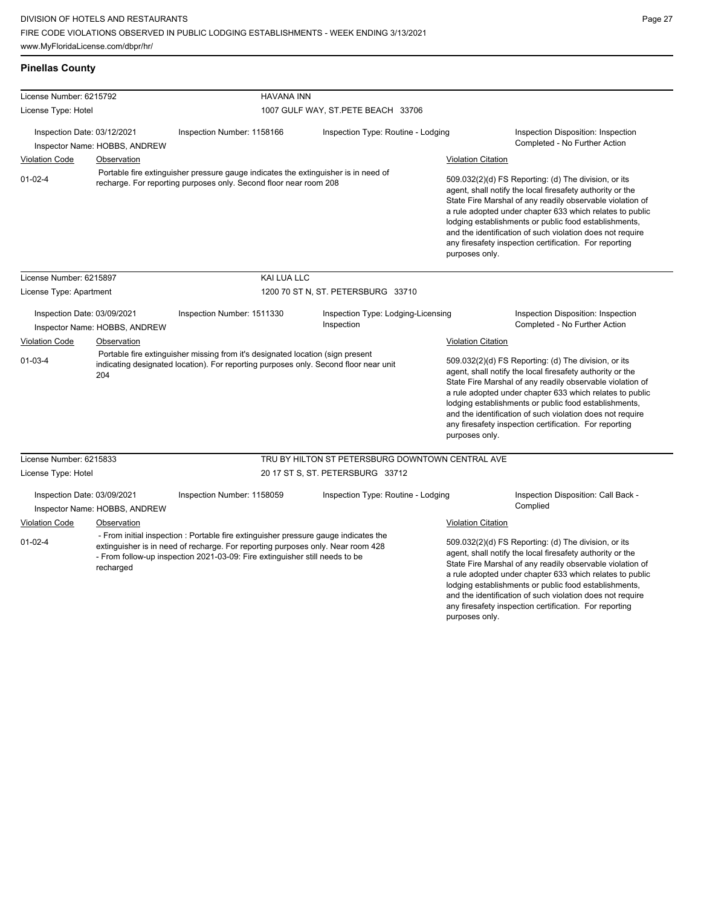**Pinellas County**

| License Number: 6215792                                      |                               | <b>HAVANA INN</b>                                                                                                                                                                                                                                     |                                                                                                                                                                                                                                                                                                                     |                           |                                                                                                                                                                                                                                                                                                                                                                                                                            |
|--------------------------------------------------------------|-------------------------------|-------------------------------------------------------------------------------------------------------------------------------------------------------------------------------------------------------------------------------------------------------|---------------------------------------------------------------------------------------------------------------------------------------------------------------------------------------------------------------------------------------------------------------------------------------------------------------------|---------------------------|----------------------------------------------------------------------------------------------------------------------------------------------------------------------------------------------------------------------------------------------------------------------------------------------------------------------------------------------------------------------------------------------------------------------------|
| License Type: Hotel                                          |                               |                                                                                                                                                                                                                                                       | 1007 GULF WAY, ST.PETE BEACH 33706                                                                                                                                                                                                                                                                                  |                           |                                                                                                                                                                                                                                                                                                                                                                                                                            |
|                                                              |                               |                                                                                                                                                                                                                                                       |                                                                                                                                                                                                                                                                                                                     |                           |                                                                                                                                                                                                                                                                                                                                                                                                                            |
| Inspection Date: 03/12/2021<br>Inspector Name: HOBBS, ANDREW |                               | Inspection Number: 1158166                                                                                                                                                                                                                            | Inspection Type: Routine - Lodging                                                                                                                                                                                                                                                                                  |                           | Inspection Disposition: Inspection<br>Completed - No Further Action                                                                                                                                                                                                                                                                                                                                                        |
| <b>Violation Code</b>                                        | Observation                   |                                                                                                                                                                                                                                                       |                                                                                                                                                                                                                                                                                                                     | <b>Violation Citation</b> |                                                                                                                                                                                                                                                                                                                                                                                                                            |
| $01 - 02 - 4$                                                |                               | recharge. For reporting purposes only. Second floor near room 208                                                                                                                                                                                     | Portable fire extinguisher pressure gauge indicates the extinguisher is in need of<br>purposes only.                                                                                                                                                                                                                |                           | 509.032(2)(d) FS Reporting: (d) The division, or its<br>agent, shall notify the local firesafety authority or the<br>State Fire Marshal of any readily observable violation of<br>a rule adopted under chapter 633 which relates to public<br>lodging establishments or public food establishments,<br>and the identification of such violation does not require<br>any firesafety inspection certification. For reporting |
| License Number: 6215897                                      |                               | KAI LUA LLC                                                                                                                                                                                                                                           |                                                                                                                                                                                                                                                                                                                     |                           |                                                                                                                                                                                                                                                                                                                                                                                                                            |
| License Type: Apartment                                      |                               |                                                                                                                                                                                                                                                       | 1200 70 ST N, ST. PETERSBURG 33710                                                                                                                                                                                                                                                                                  |                           |                                                                                                                                                                                                                                                                                                                                                                                                                            |
| Inspection Date: 03/09/2021                                  | Inspector Name: HOBBS, ANDREW | Inspection Number: 1511330                                                                                                                                                                                                                            | Inspection Type: Lodging-Licensing<br>Inspection                                                                                                                                                                                                                                                                    |                           | Inspection Disposition: Inspection<br>Completed - No Further Action                                                                                                                                                                                                                                                                                                                                                        |
| <b>Violation Code</b>                                        | Observation                   |                                                                                                                                                                                                                                                       | Violation Citation                                                                                                                                                                                                                                                                                                  |                           |                                                                                                                                                                                                                                                                                                                                                                                                                            |
| $01 - 03 - 4$                                                | 204                           | Portable fire extinguisher missing from it's designated location (sign present<br>indicating designated location). For reporting purposes only. Second floor near unit                                                                                | 509.032(2)(d) FS Reporting: (d) The division, or its<br>agent, shall notify the local firesafety authority or the<br>lodging establishments or public food establishments,<br>and the identification of such violation does not require<br>any firesafety inspection certification. For reporting<br>purposes only. |                           | State Fire Marshal of any readily observable violation of<br>a rule adopted under chapter 633 which relates to public                                                                                                                                                                                                                                                                                                      |
| License Number: 6215833                                      |                               |                                                                                                                                                                                                                                                       | TRU BY HILTON ST PETERSBURG DOWNTOWN CENTRAL AVE                                                                                                                                                                                                                                                                    |                           |                                                                                                                                                                                                                                                                                                                                                                                                                            |
| License Type: Hotel                                          |                               |                                                                                                                                                                                                                                                       | 20 17 ST S, ST. PETERSBURG 33712                                                                                                                                                                                                                                                                                    |                           |                                                                                                                                                                                                                                                                                                                                                                                                                            |
| Inspection Date: 03/09/2021                                  | Inspector Name: HOBBS, ANDREW | Inspection Number: 1158059                                                                                                                                                                                                                            | Inspection Type: Routine - Lodging                                                                                                                                                                                                                                                                                  |                           | Inspection Disposition: Call Back -<br>Complied                                                                                                                                                                                                                                                                                                                                                                            |
| <b>Violation Code</b>                                        | Observation                   |                                                                                                                                                                                                                                                       |                                                                                                                                                                                                                                                                                                                     | <b>Violation Citation</b> |                                                                                                                                                                                                                                                                                                                                                                                                                            |
| $01 - 02 - 4$                                                | recharged                     | - From initial inspection : Portable fire extinguisher pressure gauge indicates the<br>extinguisher is in need of recharge. For reporting purposes only. Near room 428<br>- From follow-up inspection 2021-03-09: Fire extinguisher still needs to be |                                                                                                                                                                                                                                                                                                                     | purposes only.            | 509.032(2)(d) FS Reporting: (d) The division, or its<br>agent, shall notify the local firesafety authority or the<br>State Fire Marshal of any readily observable violation of<br>a rule adopted under chapter 633 which relates to public<br>lodging establishments or public food establishments,<br>and the identification of such violation does not require<br>any firesafety inspection certification. For reporting |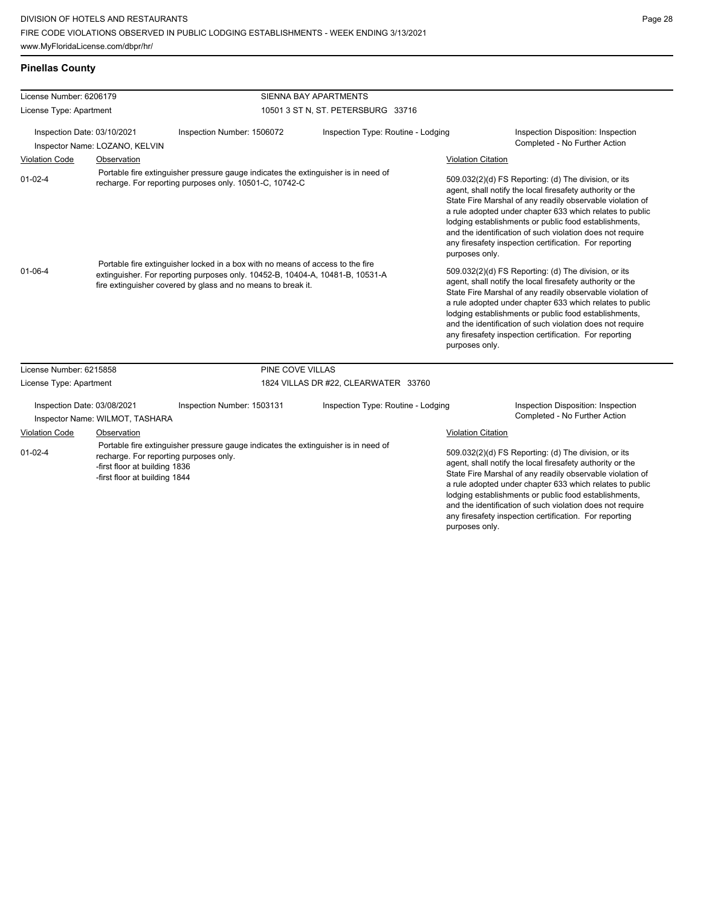|  | <b>Pinellas County</b> |  |
|--|------------------------|--|
|  |                        |  |

| License Number: 6206179                                                                                                                                                                                         |                                 |                                                                                                                                                                                                                                 | SIENNA BAY APARTMENTS                                                                                                                                                                                                                                                                                                                                                                                                                        |                                                                                                                                                                                                                                                                                                                                                                                                                                              |  |  |
|-----------------------------------------------------------------------------------------------------------------------------------------------------------------------------------------------------------------|---------------------------------|---------------------------------------------------------------------------------------------------------------------------------------------------------------------------------------------------------------------------------|----------------------------------------------------------------------------------------------------------------------------------------------------------------------------------------------------------------------------------------------------------------------------------------------------------------------------------------------------------------------------------------------------------------------------------------------|----------------------------------------------------------------------------------------------------------------------------------------------------------------------------------------------------------------------------------------------------------------------------------------------------------------------------------------------------------------------------------------------------------------------------------------------|--|--|
| License Type: Apartment                                                                                                                                                                                         |                                 |                                                                                                                                                                                                                                 | 10501 3 ST N, ST. PETERSBURG 33716                                                                                                                                                                                                                                                                                                                                                                                                           |                                                                                                                                                                                                                                                                                                                                                                                                                                              |  |  |
| Inspection Date: 03/10/2021<br>Inspector Name: LOZANO, KELVIN                                                                                                                                                   |                                 | Inspection Number: 1506072                                                                                                                                                                                                      | Inspection Type: Routine - Lodging                                                                                                                                                                                                                                                                                                                                                                                                           | Inspection Disposition: Inspection<br>Completed - No Further Action                                                                                                                                                                                                                                                                                                                                                                          |  |  |
| <b>Violation Code</b>                                                                                                                                                                                           | Observation                     |                                                                                                                                                                                                                                 |                                                                                                                                                                                                                                                                                                                                                                                                                                              | <b>Violation Citation</b>                                                                                                                                                                                                                                                                                                                                                                                                                    |  |  |
| $01 - 02 - 4$                                                                                                                                                                                                   |                                 | Portable fire extinguisher pressure gauge indicates the extinguisher is in need of<br>recharge. For reporting purposes only. 10501-C, 10742-C                                                                                   | 509.032(2)(d) FS Reporting: (d) The division, or its<br>agent, shall notify the local firesafety authority or the<br>State Fire Marshal of any readily observable violation of<br>a rule adopted under chapter 633 which relates to public<br>lodging establishments or public food establishments,<br>and the identification of such violation does not require<br>any firesafety inspection certification. For reporting<br>purposes only. |                                                                                                                                                                                                                                                                                                                                                                                                                                              |  |  |
| $01 - 06 - 4$                                                                                                                                                                                                   |                                 | Portable fire extinguisher locked in a box with no means of access to the fire<br>extinguisher. For reporting purposes only. 10452-B, 10404-A, 10481-B, 10531-A<br>fire extinguisher covered by glass and no means to break it. |                                                                                                                                                                                                                                                                                                                                                                                                                                              | 509.032(2)(d) FS Reporting: (d) The division, or its<br>agent, shall notify the local firesafety authority or the<br>State Fire Marshal of any readily observable violation of<br>a rule adopted under chapter 633 which relates to public<br>lodging establishments or public food establishments,<br>and the identification of such violation does not require<br>any firesafety inspection certification. For reporting<br>purposes only. |  |  |
| License Number: 6215858                                                                                                                                                                                         |                                 | PINE COVE VILLAS                                                                                                                                                                                                                |                                                                                                                                                                                                                                                                                                                                                                                                                                              |                                                                                                                                                                                                                                                                                                                                                                                                                                              |  |  |
| License Type: Apartment                                                                                                                                                                                         |                                 |                                                                                                                                                                                                                                 | 1824 VILLAS DR #22, CLEARWATER 33760                                                                                                                                                                                                                                                                                                                                                                                                         |                                                                                                                                                                                                                                                                                                                                                                                                                                              |  |  |
| Inspection Date: 03/08/2021                                                                                                                                                                                     | Inspector Name: WILMOT, TASHARA | Inspection Number: 1503131                                                                                                                                                                                                      | Inspection Type: Routine - Lodging                                                                                                                                                                                                                                                                                                                                                                                                           | Inspection Disposition: Inspection<br>Completed - No Further Action                                                                                                                                                                                                                                                                                                                                                                          |  |  |
| <b>Violation Code</b>                                                                                                                                                                                           | Observation                     |                                                                                                                                                                                                                                 |                                                                                                                                                                                                                                                                                                                                                                                                                                              | <b>Violation Citation</b>                                                                                                                                                                                                                                                                                                                                                                                                                    |  |  |
| Portable fire extinguisher pressure gauge indicates the extinguisher is in need of<br>$01 - 02 - 4$<br>recharge. For reporting purposes only.<br>-first floor at building 1836<br>-first floor at building 1844 |                                 |                                                                                                                                                                                                                                 |                                                                                                                                                                                                                                                                                                                                                                                                                                              | 509.032(2)(d) FS Reporting: (d) The division, or its<br>agent, shall notify the local firesafety authority or the<br>State Fire Marshal of any readily observable violation of<br>a rule adopted under chapter 633 which relates to public<br>lodging establishments or public food establishments,<br>and the identification of such violation does not require<br>any firesafety inspection certification. For reporting<br>purposes only. |  |  |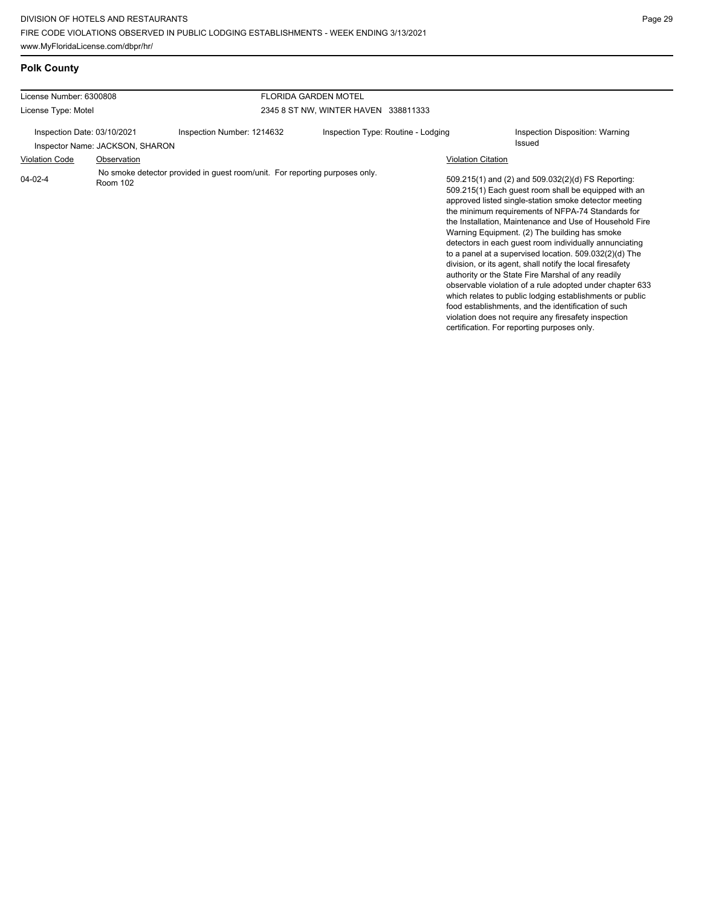| <b>Polk County</b>                                                  |             |                                                                             |                                      |  |                                                                                                                                                                                                                                                                                                                                                                                                                                                                                                                                                                                                                                                                                                                                                                                                                                                                   |  |
|---------------------------------------------------------------------|-------------|-----------------------------------------------------------------------------|--------------------------------------|--|-------------------------------------------------------------------------------------------------------------------------------------------------------------------------------------------------------------------------------------------------------------------------------------------------------------------------------------------------------------------------------------------------------------------------------------------------------------------------------------------------------------------------------------------------------------------------------------------------------------------------------------------------------------------------------------------------------------------------------------------------------------------------------------------------------------------------------------------------------------------|--|
| License Number: 6300808                                             |             |                                                                             | <b>FLORIDA GARDEN MOTEL</b>          |  |                                                                                                                                                                                                                                                                                                                                                                                                                                                                                                                                                                                                                                                                                                                                                                                                                                                                   |  |
| License Type: Motel                                                 |             |                                                                             | 2345 8 ST NW, WINTER HAVEN 338811333 |  |                                                                                                                                                                                                                                                                                                                                                                                                                                                                                                                                                                                                                                                                                                                                                                                                                                                                   |  |
| Inspection Date: 03/10/2021                                         |             | Inspection Number: 1214632                                                  | Inspection Type: Routine - Lodging   |  | Inspection Disposition: Warning<br>Issued                                                                                                                                                                                                                                                                                                                                                                                                                                                                                                                                                                                                                                                                                                                                                                                                                         |  |
| <b>Violation Code</b>                                               | Observation |                                                                             |                                      |  | <b>Violation Citation</b>                                                                                                                                                                                                                                                                                                                                                                                                                                                                                                                                                                                                                                                                                                                                                                                                                                         |  |
| Inspector Name: JACKSON, SHARON<br>$04 - 02 - 4$<br><b>Room 102</b> |             | No smoke detector provided in guest room/unit. For reporting purposes only. |                                      |  | 509.215(1) and (2) and 509.032(2)(d) FS Reporting:<br>509.215(1) Each guest room shall be equipped with an<br>approved listed single-station smoke detector meeting<br>the minimum requirements of NFPA-74 Standards for<br>the Installation, Maintenance and Use of Household Fire<br>Warning Equipment. (2) The building has smoke<br>detectors in each guest room individually annunciating<br>to a panel at a supervised location. 509.032(2)(d) The<br>division, or its agent, shall notify the local firesafety<br>authority or the State Fire Marshal of any readily<br>observable violation of a rule adopted under chapter 633<br>which relates to public lodging establishments or public<br>food establishments, and the identification of such<br>violation does not require any firesafety inspection<br>certification. For reporting purposes only. |  |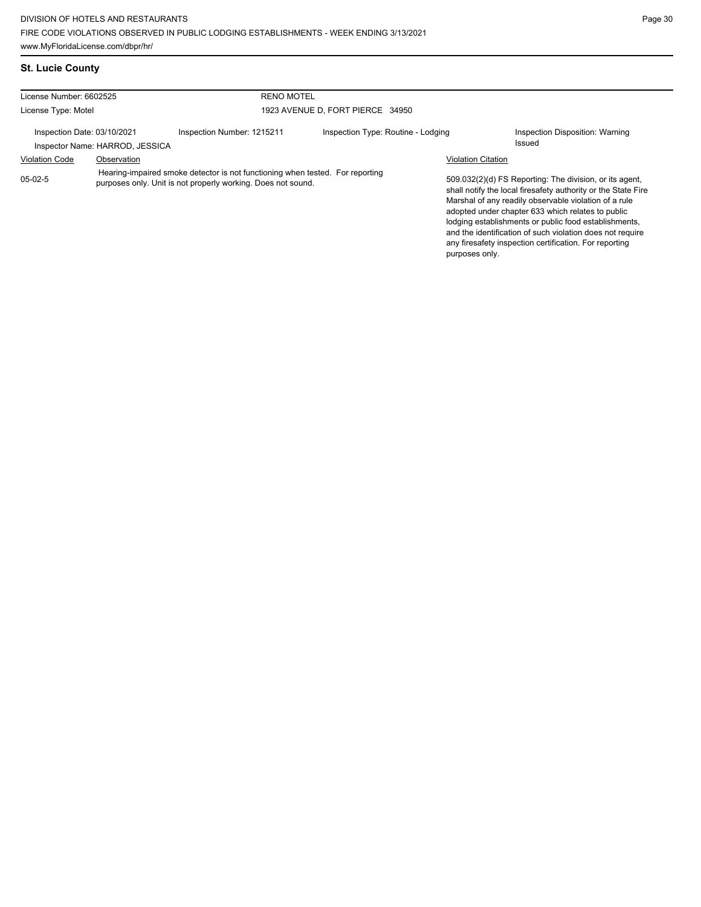## **St. Lucie County**

| License Number: 6602525                                                                                                                                    |                                 | <b>RENO MOTEL</b>                |                                    |                                                                                                                                                                                                                                                                                                                                                                                                                        |                                           |
|------------------------------------------------------------------------------------------------------------------------------------------------------------|---------------------------------|----------------------------------|------------------------------------|------------------------------------------------------------------------------------------------------------------------------------------------------------------------------------------------------------------------------------------------------------------------------------------------------------------------------------------------------------------------------------------------------------------------|-------------------------------------------|
| License Type: Motel                                                                                                                                        |                                 | 1923 AVENUE D, FORT PIERCE 34950 |                                    |                                                                                                                                                                                                                                                                                                                                                                                                                        |                                           |
| Inspection Date: 03/10/2021                                                                                                                                | Inspector Name: HARROD, JESSICA | Inspection Number: 1215211       | Inspection Type: Routine - Lodging |                                                                                                                                                                                                                                                                                                                                                                                                                        | Inspection Disposition: Warning<br>Issued |
| <b>Violation Code</b>                                                                                                                                      | Observation                     |                                  |                                    | <b>Violation Citation</b>                                                                                                                                                                                                                                                                                                                                                                                              |                                           |
| Hearing-impaired smoke detector is not functioning when tested. For reporting<br>$05-02-5$<br>purposes only. Unit is not properly working. Does not sound. |                                 |                                  | purposes only.                     | 509.032(2)(d) FS Reporting: The division, or its agent,<br>shall notify the local firesafety authority or the State Fire<br>Marshal of any readily observable violation of a rule<br>adopted under chapter 633 which relates to public<br>lodging establishments or public food establishments,<br>and the identification of such violation does not require<br>any firesafety inspection certification. For reporting |                                           |